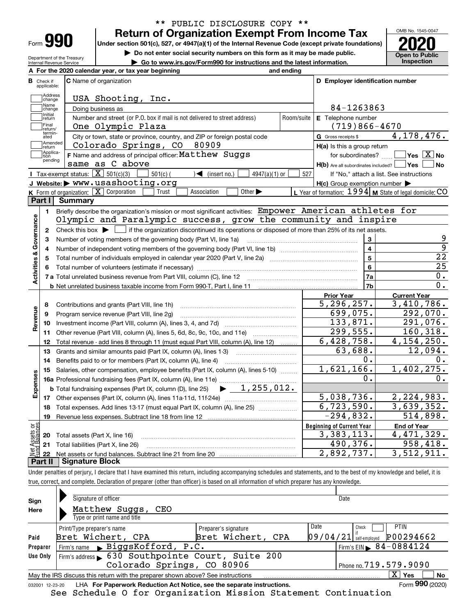| -orm |  |
|------|--|

Department of the Treasury

## **Return of Organization Exempt From Income Tax** \*\* PUBLIC DISCLOSURE COPY \*\*

**Under section 501(c), 527, or 4947(a)(1) of the Internal Revenue Code (except private foundations) 2020**

**| Do not enter social security numbers on this form as it may be made public.**

**| Go to www.irs.gov/Form990 for instructions and the latest information. Inspection**

**Open to Public**  Internal Revenue Service **For the 2020 calendar year, or tax year beginning and ending AC** Name of organization **C D Employer identification number B**Check if applicable:**Address**<br>Change USA Shooting, Inc. Name<br>Change 84-1263863 Doing business as Initial<br>
return **E** Telephone number Number and street (or P.O. box if mail is not delivered to street address)  $\qquad \qquad \mid$  Room/suite  $\mid$  E Telephone number Final return/ One Olympic Plaza (719)866-4670 termin-atedG Gross receipts \$ 4,178,476.  $\overline{e}$  City or town, state or province, country, and ZIP or foreign postal code  $\overline{G}$  Gross receipts \$ **communisment**<br> **return** Colorado Springs, CO 80909 **H(a)** Is this a group return Applica-tion pending  $F_{\rm 1}^{\rm 14pplica-}$  **F** Name and address of principal officer:  ${\tt Matthew\; Suggs}$  for subordinates?  $\ldots$   $\blacksquare$  Yes  $\boxed{\rm X}$  No for subordinates?  $\boxed{\text{Yes} \boxed{\text{X}}}$  No same as C above **H(b)** Are all subordinates included? **Yes No** Tax-exempt status:  $\boxed{\mathbf{X}}$  501(c)(3)  $\boxed{\phantom{0}}$  501(c)(  $\phantom{0}$   $\boxed{\phantom{0}}$  (insert no.)  $\boxed{\phantom{0}}$  4947(a)(1) or  $\boxed{\phantom{0}}$  527 If "No," attach a list. See instructions **JWebsite: |** www.usashooting.org **H(c)** Group exemption number Form of organization:  $\boxed{\textbf{X}}$  Corporation  $\boxed{\phantom{\textbf{X}}\phantom{\textbf{X}}}$  Trust  $\boxed{\phantom{\textbf{X}}\phantom{\textbf{X}}}$  Association  $\boxed{\phantom{\textbf{X}}\phantom{\textbf{X}}}$  Other  $\blacktriangleright\phantom{\textbf{X}}\phantom{\textbf{X}}$   $\phantom{\textbf{X}}\blacksquare$  Year of formation:  $1994$  **M** State of le **KLPart I Summary** Briefly describe the organization's mission or most significant activities:  $\,$   $\rm{Empower}$   $\,$   $\rm{American}$   $\,$   $\rm{athlets}$   $\,$   $\rm{for}$ **1Activities & Governance Activities & Governance** Olympic and Paralympic success, grow the community and inspire Check this box  $\blacktriangleright$   $\lfloor$ Check this box  $\blacktriangleright$  if the organization discontinued its operations or disposed of more than 25% of its net assets. **2**9 Number of voting members of the governing body (Part VI, line 1a) **33**9 **4**Number of independent voting members of the governing body (Part VI, line 1b) www.community.community.com **4**22 **5**Total number of individuals employed in calendar year 2020 (Part V, line 2a) **5**25 **66**Total number of volunteers (estimate if necessary) 0. **7a7a**Total unrelated business revenue from Part VIII, column (C), line 12 **7b**0. **b** Net unrelated business taxable income from Form 990-T, Part I, line 11 **Prior Year Current Year** 5,296,257. 3,410,786. Contributions and grants (Part VIII, line 1h) **8**Revenue **Revenue** 699,075. 292,070. **9**Program service revenue (Part VIII, line 2g) ~~~~~~~~~~~~~~~~~~~~~ 133,871. 291,076. **10**Investment income (Part VIII, column (A), lines 3, 4, and 7d) ~~~~~~~~~~~~~ **11**Other revenue (Part VIII, column (A), lines 5, 6d, 8c, 9c, 10c, and 11e)  $\ldots$ 299,555. 160,318. Total revenue - add lines 8 through 11 (must equal Part VIII, column (A), line 12) .........  $6,428,758.$  4,154,250. **12**12,094. 63,688. **13**Grants and similar amounts paid (Part IX, column (A), lines 1-3)  $0$ . **14**Benefits paid to or for members (Part IX, column (A), line 4) 0. 1,621,166. 1,402,275. **15**Salaries, other compensation, employee benefits (Part IX, column (A), lines 5-10)  $\,$  , , , , , , , **Expenses** 0.  $0.$ **16 a** Professional fundraising fees (Part IX, column (A), line 11e) ~~~~~~~~~~~~~~  $\blacktriangleright$  1,255,012. **b**Total fundraising expenses (Part IX, column (D), line 25) 5,038,736. 2,224,983. **17**Other expenses (Part IX, column (A), lines 11a-11d, 11f-24e) …………………………………  $6,723,590.$  3,639,352. **18**Total expenses. Add lines 13-17 (must equal Part IX, column (A), line 25) ~~~~~~~ $-294,832.$  514,898. **19**Revenue less expenses. Subtract line 18 from line 12 vet Assets or<br>und Balances **Beginning of Current Year End of Year** Total assets (Part X, line 16) 3,383,113. 4,471,329. **20**490,376. 958,418. **21**Total liabilities (Part X, line 26) **22**Net assets or fund balances. Subtract line 21 from line 20 2,892,737. 3,512,911. **Part II Signature Block**

Under penalties of perjury, I declare that I have examined this return, including accompanying schedules and statements, and to the best of my knowledge and belief, it is true, correct, and complete. Declaration of preparer (other than officer) is based on all information of which preparer has any knowledge.

| Sign     | Signature of officer                                                                                         |                      | Date                                    |  |  |  |  |  |  |  |  |
|----------|--------------------------------------------------------------------------------------------------------------|----------------------|-----------------------------------------|--|--|--|--|--|--|--|--|
| Here     | Matthew Suggs,<br>CEO                                                                                        |                      |                                         |  |  |  |  |  |  |  |  |
|          | Type or print name and title                                                                                 |                      |                                         |  |  |  |  |  |  |  |  |
|          | Print/Type preparer's name                                                                                   | Preparer's signature | Date<br><b>PTIN</b><br>Check            |  |  |  |  |  |  |  |  |
| Paid     | Bret Wichert, CPA                                                                                            | Bret Wichert, CPA    | P00294662<br> 09/04/21<br>self-emploved |  |  |  |  |  |  |  |  |
| Preparer | Firm's name BiggsKofford, P.C.                                                                               |                      | Firm's EIN $\triangleright$ 84-0884124  |  |  |  |  |  |  |  |  |
| Use Only | Firm's address 630 Southpointe Court, Suite 200                                                              |                      |                                         |  |  |  |  |  |  |  |  |
|          | Colorado Springs, CO 80906<br>Phone no. 719.579.9090                                                         |                      |                                         |  |  |  |  |  |  |  |  |
|          | X.<br>No<br>Yes<br>May the IRS discuss this return with the preparer shown above? See instructions           |                      |                                         |  |  |  |  |  |  |  |  |
|          | Form 990 (2020)<br>LHA For Paperwork Reduction Act Notice, see the separate instructions.<br>032001 12-23-20 |                      |                                         |  |  |  |  |  |  |  |  |

See Schedule O for Organization Mission Statement Continuation

OMB No. 1545-0047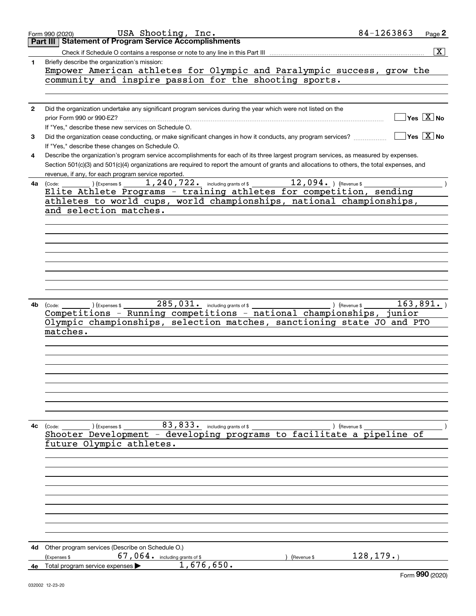|              | 84-1263863<br>USA Shooting, Inc.<br>Page 2<br>Form 990 (2020)                                                                                                                     |
|--------------|-----------------------------------------------------------------------------------------------------------------------------------------------------------------------------------|
|              | <b>Part III Statement of Program Service Accomplishments</b>                                                                                                                      |
|              | $\overline{\text{X}}$                                                                                                                                                             |
| 1            | Briefly describe the organization's mission:                                                                                                                                      |
|              | Empower American athletes for Olympic and Paralympic success, grow the                                                                                                            |
|              | community and inspire passion for the shooting sports.                                                                                                                            |
|              |                                                                                                                                                                                   |
| $\mathbf{2}$ | Did the organization undertake any significant program services during the year which were not listed on the                                                                      |
|              | Yes $\boxed{X}$ No<br>prior Form 990 or 990-EZ?                                                                                                                                   |
|              | If "Yes," describe these new services on Schedule O.                                                                                                                              |
| 3            | $Yes \ \boxed{X}$ No<br>Did the organization cease conducting, or make significant changes in how it conducts, any program services?                                              |
|              | If "Yes," describe these changes on Schedule O.                                                                                                                                   |
| 4            | Describe the organization's program service accomplishments for each of its three largest program services, as measured by expenses.                                              |
|              | Section 501(c)(3) and 501(c)(4) organizations are required to report the amount of grants and allocations to others, the total expenses, and                                      |
|              | revenue, if any, for each program service reported.                                                                                                                               |
|              | $\overline{12}$ , 094. ) (Revenue \$<br>1, 240, 722. including grants of \$<br>) (Expenses \$<br>4a (Code:<br>Elite Athlete Programs - training athletes for competition, sending |
|              | athletes to world cups, world championships, national championships,                                                                                                              |
|              | and selection matches.                                                                                                                                                            |
|              |                                                                                                                                                                                   |
|              |                                                                                                                                                                                   |
|              |                                                                                                                                                                                   |
|              |                                                                                                                                                                                   |
|              |                                                                                                                                                                                   |
|              |                                                                                                                                                                                   |
|              |                                                                                                                                                                                   |
|              |                                                                                                                                                                                   |
|              |                                                                                                                                                                                   |
| 4b           | $285,031.$ including grants of \$<br>163,891.<br>(Expenses \$<br>) (Revenue \$<br>(Code:                                                                                          |
|              | Competitions - Running competitions - national championships, junior<br>Olympic championships, selection matches, sanctioning state JO and PTO                                    |
|              | matches.                                                                                                                                                                          |
|              |                                                                                                                                                                                   |
|              |                                                                                                                                                                                   |
|              |                                                                                                                                                                                   |
|              |                                                                                                                                                                                   |
|              |                                                                                                                                                                                   |
|              |                                                                                                                                                                                   |
|              |                                                                                                                                                                                   |
|              |                                                                                                                                                                                   |
|              |                                                                                                                                                                                   |
|              | 83, 833. including grants of \$<br>4c (Code:<br>(Expenses \$<br>) (Revenue \$                                                                                                     |
|              | Shooter Development - developing programs to facilitate a pipeline of                                                                                                             |
|              | future Olympic athletes.                                                                                                                                                          |
|              |                                                                                                                                                                                   |
|              |                                                                                                                                                                                   |
|              |                                                                                                                                                                                   |
|              |                                                                                                                                                                                   |
|              |                                                                                                                                                                                   |
|              |                                                                                                                                                                                   |
|              |                                                                                                                                                                                   |
|              |                                                                                                                                                                                   |
|              |                                                                                                                                                                                   |
| 4d           | Other program services (Describe on Schedule O.)                                                                                                                                  |
|              | 128, 179.<br>67,064. including grants of \$<br>(Expenses \$<br>(Revenue \$                                                                                                        |
|              | 1,676,650.<br>4e Total program service expenses<br>$000 \text{ years}$                                                                                                            |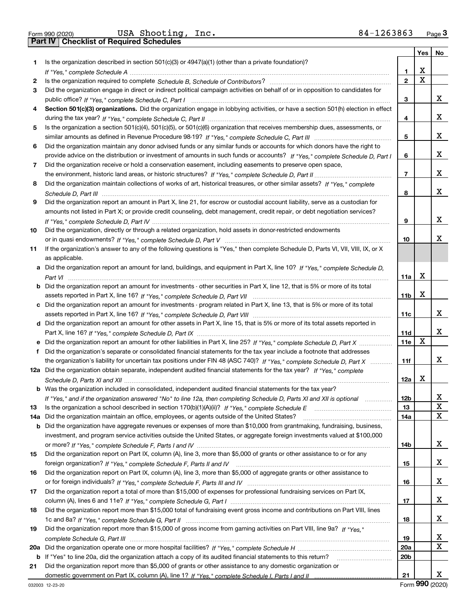Form 990 (2020) USA Shooting,Inc**.** 84-1263863 <sub>Page</sub> 3<br>Part IV | Checklist of Required Schedules

|    |                                                                                                                                       |                 | Yes         | No |
|----|---------------------------------------------------------------------------------------------------------------------------------------|-----------------|-------------|----|
| 1. | Is the organization described in section $501(c)(3)$ or $4947(a)(1)$ (other than a private foundation)?                               |                 |             |    |
|    |                                                                                                                                       | 1               | х           |    |
| 2  |                                                                                                                                       | $\mathbf{2}$    | $\mathbf X$ |    |
| 3  | Did the organization engage in direct or indirect political campaign activities on behalf of or in opposition to candidates for       |                 |             |    |
|    |                                                                                                                                       | 3               |             | х  |
| 4  | Section 501(c)(3) organizations. Did the organization engage in lobbying activities, or have a section 501(h) election in effect      |                 |             |    |
|    |                                                                                                                                       | 4               |             | х  |
| 5  | Is the organization a section 501(c)(4), 501(c)(5), or 501(c)(6) organization that receives membership dues, assessments, or          |                 |             |    |
|    |                                                                                                                                       | 5               |             | х  |
| 6  | Did the organization maintain any donor advised funds or any similar funds or accounts for which donors have the right to             |                 |             |    |
|    | provide advice on the distribution or investment of amounts in such funds or accounts? If "Yes," complete Schedule D, Part I          | 6               |             | х  |
| 7  | Did the organization receive or hold a conservation easement, including easements to preserve open space,                             |                 |             |    |
|    |                                                                                                                                       | 7               |             | х  |
| 8  | Did the organization maintain collections of works of art, historical treasures, or other similar assets? If "Yes," complete          |                 |             |    |
|    |                                                                                                                                       | 8               |             | х  |
| 9  | Did the organization report an amount in Part X, line 21, for escrow or custodial account liability, serve as a custodian for         |                 |             |    |
|    | amounts not listed in Part X; or provide credit counseling, debt management, credit repair, or debt negotiation services?             |                 |             |    |
|    |                                                                                                                                       | 9               |             | х  |
| 10 | Did the organization, directly or through a related organization, hold assets in donor-restricted endowments                          |                 |             |    |
|    |                                                                                                                                       | 10              |             | х  |
| 11 | If the organization's answer to any of the following questions is "Yes," then complete Schedule D, Parts VI, VII, VIII, IX, or X      |                 |             |    |
|    | as applicable.                                                                                                                        |                 |             |    |
|    | a Did the organization report an amount for land, buildings, and equipment in Part X, line 10? If "Yes," complete Schedule D,         |                 |             |    |
|    |                                                                                                                                       | 11a             | х           |    |
|    | <b>b</b> Did the organization report an amount for investments - other securities in Part X, line 12, that is 5% or more of its total |                 |             |    |
|    |                                                                                                                                       | 11b             | х           |    |
|    | c Did the organization report an amount for investments - program related in Part X, line 13, that is 5% or more of its total         |                 |             |    |
|    |                                                                                                                                       | 11c             |             | х  |
|    | d Did the organization report an amount for other assets in Part X, line 15, that is 5% or more of its total assets reported in       |                 |             |    |
|    |                                                                                                                                       | 11d             |             | х  |
|    | e Did the organization report an amount for other liabilities in Part X, line 25? If "Yes," complete Schedule D, Part X               | 11e             | X           |    |
| f  | Did the organization's separate or consolidated financial statements for the tax year include a footnote that addresses               |                 |             | х  |
|    | the organization's liability for uncertain tax positions under FIN 48 (ASC 740)? If "Yes," complete Schedule D, Part X                | 11f             |             |    |
|    | 12a Did the organization obtain separate, independent audited financial statements for the tax year? If "Yes," complete               |                 | х           |    |
|    | b Was the organization included in consolidated, independent audited financial statements for the tax year?                           | 12a             |             |    |
|    |                                                                                                                                       | 12 <sub>b</sub> |             | х  |
|    | If "Yes," and if the organization answered "No" to line 12a, then completing Schedule D, Parts XI and XII is optional                 | 13              |             | X  |
| 13 | 14a Did the organization maintain an office, employees, or agents outside of the United States?                                       | 14a             |             | X  |
|    | <b>b</b> Did the organization have aggregate revenues or expenses of more than \$10,000 from grantmaking, fundraising, business,      |                 |             |    |
|    | investment, and program service activities outside the United States, or aggregate foreign investments valued at \$100,000            |                 |             |    |
|    |                                                                                                                                       | 14b             |             | x  |
| 15 | Did the organization report on Part IX, column (A), line 3, more than \$5,000 of grants or other assistance to or for any             |                 |             |    |
|    |                                                                                                                                       | 15              |             | x  |
| 16 | Did the organization report on Part IX, column (A), line 3, more than \$5,000 of aggregate grants or other assistance to              |                 |             |    |
|    |                                                                                                                                       | 16              |             | x  |
| 17 | Did the organization report a total of more than \$15,000 of expenses for professional fundraising services on Part IX,               |                 |             |    |
|    |                                                                                                                                       | 17              |             | x  |
| 18 | Did the organization report more than \$15,000 total of fundraising event gross income and contributions on Part VIII, lines          |                 |             |    |
|    |                                                                                                                                       | 18              |             | x  |
| 19 | Did the organization report more than \$15,000 of gross income from gaming activities on Part VIII, line 9a? If "Yes."                |                 |             |    |
|    |                                                                                                                                       | 19              |             | х  |
|    |                                                                                                                                       | 20a             |             | X  |
|    | b If "Yes" to line 20a, did the organization attach a copy of its audited financial statements to this return?                        | 20 <sub>b</sub> |             |    |
| 21 | Did the organization report more than \$5,000 of grants or other assistance to any domestic organization or                           |                 |             |    |
|    |                                                                                                                                       | 21              |             | X  |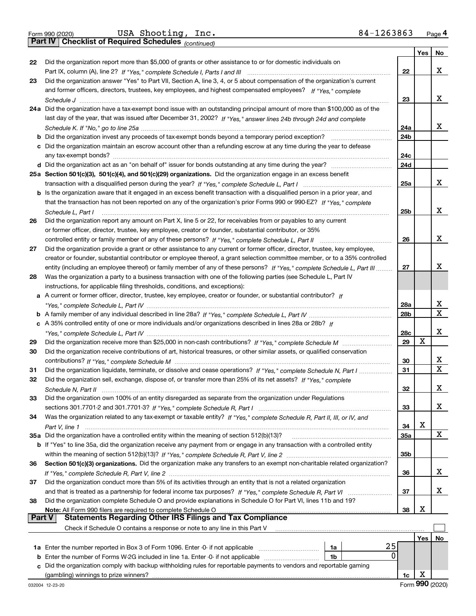*(continued)*

|        |                                                                                                                              |                 | Yes | No          |
|--------|------------------------------------------------------------------------------------------------------------------------------|-----------------|-----|-------------|
| 22     | Did the organization report more than \$5,000 of grants or other assistance to or for domestic individuals on                |                 |     |             |
|        |                                                                                                                              | 22              |     | x           |
| 23     | Did the organization answer "Yes" to Part VII, Section A, line 3, 4, or 5 about compensation of the organization's current   |                 |     |             |
|        | and former officers, directors, trustees, key employees, and highest compensated employees? If "Yes," complete               |                 |     |             |
|        |                                                                                                                              | 23              |     | x           |
|        | 24a Did the organization have a tax-exempt bond issue with an outstanding principal amount of more than \$100,000 as of the  |                 |     |             |
|        | last day of the year, that was issued after December 31, 2002? If "Yes," answer lines 24b through 24d and complete           |                 |     |             |
|        |                                                                                                                              | 24a             |     | x           |
|        | <b>b</b> Did the organization invest any proceeds of tax-exempt bonds beyond a temporary period exception?                   | 24 <sub>b</sub> |     |             |
|        | c Did the organization maintain an escrow account other than a refunding escrow at any time during the year to defease       |                 |     |             |
|        |                                                                                                                              | 24c             |     |             |
|        |                                                                                                                              | 24d             |     |             |
|        | 25a Section 501(c)(3), 501(c)(4), and 501(c)(29) organizations. Did the organization engage in an excess benefit             |                 |     |             |
|        |                                                                                                                              | 25a             |     | х           |
|        | b Is the organization aware that it engaged in an excess benefit transaction with a disqualified person in a prior year, and |                 |     |             |
|        | that the transaction has not been reported on any of the organization's prior Forms 990 or 990-EZ? If "Yes," complete        |                 |     |             |
|        | Schedule L, Part I                                                                                                           | 25b             |     | х           |
| 26     | Did the organization report any amount on Part X, line 5 or 22, for receivables from or payables to any current              |                 |     |             |
|        | or former officer, director, trustee, key employee, creator or founder, substantial contributor, or 35%                      |                 |     |             |
|        | controlled entity or family member of any of these persons? If "Yes," complete Schedule L, Part II                           | 26              |     | х           |
| 27     | Did the organization provide a grant or other assistance to any current or former officer, director, trustee, key employee,  |                 |     |             |
|        | creator or founder, substantial contributor or employee thereof, a grant selection committee member, or to a 35% controlled  |                 |     |             |
|        | entity (including an employee thereof) or family member of any of these persons? If "Yes," complete Schedule L, Part III     | 27              |     | х           |
| 28     | Was the organization a party to a business transaction with one of the following parties (see Schedule L, Part IV            |                 |     |             |
|        | instructions, for applicable filing thresholds, conditions, and exceptions):                                                 |                 |     |             |
|        | A current or former officer, director, trustee, key employee, creator or founder, or substantial contributor? If             |                 |     |             |
|        |                                                                                                                              | 28a             |     | x           |
|        |                                                                                                                              | 28 <sub>b</sub> |     | $\mathbf x$ |
|        | c A 35% controlled entity of one or more individuals and/or organizations described in lines 28a or 28b? If                  |                 |     |             |
|        |                                                                                                                              | 28c             |     | x           |
| 29     |                                                                                                                              | 29              | X   |             |
| 30     | Did the organization receive contributions of art, historical treasures, or other similar assets, or qualified conservation  |                 |     |             |
|        |                                                                                                                              | 30              |     | X           |
| 31     | Did the organization liquidate, terminate, or dissolve and cease operations? If "Yes," complete Schedule N, Part I           | 31              |     | $\mathbf X$ |
| 32     | Did the organization sell, exchange, dispose of, or transfer more than 25% of its net assets? If "Yes," complete             |                 |     |             |
|        |                                                                                                                              | 32              |     | х           |
| 33     | Did the organization own 100% of an entity disregarded as separate from the organization under Regulations                   |                 |     |             |
|        |                                                                                                                              | 33              |     | x           |
| 34     | Was the organization related to any tax-exempt or taxable entity? If "Yes," complete Schedule R, Part II, III, or IV, and    |                 |     |             |
|        |                                                                                                                              | 34              | х   |             |
|        | 35a Did the organization have a controlled entity within the meaning of section 512(b)(13)?                                  | <b>35a</b>      |     | X           |
|        | b If "Yes" to line 35a, did the organization receive any payment from or engage in any transaction with a controlled entity  |                 |     |             |
|        |                                                                                                                              | 35b             |     |             |
| 36     | Section 501(c)(3) organizations. Did the organization make any transfers to an exempt non-charitable related organization?   |                 |     |             |
|        |                                                                                                                              | 36              |     | x           |
| 37     | Did the organization conduct more than 5% of its activities through an entity that is not a related organization             |                 |     |             |
|        |                                                                                                                              | 37              |     | x           |
| 38     | Did the organization complete Schedule O and provide explanations in Schedule O for Part VI, lines 11b and 19?               |                 |     |             |
|        |                                                                                                                              | 38              | х   |             |
| Part V | <b>Statements Regarding Other IRS Filings and Tax Compliance</b>                                                             |                 |     |             |
|        | Check if Schedule O contains a response or note to any line in this Part V                                                   |                 |     |             |
|        |                                                                                                                              |                 | Yes | No          |
|        | 25<br>1a                                                                                                                     |                 |     |             |
| b      | 0<br>Enter the number of Forms W-2G included in line 1a. Enter -0- if not applicable<br>1b                                   |                 |     |             |
| c      | Did the organization comply with backup withholding rules for reportable payments to vendors and reportable gaming           |                 |     |             |
|        |                                                                                                                              | 1c              | х   |             |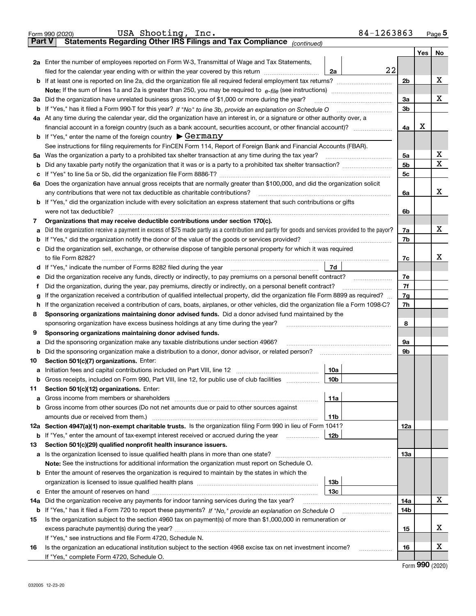|        | 84-1263863<br>USA Shooting, Inc.<br>Form 990 (2020)                                                                                                                                                                                            |     |     | Page 5 |  |  |  |  |  |
|--------|------------------------------------------------------------------------------------------------------------------------------------------------------------------------------------------------------------------------------------------------|-----|-----|--------|--|--|--|--|--|
| Part V | Statements Regarding Other IRS Filings and Tax Compliance (continued)                                                                                                                                                                          |     |     |        |  |  |  |  |  |
|        |                                                                                                                                                                                                                                                |     | Yes | No     |  |  |  |  |  |
|        | 2a Enter the number of employees reported on Form W-3, Transmittal of Wage and Tax Statements,                                                                                                                                                 |     |     |        |  |  |  |  |  |
|        | 22<br>filed for the calendar year ending with or within the year covered by this return<br>2a                                                                                                                                                  |     |     |        |  |  |  |  |  |
|        |                                                                                                                                                                                                                                                |     |     |        |  |  |  |  |  |
|        |                                                                                                                                                                                                                                                |     |     |        |  |  |  |  |  |
|        | 3a Did the organization have unrelated business gross income of \$1,000 or more during the year?                                                                                                                                               |     |     |        |  |  |  |  |  |
|        |                                                                                                                                                                                                                                                |     |     |        |  |  |  |  |  |
|        | 4a At any time during the calendar year, did the organization have an interest in, or a signature or other authority over, a                                                                                                                   |     |     |        |  |  |  |  |  |
|        | financial account in a foreign country (such as a bank account, securities account, or other financial account)?                                                                                                                               |     |     |        |  |  |  |  |  |
|        | <b>b</b> If "Yes," enter the name of the foreign country $\triangleright$ Germany                                                                                                                                                              |     |     |        |  |  |  |  |  |
|        | See instructions for filing requirements for FinCEN Form 114, Report of Foreign Bank and Financial Accounts (FBAR).                                                                                                                            |     |     |        |  |  |  |  |  |
|        |                                                                                                                                                                                                                                                | 5a  |     | х      |  |  |  |  |  |
| b      |                                                                                                                                                                                                                                                | 5b  |     | х      |  |  |  |  |  |
| c      |                                                                                                                                                                                                                                                | 5c  |     |        |  |  |  |  |  |
|        | 6a Does the organization have annual gross receipts that are normally greater than \$100,000, and did the organization solicit                                                                                                                 |     |     |        |  |  |  |  |  |
|        | any contributions that were not tax deductible as charitable contributions?                                                                                                                                                                    | 6a  |     | х      |  |  |  |  |  |
|        | <b>b</b> If "Yes," did the organization include with every solicitation an express statement that such contributions or gifts                                                                                                                  |     |     |        |  |  |  |  |  |
|        |                                                                                                                                                                                                                                                | 6b  |     |        |  |  |  |  |  |
| 7      | Organizations that may receive deductible contributions under section 170(c).                                                                                                                                                                  |     |     |        |  |  |  |  |  |
| а      | Did the organization receive a payment in excess of \$75 made partly as a contribution and partly for goods and services provided to the payor?                                                                                                | 7a  |     | x      |  |  |  |  |  |
| b      | If "Yes," did the organization notify the donor of the value of the goods or services provided?                                                                                                                                                | 7b  |     |        |  |  |  |  |  |
| c      | Did the organization sell, exchange, or otherwise dispose of tangible personal property for which it was required                                                                                                                              |     |     |        |  |  |  |  |  |
|        |                                                                                                                                                                                                                                                | 7c  |     | x      |  |  |  |  |  |
|        | 7d                                                                                                                                                                                                                                             |     |     |        |  |  |  |  |  |
| е      | Did the organization receive any funds, directly or indirectly, to pay premiums on a personal benefit contract?                                                                                                                                | 7e  |     |        |  |  |  |  |  |
| f      | Did the organization, during the year, pay premiums, directly or indirectly, on a personal benefit contract?                                                                                                                                   |     |     |        |  |  |  |  |  |
| g      | If the organization received a contribution of qualified intellectual property, did the organization file Form 8899 as required?                                                                                                               |     |     |        |  |  |  |  |  |
| h.     | If the organization received a contribution of cars, boats, airplanes, or other vehicles, did the organization file a Form 1098-C?                                                                                                             |     |     |        |  |  |  |  |  |
| 8      | Sponsoring organizations maintaining donor advised funds. Did a donor advised fund maintained by the                                                                                                                                           |     |     |        |  |  |  |  |  |
|        | sponsoring organization have excess business holdings at any time during the year?                                                                                                                                                             |     |     |        |  |  |  |  |  |
| 9      | Sponsoring organizations maintaining donor advised funds.                                                                                                                                                                                      |     |     |        |  |  |  |  |  |
| а      | Did the sponsoring organization make any taxable distributions under section 4966?                                                                                                                                                             | 9а  |     |        |  |  |  |  |  |
| b      | Did the sponsoring organization make a distribution to a donor, donor advisor, or related person?                                                                                                                                              | 9b  |     |        |  |  |  |  |  |
| 10     | Section 501(c)(7) organizations. Enter:                                                                                                                                                                                                        |     |     |        |  |  |  |  |  |
|        | 10a                                                                                                                                                                                                                                            |     |     |        |  |  |  |  |  |
|        | 10b <br>Gross receipts, included on Form 990, Part VIII, line 12, for public use of club facilities                                                                                                                                            |     |     |        |  |  |  |  |  |
| 11     | Section 501(c)(12) organizations. Enter:                                                                                                                                                                                                       |     |     |        |  |  |  |  |  |
| а      | 11a                                                                                                                                                                                                                                            |     |     |        |  |  |  |  |  |
| b      | Gross income from other sources (Do not net amounts due or paid to other sources against                                                                                                                                                       |     |     |        |  |  |  |  |  |
|        | 11b                                                                                                                                                                                                                                            |     |     |        |  |  |  |  |  |
|        | 12a Section 4947(a)(1) non-exempt charitable trusts. Is the organization filing Form 990 in lieu of Form 1041?                                                                                                                                 | 12a |     |        |  |  |  |  |  |
|        | 12b<br><b>b</b> If "Yes," enter the amount of tax-exempt interest received or accrued during the year <i>manument</i> of the set of the set of the set of the set of the set of the set of the set of the set of the set of the set of the set |     |     |        |  |  |  |  |  |
| 13     | Section 501(c)(29) qualified nonprofit health insurance issuers.                                                                                                                                                                               |     |     |        |  |  |  |  |  |
| а      | Is the organization licensed to issue qualified health plans in more than one state?                                                                                                                                                           | 13а |     |        |  |  |  |  |  |
|        | Note: See the instructions for additional information the organization must report on Schedule O.                                                                                                                                              |     |     |        |  |  |  |  |  |
| b      | Enter the amount of reserves the organization is required to maintain by the states in which the                                                                                                                                               |     |     |        |  |  |  |  |  |
|        | 13b<br>13с                                                                                                                                                                                                                                     |     |     |        |  |  |  |  |  |
|        |                                                                                                                                                                                                                                                |     |     | x      |  |  |  |  |  |
| 14a    | Did the organization receive any payments for indoor tanning services during the tax year?                                                                                                                                                     | 14a |     |        |  |  |  |  |  |
|        | <b>b</b> If "Yes," has it filed a Form 720 to report these payments? If "No," provide an explanation on Schedule O                                                                                                                             | 14b |     |        |  |  |  |  |  |
| 15     | Is the organization subject to the section 4960 tax on payment(s) of more than \$1,000,000 in remuneration or                                                                                                                                  |     |     | х      |  |  |  |  |  |
|        |                                                                                                                                                                                                                                                | 15  |     |        |  |  |  |  |  |
|        | If "Yes," see instructions and file Form 4720, Schedule N.                                                                                                                                                                                     |     |     | х      |  |  |  |  |  |
| 16     | Is the organization an educational institution subject to the section 4968 excise tax on net investment income?<br>If "Yes," complete Form 4720, Schedule O.                                                                                   | 16  |     |        |  |  |  |  |  |
|        |                                                                                                                                                                                                                                                |     |     |        |  |  |  |  |  |

Form (2020) **990**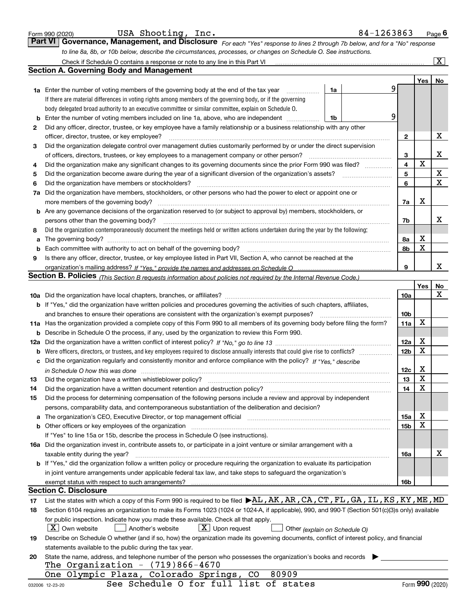|    | USA Shooting, Inc.<br>Form 990 (2020)                                                                                                                                                                                          |    | 84-1263863 |                 |                         | <u>Page</u> 6         |
|----|--------------------------------------------------------------------------------------------------------------------------------------------------------------------------------------------------------------------------------|----|------------|-----------------|-------------------------|-----------------------|
|    | Governance, Management, and Disclosure For each "Yes" response to lines 2 through 7b below, and for a "No" response<br><b>Part VI</b>                                                                                          |    |            |                 |                         |                       |
|    | to line 8a, 8b, or 10b below, describe the circumstances, processes, or changes on Schedule O. See instructions.                                                                                                               |    |            |                 |                         |                       |
|    | Check if Schedule O contains a response or note to any line in this Part VI [11] [12] [12] Check if Schedule O contains a response or note to any line in this Part VI                                                         |    |            |                 |                         | $\overline{\text{X}}$ |
|    | <b>Section A. Governing Body and Management</b>                                                                                                                                                                                |    |            |                 |                         |                       |
|    |                                                                                                                                                                                                                                |    |            |                 | Yes                     | No                    |
|    | <b>1a</b> Enter the number of voting members of the governing body at the end of the tax year                                                                                                                                  | 1a |            | 9               |                         |                       |
|    | If there are material differences in voting rights among members of the governing body, or if the governing                                                                                                                    |    |            |                 |                         |                       |
|    | body delegated broad authority to an executive committee or similar committee, explain on Schedule O.                                                                                                                          |    |            |                 |                         |                       |
|    | <b>b</b> Enter the number of voting members included on line 1a, above, who are independent <i>manumum</i>                                                                                                                     | 1b |            | 9               |                         |                       |
| 2  | Did any officer, director, trustee, or key employee have a family relationship or a business relationship with any other                                                                                                       |    |            |                 |                         |                       |
|    | officer, director, trustee, or key employee?                                                                                                                                                                                   |    |            | 2               |                         | X                     |
| З  | Did the organization delegate control over management duties customarily performed by or under the direct supervision                                                                                                          |    |            |                 |                         |                       |
|    | of officers, directors, trustees, or key employees to a management company or other person?                                                                                                                                    |    |            | 3               |                         | х                     |
| 4  | Did the organization make any significant changes to its governing documents since the prior Form 990 was filed?                                                                                                               |    |            | $\overline{4}$  | $\mathbf X$             |                       |
| 5  |                                                                                                                                                                                                                                |    |            | 5               |                         | X                     |
| 6  | Did the organization have members or stockholders?                                                                                                                                                                             |    |            | 6               |                         | $\mathbf X$           |
|    | 7a Did the organization have members, stockholders, or other persons who had the power to elect or appoint one or                                                                                                              |    |            |                 |                         |                       |
|    |                                                                                                                                                                                                                                |    |            | 7a              | Х                       |                       |
|    | b Are any governance decisions of the organization reserved to (or subject to approval by) members, stockholders, or                                                                                                           |    |            |                 |                         |                       |
|    | persons other than the governing body?                                                                                                                                                                                         |    |            | 7b              |                         | x                     |
| 8  | Did the organization contemporaneously document the meetings held or written actions undertaken during the year by the following:                                                                                              |    |            |                 |                         |                       |
| a  |                                                                                                                                                                                                                                |    |            | 8a              | X                       |                       |
| b  |                                                                                                                                                                                                                                |    |            | 8b              | X                       |                       |
| 9  | Is there any officer, director, trustee, or key employee listed in Part VII, Section A, who cannot be reached at the                                                                                                           |    |            |                 |                         |                       |
|    |                                                                                                                                                                                                                                |    |            | 9               |                         | x                     |
|    | <b>Section B. Policies</b> (This Section B requests information about policies not required by the Internal Revenue Code.)                                                                                                     |    |            |                 |                         |                       |
|    |                                                                                                                                                                                                                                |    |            |                 | Yes                     | No                    |
|    |                                                                                                                                                                                                                                |    |            | 10a             |                         | х                     |
|    | <b>b</b> If "Yes," did the organization have written policies and procedures governing the activities of such chapters, affiliates,                                                                                            |    |            |                 |                         |                       |
|    | and branches to ensure their operations are consistent with the organization's exempt purposes?                                                                                                                                |    |            | 10 <sub>b</sub> |                         |                       |
|    | 11a Has the organization provided a complete copy of this Form 990 to all members of its governing body before filing the form?                                                                                                |    |            | 11a             | X                       |                       |
|    | <b>b</b> Describe in Schedule O the process, if any, used by the organization to review this Form 990.                                                                                                                         |    |            |                 |                         |                       |
|    |                                                                                                                                                                                                                                |    |            | 12a             | X                       |                       |
|    |                                                                                                                                                                                                                                |    |            | 12 <sub>b</sub> | X                       |                       |
|    | c Did the organization regularly and consistently monitor and enforce compliance with the policy? If "Yes," describe                                                                                                           |    |            |                 |                         |                       |
|    |                                                                                                                                                                                                                                |    |            | 12c             | х                       |                       |
| 13 | in Schedule O how this was done manufactured and contain an according to the state of the state of the state o                                                                                                                 |    |            | 13              | $\overline{\textbf{X}}$ |                       |
| 14 | Did the organization have a written document retention and destruction policy?                                                                                                                                                 |    |            | 14              | X                       |                       |
| 15 | Did the process for determining compensation of the following persons include a review and approval by independent                                                                                                             |    |            |                 |                         |                       |
|    | persons, comparability data, and contemporaneous substantiation of the deliberation and decision?                                                                                                                              |    |            |                 |                         |                       |
|    | a The organization's CEO, Executive Director, or top management official manufactured content content of the organization's CEO, Executive Director, or top management official manufactured content of the state of the state |    |            | 15a             | X                       |                       |
|    |                                                                                                                                                                                                                                |    |            | 15 <sub>b</sub> | х                       |                       |
|    | If "Yes" to line 15a or 15b, describe the process in Schedule O (see instructions).                                                                                                                                            |    |            |                 |                         |                       |
|    | 16a Did the organization invest in, contribute assets to, or participate in a joint venture or similar arrangement with a                                                                                                      |    |            |                 |                         |                       |
|    |                                                                                                                                                                                                                                |    |            |                 |                         | х                     |
|    | taxable entity during the year?<br>b If "Yes," did the organization follow a written policy or procedure requiring the organization to evaluate its participation                                                              |    |            | 16a             |                         |                       |
|    |                                                                                                                                                                                                                                |    |            |                 |                         |                       |
|    | in joint venture arrangements under applicable federal tax law, and take steps to safeguard the organization's                                                                                                                 |    |            |                 |                         |                       |
|    | exempt status with respect to such arrangements?<br><b>Section C. Disclosure</b>                                                                                                                                               |    |            | 16b             |                         |                       |
|    | List the states with which a copy of this Form 990 is required to be filed $\blacktriangleright$ AL, AK, AR, CA, CT, FL, GA, IL, KS, KY, ME, MD                                                                                |    |            |                 |                         |                       |
| 17 |                                                                                                                                                                                                                                |    |            |                 |                         |                       |
| 18 | Section 6104 requires an organization to make its Forms 1023 (1024 or 1024-A, if applicable), 990, and 990-T (Section 501(c)(3)s only) available                                                                               |    |            |                 |                         |                       |
|    | for public inspection. Indicate how you made these available. Check all that apply.                                                                                                                                            |    |            |                 |                         |                       |
|    | $ \mathbf{X} $ Own website<br>$X$ Upon request<br>Another's website<br>Other (explain on Schedule O)                                                                                                                           |    |            |                 |                         |                       |
| 19 | Describe on Schedule O whether (and if so, how) the organization made its governing documents, conflict of interest policy, and financial                                                                                      |    |            |                 |                         |                       |
|    | statements available to the public during the tax year.                                                                                                                                                                        |    |            |                 |                         |                       |
| 20 | State the name, address, and telephone number of the person who possesses the organization's books and records                                                                                                                 |    |            |                 |                         |                       |
|    | The Organization - $(719)866 - 4670$                                                                                                                                                                                           |    |            |                 |                         |                       |
|    | 80909<br>One Olympic Plaza, Colorado Springs,<br>CO                                                                                                                                                                            |    |            |                 |                         |                       |
|    | See Schedule O for full list of states<br>032006 12-23-20                                                                                                                                                                      |    |            |                 |                         | Form 990 (2020)       |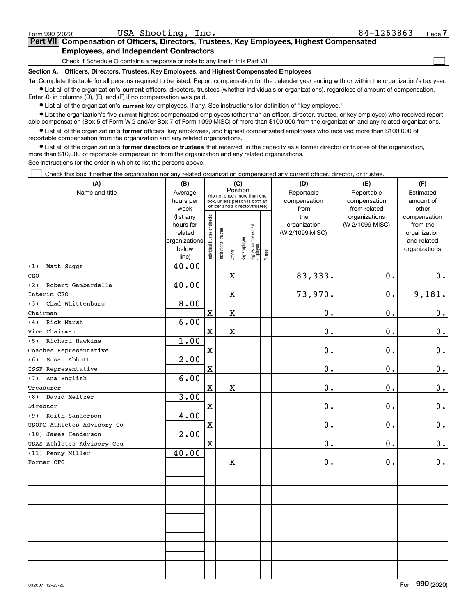| Form 990 (2020)                                                                                                                                           | USA Shooting, Inc.                                                                         | 84-1263863 | Page |  |  |  |  |  |
|-----------------------------------------------------------------------------------------------------------------------------------------------------------|--------------------------------------------------------------------------------------------|------------|------|--|--|--|--|--|
|                                                                                                                                                           | Part VII Compensation of Officers, Directors, Trustees, Key Employees, Highest Compensated |            |      |  |  |  |  |  |
| <b>Employees, and Independent Contractors</b>                                                                                                             |                                                                                            |            |      |  |  |  |  |  |
| Check if Schedule O contains a response or note to any line in this Part VII                                                                              |                                                                                            |            |      |  |  |  |  |  |
|                                                                                                                                                           | Section A. Officers, Directors, Trustees, Key Employees, and Highest Compensated Employees |            |      |  |  |  |  |  |
| to Complete this table for all persons required to be listed. Penart compensation for the calendar vear ending with or within the examization's tax vear. |                                                                                            |            |      |  |  |  |  |  |

**1a •** List all of the organization's current officers, directors, trustees (whether individuals or organizations), regardless of amount of compensation. ible for all persons required to be listed. Report compensation for the calendar year ending with or within the organization's tax year. Enter -0- in columns (D), (E), and (F) if no compensation was paid.

 $\bullet$  List all of the organization's  $\,$ current key employees, if any. See instructions for definition of "key employee."

**•** List the organization's five current highest compensated employees (other than an officer, director, trustee, or key employee) who received reportable compensation (Box 5 of Form W-2 and/or Box 7 of Form 1099-MISC) of more than \$100,000 from the organization and any related organizations.

**•** List all of the organization's former officers, key employees, and highest compensated employees who received more than \$100,000 of reportable compensation from the organization and any related organizations.

**former directors or trustees**  ¥ List all of the organization's that received, in the capacity as a former director or trustee of the organization, more than \$10,000 of reportable compensation from the organization and any related organizations.

See instructions for the order in which to list the persons above.

Check this box if neither the organization nor any related organization compensated any current officer, director, or trustee.  $\mathcal{L}^{\text{max}}$ 

| Position<br>Name and title<br>Reportable<br>Reportable<br>Average<br>Estimated<br>(do not check more than one<br>compensation<br>hours per<br>compensation<br>amount of<br>box, unless person is both an<br>officer and a director/trustee)<br>week<br>from<br>from related<br>other<br>ndividual trustee or director<br>organizations<br>(list any<br>the<br>compensation<br>hours for<br>organization<br>(W-2/1099-MISC)<br>from the<br>  Highest compensated<br>  employee<br>In stitutional trustee<br>related<br>(W-2/1099-MISC)<br>organization<br>Key employee<br>organizations<br>and related<br>below<br>organizations<br>Former<br>Officer<br>line)<br>40.00<br>(1)<br>Matt Suggs<br>83, 333.<br>$\mathbf x$<br>0.<br>CEO<br>40.00<br>(2)<br>Robert Gambardella |               |
|---------------------------------------------------------------------------------------------------------------------------------------------------------------------------------------------------------------------------------------------------------------------------------------------------------------------------------------------------------------------------------------------------------------------------------------------------------------------------------------------------------------------------------------------------------------------------------------------------------------------------------------------------------------------------------------------------------------------------------------------------------------------------|---------------|
|                                                                                                                                                                                                                                                                                                                                                                                                                                                                                                                                                                                                                                                                                                                                                                           |               |
|                                                                                                                                                                                                                                                                                                                                                                                                                                                                                                                                                                                                                                                                                                                                                                           |               |
|                                                                                                                                                                                                                                                                                                                                                                                                                                                                                                                                                                                                                                                                                                                                                                           |               |
|                                                                                                                                                                                                                                                                                                                                                                                                                                                                                                                                                                                                                                                                                                                                                                           | $0_{.}$       |
|                                                                                                                                                                                                                                                                                                                                                                                                                                                                                                                                                                                                                                                                                                                                                                           |               |
| 73,970.<br>0.<br>$\overline{\textbf{X}}$<br>Interim CEO                                                                                                                                                                                                                                                                                                                                                                                                                                                                                                                                                                                                                                                                                                                   | 9,181.        |
| 8.00<br>Chad Whittenburg<br>(3)                                                                                                                                                                                                                                                                                                                                                                                                                                                                                                                                                                                                                                                                                                                                           |               |
| $\mathbf X$<br>0.<br>$\mathbf 0$ .<br>$\mathbf X$<br>Chairman                                                                                                                                                                                                                                                                                                                                                                                                                                                                                                                                                                                                                                                                                                             | $0_{.}$       |
| 6.00<br>Rick Marsh<br>(4)                                                                                                                                                                                                                                                                                                                                                                                                                                                                                                                                                                                                                                                                                                                                                 |               |
| 0.<br>0.<br>$\mathbf X$<br>$\mathbf X$<br>Vice Chairman                                                                                                                                                                                                                                                                                                                                                                                                                                                                                                                                                                                                                                                                                                                   | $0_{.}$       |
| 1.00<br>Richard Hawkins<br>(5)                                                                                                                                                                                                                                                                                                                                                                                                                                                                                                                                                                                                                                                                                                                                            |               |
| $\mathbf x$<br>0.<br>0.<br>Coaches Representative                                                                                                                                                                                                                                                                                                                                                                                                                                                                                                                                                                                                                                                                                                                         | $\mathbf 0$ . |
| 2.00<br>(6)<br>Susan Abbott                                                                                                                                                                                                                                                                                                                                                                                                                                                                                                                                                                                                                                                                                                                                               |               |
| $\mathbf X$<br>0.<br>$\mathbf 0$ .<br>ISSF Representative                                                                                                                                                                                                                                                                                                                                                                                                                                                                                                                                                                                                                                                                                                                 | $0_{.}$       |
| 6.00<br>Ana English<br>(7)                                                                                                                                                                                                                                                                                                                                                                                                                                                                                                                                                                                                                                                                                                                                                |               |
| 0.<br>0.<br>$\mathbf X$<br>$\mathbf X$<br>Treasurer                                                                                                                                                                                                                                                                                                                                                                                                                                                                                                                                                                                                                                                                                                                       | $0_{.}$       |
| 3.00<br>David Meltzer<br>(8)                                                                                                                                                                                                                                                                                                                                                                                                                                                                                                                                                                                                                                                                                                                                              |               |
| $\mathbf X$<br>$\mathbf 0$ .<br>$\mathbf 0$ .<br>Director                                                                                                                                                                                                                                                                                                                                                                                                                                                                                                                                                                                                                                                                                                                 | $\mathbf 0$ . |
| 4.00<br>Keith Sanderson<br>(9)                                                                                                                                                                                                                                                                                                                                                                                                                                                                                                                                                                                                                                                                                                                                            |               |
| $\mathbf 0$ .<br>$\mathbf X$<br>0.<br>USOPC Athletes Advisory Co                                                                                                                                                                                                                                                                                                                                                                                                                                                                                                                                                                                                                                                                                                          | $\mathbf 0$ . |
| 2.00<br>(10) James Henderson                                                                                                                                                                                                                                                                                                                                                                                                                                                                                                                                                                                                                                                                                                                                              |               |
| $\mathbf x$<br>0.<br>$\mathbf 0$ .<br>USAS Athletes Advisory Cou                                                                                                                                                                                                                                                                                                                                                                                                                                                                                                                                                                                                                                                                                                          | $\mathbf 0$ . |
| 40.00<br>(11) Penny Miller                                                                                                                                                                                                                                                                                                                                                                                                                                                                                                                                                                                                                                                                                                                                                |               |
| $0$ .<br>$\mathbf 0$ .<br>X<br>Former CFO                                                                                                                                                                                                                                                                                                                                                                                                                                                                                                                                                                                                                                                                                                                                 | 0.            |
|                                                                                                                                                                                                                                                                                                                                                                                                                                                                                                                                                                                                                                                                                                                                                                           |               |
|                                                                                                                                                                                                                                                                                                                                                                                                                                                                                                                                                                                                                                                                                                                                                                           |               |
|                                                                                                                                                                                                                                                                                                                                                                                                                                                                                                                                                                                                                                                                                                                                                                           |               |
|                                                                                                                                                                                                                                                                                                                                                                                                                                                                                                                                                                                                                                                                                                                                                                           |               |
|                                                                                                                                                                                                                                                                                                                                                                                                                                                                                                                                                                                                                                                                                                                                                                           |               |
|                                                                                                                                                                                                                                                                                                                                                                                                                                                                                                                                                                                                                                                                                                                                                                           |               |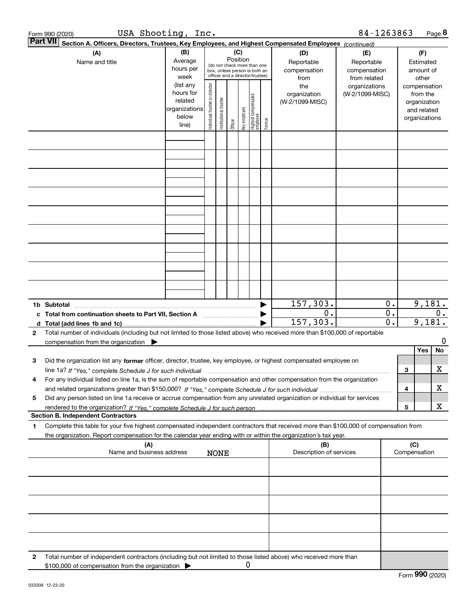| 84-1263863<br>USA Shooting, Inc.<br>Form 990 (2020)                                                                       |                                                                                                                                                                                                                                            |                                                                      |                                |                            |          |              |                                                                                                 |        |                                           |                                                   |                | Page 8                                 |                                                                          |       |
|---------------------------------------------------------------------------------------------------------------------------|--------------------------------------------------------------------------------------------------------------------------------------------------------------------------------------------------------------------------------------------|----------------------------------------------------------------------|--------------------------------|----------------------------|----------|--------------|-------------------------------------------------------------------------------------------------|--------|-------------------------------------------|---------------------------------------------------|----------------|----------------------------------------|--------------------------------------------------------------------------|-------|
| <b>Part VII</b><br>Section A. Officers, Directors, Trustees, Key Employees, and Highest Compensated Employees (continued) |                                                                                                                                                                                                                                            |                                                                      |                                |                            |          |              |                                                                                                 |        |                                           |                                                   |                |                                        |                                                                          |       |
|                                                                                                                           | (A)<br>Name and title                                                                                                                                                                                                                      | (B)<br>Average<br>hours per<br>week                                  |                                |                            | Position | (C)          | (do not check more than one<br>box, unless person is both an<br>officer and a director/trustee) |        | (D)<br>Reportable<br>compensation<br>from | (E)<br>Reportable<br>compensation<br>from related |                | (F)<br>Estimated<br>amount of<br>other |                                                                          |       |
|                                                                                                                           |                                                                                                                                                                                                                                            | (list any<br>hours for<br>related<br>organizations<br>below<br>line) | Individual trustee or director | trustee<br>Institutional t | Officer  | Key employee | Highest compensated<br>employee                                                                 | Former | the<br>organization<br>(W-2/1099-MISC)    | organizations<br>(W-2/1099-MISC)                  |                |                                        | compensation<br>from the<br>organization<br>and related<br>organizations |       |
|                                                                                                                           |                                                                                                                                                                                                                                            |                                                                      |                                |                            |          |              |                                                                                                 |        |                                           |                                                   |                |                                        |                                                                          |       |
|                                                                                                                           |                                                                                                                                                                                                                                            |                                                                      |                                |                            |          |              |                                                                                                 |        |                                           |                                                   |                |                                        |                                                                          |       |
|                                                                                                                           |                                                                                                                                                                                                                                            |                                                                      |                                |                            |          |              |                                                                                                 |        |                                           |                                                   |                |                                        |                                                                          |       |
|                                                                                                                           |                                                                                                                                                                                                                                            |                                                                      |                                |                            |          |              |                                                                                                 |        |                                           |                                                   |                |                                        |                                                                          |       |
|                                                                                                                           |                                                                                                                                                                                                                                            |                                                                      |                                |                            |          |              |                                                                                                 |        |                                           |                                                   |                |                                        |                                                                          |       |
|                                                                                                                           |                                                                                                                                                                                                                                            |                                                                      |                                |                            |          |              |                                                                                                 |        |                                           |                                                   |                |                                        |                                                                          |       |
|                                                                                                                           |                                                                                                                                                                                                                                            |                                                                      |                                |                            |          |              |                                                                                                 |        |                                           |                                                   |                |                                        |                                                                          |       |
|                                                                                                                           |                                                                                                                                                                                                                                            |                                                                      |                                |                            |          |              |                                                                                                 |        | 157,303.                                  |                                                   | 0.             |                                        | 9,181.                                                                   |       |
| c                                                                                                                         | 1b Subtotal                                                                                                                                                                                                                                |                                                                      |                                |                            |          |              |                                                                                                 |        | 0.                                        |                                                   | 0.             |                                        |                                                                          | $0$ . |
| d                                                                                                                         |                                                                                                                                                                                                                                            |                                                                      |                                |                            |          |              |                                                                                                 |        | 157,303.                                  |                                                   | $\mathbf{0}$ . |                                        | 9,181.                                                                   |       |
| 2                                                                                                                         | Total number of individuals (including but not limited to those listed above) who received more than \$100,000 of reportable<br>compensation from the organization $\blacktriangleright$                                                   |                                                                      |                                |                            |          |              |                                                                                                 |        |                                           |                                                   |                |                                        |                                                                          | 0     |
|                                                                                                                           |                                                                                                                                                                                                                                            |                                                                      |                                |                            |          |              |                                                                                                 |        |                                           |                                                   |                |                                        | Yes                                                                      | No    |
| з                                                                                                                         | Did the organization list any former officer, director, trustee, key employee, or highest compensated employee on                                                                                                                          |                                                                      |                                |                            |          |              |                                                                                                 |        |                                           |                                                   |                |                                        |                                                                          |       |
| 4                                                                                                                         | line 1a? If "Yes," complete Schedule J for such individual material content content to the successive complete<br>For any individual listed on line 1a, is the sum of reportable compensation and other compensation from the organization |                                                                      |                                |                            |          |              |                                                                                                 |        |                                           |                                                   |                | 3                                      |                                                                          | X     |
|                                                                                                                           |                                                                                                                                                                                                                                            |                                                                      |                                |                            |          |              |                                                                                                 |        |                                           |                                                   |                | 4                                      |                                                                          | x     |
| 5                                                                                                                         | Did any person listed on line 1a receive or accrue compensation from any unrelated organization or individual for services                                                                                                                 |                                                                      |                                |                            |          |              |                                                                                                 |        |                                           |                                                   |                |                                        |                                                                          |       |
|                                                                                                                           |                                                                                                                                                                                                                                            |                                                                      |                                |                            |          |              |                                                                                                 |        |                                           |                                                   |                | 5                                      |                                                                          | x     |
| 1                                                                                                                         | <b>Section B. Independent Contractors</b><br>Complete this table for your five highest compensated independent contractors that received more than \$100,000 of compensation from                                                          |                                                                      |                                |                            |          |              |                                                                                                 |        |                                           |                                                   |                |                                        |                                                                          |       |
|                                                                                                                           | the organization. Report compensation for the calendar year ending with or within the organization's tax year.<br>(A)                                                                                                                      |                                                                      |                                |                            |          |              |                                                                                                 |        | (B)                                       |                                                   |                | (C)                                    |                                                                          |       |
|                                                                                                                           | Name and business address                                                                                                                                                                                                                  |                                                                      |                                | <b>NONE</b>                |          |              |                                                                                                 |        | Description of services                   |                                                   |                |                                        | Compensation                                                             |       |
|                                                                                                                           |                                                                                                                                                                                                                                            |                                                                      |                                |                            |          |              |                                                                                                 |        |                                           |                                                   |                |                                        |                                                                          |       |
|                                                                                                                           |                                                                                                                                                                                                                                            |                                                                      |                                |                            |          |              |                                                                                                 |        |                                           |                                                   |                |                                        |                                                                          |       |
|                                                                                                                           |                                                                                                                                                                                                                                            |                                                                      |                                |                            |          |              |                                                                                                 |        |                                           |                                                   |                |                                        |                                                                          |       |
|                                                                                                                           |                                                                                                                                                                                                                                            |                                                                      |                                |                            |          |              |                                                                                                 |        |                                           |                                                   |                |                                        |                                                                          |       |
|                                                                                                                           |                                                                                                                                                                                                                                            |                                                                      |                                |                            |          |              |                                                                                                 |        |                                           |                                                   |                |                                        |                                                                          |       |
| 2                                                                                                                         | Total number of independent contractors (including but not limited to those listed above) who received more than<br>\$100,000 of compensation from the organization                                                                        |                                                                      |                                |                            |          | 0            |                                                                                                 |        |                                           |                                                   |                |                                        |                                                                          |       |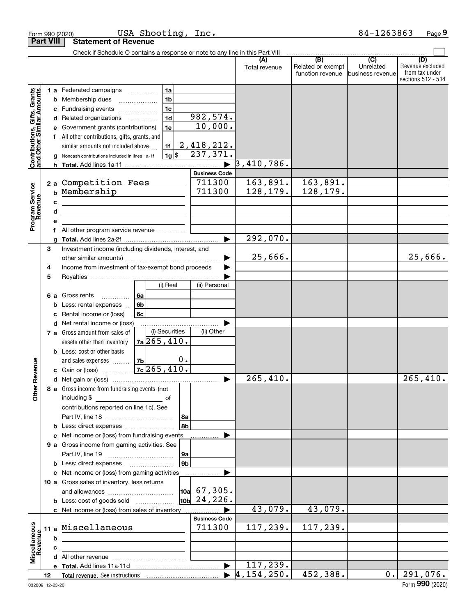|                                                           | Form 990 (2020)  |                                                                                                                                                                                                         | USA Shooting, Inc.   |                                                |                                    |                                              | 84-1263863                                         | Page 9                                                          |
|-----------------------------------------------------------|------------------|---------------------------------------------------------------------------------------------------------------------------------------------------------------------------------------------------------|----------------------|------------------------------------------------|------------------------------------|----------------------------------------------|----------------------------------------------------|-----------------------------------------------------------------|
|                                                           | <b>Part VIII</b> | <b>Statement of Revenue</b>                                                                                                                                                                             |                      |                                                |                                    |                                              |                                                    |                                                                 |
|                                                           |                  | Check if Schedule O contains a response or note to any line in this Part VIII                                                                                                                           |                      |                                                |                                    |                                              |                                                    |                                                                 |
|                                                           |                  |                                                                                                                                                                                                         |                      |                                                | (A)<br>Total revenue               | (B)<br>Related or exempt<br>function revenue | $\overline{(C)}$<br>Unrelated<br>lbusiness revenue | (D)<br>Revenue excluded<br>from tax under<br>sections 512 - 514 |
|                                                           |                  | <b>1 a</b> Federated campaigns                                                                                                                                                                          | 1a                   |                                                |                                    |                                              |                                                    |                                                                 |
|                                                           |                  | <b>b</b> Membership dues                                                                                                                                                                                | 1 <sub>b</sub>       |                                                |                                    |                                              |                                                    |                                                                 |
|                                                           | с                | Fundraising events                                                                                                                                                                                      | 1 <sub>c</sub>       |                                                |                                    |                                              |                                                    |                                                                 |
| Contributions, Gifts, Grants<br>and Other Similar Amounts | d                | Related organizations                                                                                                                                                                                   | 1 <sub>d</sub>       | 982,574.                                       |                                    |                                              |                                                    |                                                                 |
|                                                           | е                | Government grants (contributions)                                                                                                                                                                       | 1e                   | 10,000.                                        |                                    |                                              |                                                    |                                                                 |
|                                                           |                  | All other contributions, gifts, grants, and                                                                                                                                                             |                      |                                                |                                    |                                              |                                                    |                                                                 |
|                                                           |                  | similar amounts not included above                                                                                                                                                                      | 1f                   | 2, 418, 212.                                   |                                    |                                              |                                                    |                                                                 |
|                                                           | g                | Noncash contributions included in lines 1a-1f                                                                                                                                                           | $1g$ \$              | 237,371.                                       |                                    |                                              |                                                    |                                                                 |
|                                                           |                  |                                                                                                                                                                                                         |                      |                                                | 3,410,786.                         |                                              |                                                    |                                                                 |
|                                                           |                  |                                                                                                                                                                                                         |                      | <b>Business Code</b><br>711300                 | 163,891.                           |                                              |                                                    |                                                                 |
| Program Service<br>Revenue                                |                  | 2 a Competition Fees<br>b Membership                                                                                                                                                                    |                      | 711300                                         | 128, 179.                          | 163,891.<br>128, 179.                        |                                                    |                                                                 |
|                                                           |                  |                                                                                                                                                                                                         |                      |                                                |                                    |                                              |                                                    |                                                                 |
|                                                           | c<br>d           |                                                                                                                                                                                                         |                      |                                                |                                    |                                              |                                                    |                                                                 |
|                                                           | e                | the control of the control of the control of the control of the control of                                                                                                                              |                      |                                                |                                    |                                              |                                                    |                                                                 |
|                                                           | f                | All other program service revenue                                                                                                                                                                       |                      |                                                |                                    |                                              |                                                    |                                                                 |
|                                                           | g                |                                                                                                                                                                                                         |                      |                                                | 292,070.                           |                                              |                                                    |                                                                 |
|                                                           | 3                | Investment income (including dividends, interest, and                                                                                                                                                   |                      |                                                |                                    |                                              |                                                    |                                                                 |
|                                                           |                  |                                                                                                                                                                                                         |                      |                                                | 25,666.                            |                                              |                                                    | 25,666.                                                         |
|                                                           | 4                | Income from investment of tax-exempt bond proceeds                                                                                                                                                      |                      |                                                |                                    |                                              |                                                    |                                                                 |
|                                                           | 5                |                                                                                                                                                                                                         |                      |                                                |                                    |                                              |                                                    |                                                                 |
|                                                           |                  |                                                                                                                                                                                                         | (i) Real             | (ii) Personal                                  |                                    |                                              |                                                    |                                                                 |
|                                                           |                  | <b>6 a</b> Gross rents<br>.                                                                                                                                                                             | 6a                   |                                                |                                    |                                              |                                                    |                                                                 |
|                                                           | b                | Less: rental expenses                                                                                                                                                                                   | 6b                   |                                                |                                    |                                              |                                                    |                                                                 |
|                                                           | c                | Rental income or (loss)                                                                                                                                                                                 | 6c                   |                                                |                                    |                                              |                                                    |                                                                 |
|                                                           |                  | <b>d</b> Net rental income or (loss)                                                                                                                                                                    |                      |                                                |                                    |                                              |                                                    |                                                                 |
|                                                           |                  | 7 a Gross amount from sales of                                                                                                                                                                          | (i) Securities       | (ii) Other                                     |                                    |                                              |                                                    |                                                                 |
|                                                           |                  | assets other than inventory                                                                                                                                                                             | $7a$ 265, 410.       |                                                |                                    |                                              |                                                    |                                                                 |
|                                                           |                  | <b>b</b> Less: cost or other basis                                                                                                                                                                      |                      | 0.                                             |                                    |                                              |                                                    |                                                                 |
| evenue                                                    |                  | and sales expenses<br>c Gain or (loss)                                                                                                                                                                  | 7b<br>$7c$ 265, 410. |                                                |                                    |                                              |                                                    |                                                                 |
|                                                           |                  |                                                                                                                                                                                                         |                      |                                                | 265,410.                           |                                              |                                                    | $\overline{265,410}$ .                                          |
| œ                                                         |                  | 8 a Gross income from fundraising events (not                                                                                                                                                           |                      |                                                |                                    |                                              |                                                    |                                                                 |
| Other                                                     |                  |                                                                                                                                                                                                         |                      |                                                |                                    |                                              |                                                    |                                                                 |
|                                                           |                  | contributions reported on line 1c). See                                                                                                                                                                 |                      |                                                |                                    |                                              |                                                    |                                                                 |
|                                                           |                  |                                                                                                                                                                                                         |                      | 8a                                             |                                    |                                              |                                                    |                                                                 |
|                                                           |                  |                                                                                                                                                                                                         |                      | ∣8b                                            |                                    |                                              |                                                    |                                                                 |
|                                                           |                  | c Net income or (loss) from fundraising events                                                                                                                                                          |                      |                                                |                                    |                                              |                                                    |                                                                 |
|                                                           |                  | 9 a Gross income from gaming activities. See                                                                                                                                                            |                      |                                                |                                    |                                              |                                                    |                                                                 |
|                                                           |                  |                                                                                                                                                                                                         |                      | 9a                                             |                                    |                                              |                                                    |                                                                 |
|                                                           |                  | <b>b</b> Less: direct expenses <b>manually</b>                                                                                                                                                          |                      | 9b                                             |                                    |                                              |                                                    |                                                                 |
|                                                           |                  | c Net income or (loss) from gaming activities                                                                                                                                                           |                      | .                                              |                                    |                                              |                                                    |                                                                 |
|                                                           |                  | 10 a Gross sales of inventory, less returns                                                                                                                                                             |                      |                                                |                                    |                                              |                                                    |                                                                 |
|                                                           |                  |                                                                                                                                                                                                         |                      | $\vert$ 10a $\vert$ 67, 305.<br>$10b$ 24, 226. |                                    |                                              |                                                    |                                                                 |
|                                                           |                  |                                                                                                                                                                                                         |                      |                                                | 43,079.                            | 43,079.                                      |                                                    |                                                                 |
|                                                           |                  | c Net income or (loss) from sales of inventory                                                                                                                                                          |                      | <b>Business Code</b>                           |                                    |                                              |                                                    |                                                                 |
|                                                           |                  | 11 a Miscellaneous                                                                                                                                                                                      |                      | 711300                                         | $\overline{117,239}$ .             | 117,239.                                     |                                                    |                                                                 |
|                                                           | b                |                                                                                                                                                                                                         |                      |                                                |                                    |                                              |                                                    |                                                                 |
| Revenue                                                   | c                | <u> Alexandria de la contrada de la contrada de la contrada de la contrada de la contrada de la contrada de la c</u><br>the contract of the contract of the contract of the contract of the contract of |                      |                                                |                                    |                                              |                                                    |                                                                 |
| Miscellaneous                                             |                  |                                                                                                                                                                                                         |                      |                                                |                                    |                                              |                                                    |                                                                 |
|                                                           |                  |                                                                                                                                                                                                         |                      | $\blacktriangleright$                          | 117,239.                           |                                              |                                                    |                                                                 |
|                                                           | 12               |                                                                                                                                                                                                         |                      |                                                | $\blacktriangleright$ 4, 154, 250. | 452,388.                                     | 0.1                                                | 291,076.                                                        |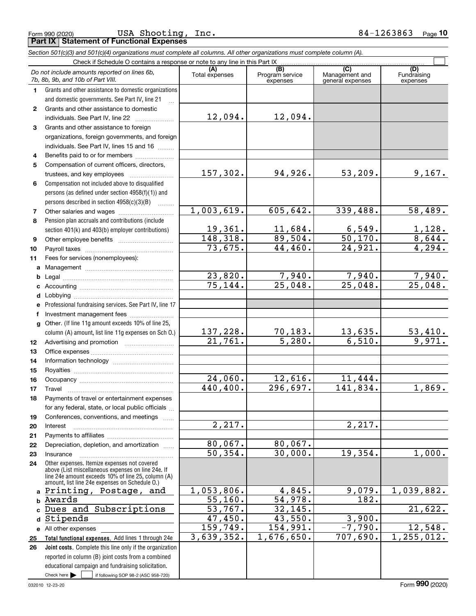Form 990 (2020) Page **Part IX Statement of Functional Expenses** USA Shooting, Inc. 84-1263863

|                  | Section 501(c)(3) and 501(c)(4) organizations must complete all columns. All other organizations must complete column (A).                                                                                 |                          |                                    |                                           |                                 |  |  |
|------------------|------------------------------------------------------------------------------------------------------------------------------------------------------------------------------------------------------------|--------------------------|------------------------------------|-------------------------------------------|---------------------------------|--|--|
|                  | Check if Schedule O contains a response or note to any line in this Part IX                                                                                                                                |                          |                                    |                                           | (D)                             |  |  |
|                  | Do not include amounts reported on lines 6b,<br>7b, 8b, 9b, and 10b of Part VIII.                                                                                                                          | (A)<br>Total expenses    | (B)<br>Program service<br>expenses | (C)<br>Management and<br>general expenses | Fundraising<br>expenses         |  |  |
| 1                | Grants and other assistance to domestic organizations                                                                                                                                                      |                          |                                    |                                           |                                 |  |  |
|                  | and domestic governments. See Part IV, line 21                                                                                                                                                             |                          |                                    |                                           |                                 |  |  |
| $\mathbf{2}$     | Grants and other assistance to domestic                                                                                                                                                                    |                          |                                    |                                           |                                 |  |  |
|                  | individuals. See Part IV, line 22                                                                                                                                                                          | 12,094.                  | 12,094.                            |                                           |                                 |  |  |
| 3                | Grants and other assistance to foreign                                                                                                                                                                     |                          |                                    |                                           |                                 |  |  |
|                  | organizations, foreign governments, and foreign                                                                                                                                                            |                          |                                    |                                           |                                 |  |  |
|                  | individuals. See Part IV, lines 15 and 16                                                                                                                                                                  |                          |                                    |                                           |                                 |  |  |
| 4                | Benefits paid to or for members                                                                                                                                                                            |                          |                                    |                                           |                                 |  |  |
| 5                | Compensation of current officers, directors,                                                                                                                                                               |                          |                                    |                                           |                                 |  |  |
|                  | trustees, and key employees                                                                                                                                                                                | 157,302.                 | 94,926.                            | 53,209.                                   | 9,167.                          |  |  |
| 6                | Compensation not included above to disqualified                                                                                                                                                            |                          |                                    |                                           |                                 |  |  |
|                  | persons (as defined under section 4958(f)(1)) and                                                                                                                                                          |                          |                                    |                                           |                                 |  |  |
|                  | persons described in section 4958(c)(3)(B)<br><b>Barbara</b>                                                                                                                                               |                          |                                    |                                           |                                 |  |  |
| 7                |                                                                                                                                                                                                            | 1,003,619.               | 605, 642.                          | 339,488.                                  | 58,489.                         |  |  |
| 8                | Pension plan accruals and contributions (include                                                                                                                                                           |                          |                                    |                                           |                                 |  |  |
|                  | section 401(k) and 403(b) employer contributions)                                                                                                                                                          | 19,361.                  | 11,684.                            | $\frac{6,549.}{50,170.}$<br>24,921.       | $\frac{1,128}{8,644}$<br>4,294. |  |  |
| 9                |                                                                                                                                                                                                            | 148,318.                 | $\frac{89,504.}{44,460.}$          |                                           |                                 |  |  |
| 10               |                                                                                                                                                                                                            | 73,675.                  |                                    |                                           |                                 |  |  |
| 11               | Fees for services (nonemployees):                                                                                                                                                                          |                          |                                    |                                           |                                 |  |  |
| a                |                                                                                                                                                                                                            |                          |                                    |                                           |                                 |  |  |
| b                |                                                                                                                                                                                                            | 23,820.                  | $\frac{7,940}{25,048}$             | $\frac{7,940}{25,048}$                    | $\frac{7,940}{25,048}$          |  |  |
| c                |                                                                                                                                                                                                            | 75, 144.                 |                                    |                                           |                                 |  |  |
| d                |                                                                                                                                                                                                            |                          |                                    |                                           |                                 |  |  |
| е                | Professional fundraising services. See Part IV, line 17                                                                                                                                                    |                          |                                    |                                           |                                 |  |  |
| f                | Investment management fees                                                                                                                                                                                 |                          |                                    |                                           |                                 |  |  |
| g                | Other. (If line 11g amount exceeds 10% of line 25,                                                                                                                                                         |                          |                                    |                                           |                                 |  |  |
|                  | column (A) amount, list line 11g expenses on Sch O.)                                                                                                                                                       | $\frac{137,228}{21,761}$ | $\frac{70,183.}{5,280.}$           | $\frac{13,635.}{6,510.}$                  | $\frac{53,410}{9,971}$          |  |  |
| 12 <sup>12</sup> |                                                                                                                                                                                                            |                          |                                    |                                           |                                 |  |  |
| 13               |                                                                                                                                                                                                            |                          |                                    |                                           |                                 |  |  |
| 14               |                                                                                                                                                                                                            |                          |                                    |                                           |                                 |  |  |
| 15               |                                                                                                                                                                                                            |                          |                                    |                                           |                                 |  |  |
| 16               |                                                                                                                                                                                                            | 24,060.                  | 12,616.                            | 11,444.                                   |                                 |  |  |
| 17               | Travel                                                                                                                                                                                                     | 440,400.                 | 296,697.                           | 141,834.                                  | 1,869.                          |  |  |
| 18               | Payments of travel or entertainment expenses                                                                                                                                                               |                          |                                    |                                           |                                 |  |  |
|                  | for any federal, state, or local public officials                                                                                                                                                          |                          |                                    |                                           |                                 |  |  |
| 19               | Conferences, conventions, and meetings                                                                                                                                                                     |                          |                                    |                                           |                                 |  |  |
| 20               | Interest                                                                                                                                                                                                   | $\overline{2,217}$ .     |                                    | 2,217.                                    |                                 |  |  |
| 21               |                                                                                                                                                                                                            |                          |                                    |                                           |                                 |  |  |
| 22               | Depreciation, depletion, and amortization                                                                                                                                                                  | 80,067.                  | 80,067.                            |                                           |                                 |  |  |
| 23               | Insurance                                                                                                                                                                                                  | 50, 354.                 | 30,000.                            | 19,354.                                   | 1,000.                          |  |  |
| 24               | Other expenses. Itemize expenses not covered<br>above (List miscellaneous expenses on line 24e. If<br>line 24e amount exceeds 10% of line 25, column (A)<br>amount, list line 24e expenses on Schedule O.) |                          |                                    |                                           |                                 |  |  |
| a                | Printing, Postage, and                                                                                                                                                                                     | 1,053,806.               | 4,845.                             | 9,079.                                    | 1,039,882.                      |  |  |
| b                | Awards                                                                                                                                                                                                     | 55, 160.                 | 54,978.                            | 182.                                      |                                 |  |  |
|                  | Dues and Subscriptions                                                                                                                                                                                     | 53,767.                  | 32,145.                            |                                           | 21,622.                         |  |  |
| d                | Stipends                                                                                                                                                                                                   | 47,450.                  | 43,550.                            | 3,900.                                    |                                 |  |  |
|                  | e All other expenses                                                                                                                                                                                       | 159,749.                 | 154,991.                           | $-7,790.$                                 | 12,548.                         |  |  |
| 25               | Total functional expenses. Add lines 1 through 24e                                                                                                                                                         | 3,639,352.               | 1,676,650.                         | 707,690.                                  | 1, 255, 012.                    |  |  |
| 26               | Joint costs. Complete this line only if the organization                                                                                                                                                   |                          |                                    |                                           |                                 |  |  |
|                  | reported in column (B) joint costs from a combined                                                                                                                                                         |                          |                                    |                                           |                                 |  |  |
|                  | educational campaign and fundraising solicitation.                                                                                                                                                         |                          |                                    |                                           |                                 |  |  |

Check here

Check here  $\bullet$  if following SOP 98-2 (ASC 958-720)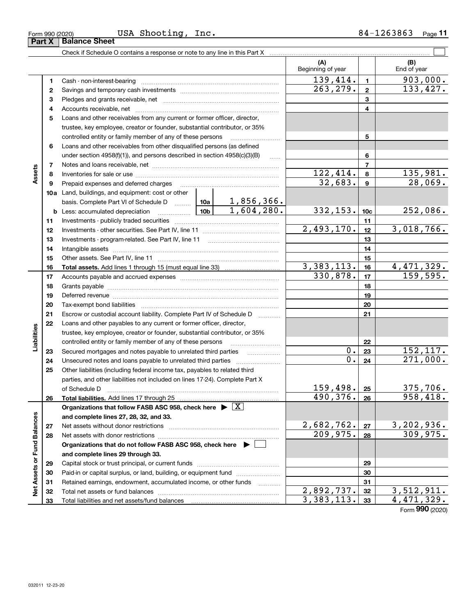| Form 990 (2020) | USA<br>Shooting<br>Inc. | .263863<br>84–<br>Page |
|-----------------|-------------------------|------------------------|
|-----------------|-------------------------|------------------------|

|                             |          | Check if Schedule O contains a response or note to any line in this Part X                 |          |                                                      |                          |                 |                             |
|-----------------------------|----------|--------------------------------------------------------------------------------------------|----------|------------------------------------------------------|--------------------------|-----------------|-----------------------------|
|                             |          |                                                                                            |          |                                                      | (A)<br>Beginning of year |                 | (B)<br>End of year          |
|                             | 1        |                                                                                            |          |                                                      | 139,414.                 | $\mathbf{1}$    | 903,000.                    |
|                             | 2        |                                                                                            |          |                                                      | 263, 279.                | $\mathbf{2}$    | 133,427.                    |
|                             | З        |                                                                                            |          |                                                      | 3                        |                 |                             |
|                             | 4        |                                                                                            |          |                                                      |                          | 4               |                             |
|                             | 5        | Loans and other receivables from any current or former officer, director,                  |          |                                                      |                          |                 |                             |
|                             |          | trustee, key employee, creator or founder, substantial contributor, or 35%                 |          |                                                      |                          |                 |                             |
|                             |          | controlled entity or family member of any of these persons                                 |          |                                                      |                          | 5               |                             |
|                             | 6        | Loans and other receivables from other disqualified persons (as defined                    |          |                                                      |                          |                 |                             |
|                             |          | under section $4958(f)(1)$ , and persons described in section $4958(c)(3)(B)$              |          | $\ldots$                                             |                          | 6               |                             |
|                             | 7        |                                                                                            |          |                                                      |                          | 7               |                             |
| Assets                      | 8        |                                                                                            |          |                                                      | 122,414.                 | 8               | 135,981.                    |
|                             | 9        | Prepaid expenses and deferred charges                                                      |          |                                                      | 32,683.                  | 9               | 28,069.                     |
|                             |          | 10a Land, buildings, and equipment: cost or other                                          |          |                                                      |                          |                 |                             |
|                             |          | basis. Complete Part VI of Schedule D  10a                                                 |          | 1,856,366.                                           |                          |                 |                             |
|                             |          |                                                                                            |          | 1,604,280.                                           | 332, 153.                | 10 <sub>c</sub> | 252,086.                    |
|                             | 11       |                                                                                            |          |                                                      |                          | 11              |                             |
|                             | 12       |                                                                                            |          |                                                      | 2,493,170.               | 12              | 3,018,766.                  |
|                             | 13       |                                                                                            |          |                                                      | 13                       |                 |                             |
|                             | 14       |                                                                                            |          | 14                                                   |                          |                 |                             |
|                             | 15       |                                                                                            |          |                                                      | 15                       |                 |                             |
|                             | 16       |                                                                                            |          |                                                      | 3,383,113.               | 16              | 4,471,329.                  |
|                             | 17       |                                                                                            | 330,878. | 17                                                   | 159,595.                 |                 |                             |
|                             | 18       |                                                                                            |          | 18                                                   |                          |                 |                             |
|                             | 19       |                                                                                            |          |                                                      |                          | 19              |                             |
|                             | 20       |                                                                                            |          |                                                      |                          | 20              |                             |
|                             | 21       | Escrow or custodial account liability. Complete Part IV of Schedule D                      |          |                                                      |                          | 21              |                             |
|                             | 22       | Loans and other payables to any current or former officer, director,                       |          |                                                      |                          |                 |                             |
| Liabilities                 |          | trustee, key employee, creator or founder, substantial contributor, or 35%                 |          |                                                      |                          |                 |                             |
|                             |          | controlled entity or family member of any of these persons                                 |          | <u> 1986 - Johann Stoff, Amerikaansk politiker (</u> |                          | 22              |                             |
|                             | 23       | Secured mortgages and notes payable to unrelated third parties                             |          | .                                                    | 0.<br>0.                 | 23              | 152, 117.                   |
|                             | 24       |                                                                                            |          |                                                      |                          | 24              | 271,000.                    |
|                             | 25       | Other liabilities (including federal income tax, payables to related third                 |          |                                                      |                          |                 |                             |
|                             |          | parties, and other liabilities not included on lines 17-24). Complete Part X               |          |                                                      |                          |                 |                             |
|                             |          | of Schedule D                                                                              |          |                                                      | 159,498.<br>490, 376.    | 25              | <u>375,706.</u><br>958,418. |
|                             | 26       | Total liabilities. Add lines 17 through 25                                                 |          |                                                      |                          | 26              |                             |
|                             |          | Organizations that follow FASB ASC 958, check here $\blacktriangleright \lfloor X \rfloor$ |          |                                                      |                          |                 |                             |
|                             |          | and complete lines 27, 28, 32, and 33.                                                     |          |                                                      | 2,682,762.               | 27              | 3,202,936.                  |
|                             | 27<br>28 | Net assets without donor restrictions                                                      |          |                                                      | 209,975.                 | 28              | 309,975.                    |
|                             |          | Organizations that do not follow FASB ASC 958, check here $\blacktriangleright$            |          |                                                      |                          |                 |                             |
|                             |          | and complete lines 29 through 33.                                                          |          |                                                      |                          |                 |                             |
| Net Assets or Fund Balances | 29       |                                                                                            |          |                                                      |                          | 29              |                             |
|                             | 30       | Paid-in or capital surplus, or land, building, or equipment fund                           |          |                                                      |                          | 30              |                             |
|                             | 31       | Retained earnings, endowment, accumulated income, or other funds                           |          |                                                      |                          | 31              |                             |
|                             | 32       |                                                                                            |          | 1.1.1.1.1.1.1.1.1.1                                  | 2,892,737.               | 32              | 3,512,911.                  |
|                             | 33       |                                                                                            |          | 3,383,113.                                           | 33                       | 4,471,329.      |                             |

Form (2020) **990**

**Part X Balance Sheet** 

| Form 990 (2020) |
|-----------------|
|-----------------|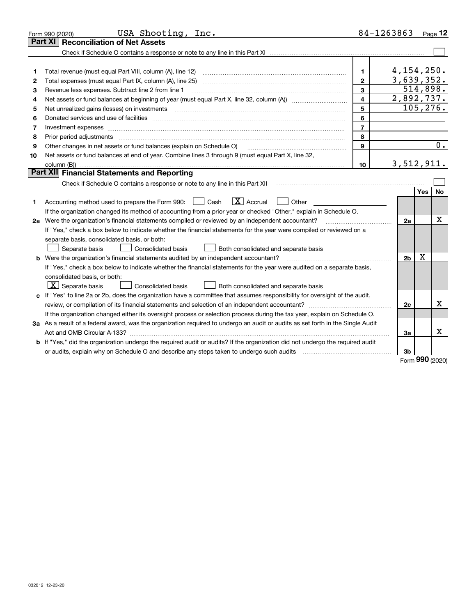|    | USA Shooting,<br>Inc.<br>Form 990 (2020)                                                                                                                                                |                                       | 84-1263863              |            | Page $12$ |  |  |
|----|-----------------------------------------------------------------------------------------------------------------------------------------------------------------------------------------|---------------------------------------|-------------------------|------------|-----------|--|--|
|    | Part XI<br><b>Reconciliation of Net Assets</b>                                                                                                                                          |                                       |                         |            |           |  |  |
|    |                                                                                                                                                                                         |                                       |                         |            |           |  |  |
|    |                                                                                                                                                                                         |                                       |                         |            |           |  |  |
| 1  |                                                                                                                                                                                         | 1.                                    | 4,154,250.              |            |           |  |  |
| 2  |                                                                                                                                                                                         | $\mathbf{2}$                          | 3,639,352.              |            |           |  |  |
| 3  | Revenue less expenses. Subtract line 2 from line 1                                                                                                                                      | 3                                     | 514,898.                |            |           |  |  |
| 4  |                                                                                                                                                                                         | $\overline{4}$                        | 2,892,737.<br>105, 276. |            |           |  |  |
| 5  | 5                                                                                                                                                                                       |                                       |                         |            |           |  |  |
| 6  |                                                                                                                                                                                         | 6                                     |                         |            |           |  |  |
| 7  | Investment expenses www.communication.com/www.communication.com/www.communication.com/www.communication.com                                                                             | $\overline{7}$                        |                         |            |           |  |  |
| 8  | Prior period adjustments                                                                                                                                                                | 8                                     |                         |            |           |  |  |
| 9  | Other changes in net assets or fund balances (explain on Schedule O)                                                                                                                    | 9                                     |                         |            | 0.        |  |  |
| 10 | Net assets or fund balances at end of year. Combine lines 3 through 9 (must equal Part X, line 32,                                                                                      |                                       |                         |            |           |  |  |
|    |                                                                                                                                                                                         | 10                                    | 3,512,911.              |            |           |  |  |
|    | <b>Part XII</b> Financial Statements and Reporting                                                                                                                                      |                                       |                         |            |           |  |  |
|    | Check if Schedule O contains a response or note to any line in this Part XII [11] [11] [11] [11] [11] [11] Check if Schedule O contains a response or note to any line in this Part XII |                                       |                         |            |           |  |  |
|    |                                                                                                                                                                                         |                                       |                         | <b>Yes</b> | <b>No</b> |  |  |
| 1  | $\boxed{\textbf{X}}$ Accrual<br>Accounting method used to prepare the Form 990: <u>June</u> Cash<br>Other                                                                               |                                       |                         |            |           |  |  |
|    | If the organization changed its method of accounting from a prior year or checked "Other," explain in Schedule O.                                                                       |                                       |                         |            |           |  |  |
|    | 2a Were the organization's financial statements compiled or reviewed by an independent accountant?                                                                                      | <u> 1986 - Jan Barbarat, martin a</u> | 2a                      |            | x         |  |  |
|    | If "Yes," check a box below to indicate whether the financial statements for the year were compiled or reviewed on a                                                                    |                                       |                         |            |           |  |  |
|    | separate basis, consolidated basis, or both:                                                                                                                                            |                                       |                         |            |           |  |  |
|    | Separate basis<br>Consolidated basis<br>Both consolidated and separate basis                                                                                                            |                                       |                         |            |           |  |  |
|    | <b>b</b> Were the organization's financial statements audited by an independent accountant?                                                                                             |                                       | 2 <sub>b</sub>          | х          |           |  |  |
|    | If "Yes," check a box below to indicate whether the financial statements for the year were audited on a separate basis,                                                                 |                                       |                         |            |           |  |  |
|    | consolidated basis, or both:                                                                                                                                                            |                                       |                         |            |           |  |  |
|    | $\vert$ X $\vert$ Separate basis<br>Consolidated basis<br>Both consolidated and separate basis                                                                                          |                                       |                         |            |           |  |  |
|    | c If "Yes" to line 2a or 2b, does the organization have a committee that assumes responsibility for oversight of the audit,                                                             |                                       |                         |            |           |  |  |
|    | review, or compilation of its financial statements and selection of an independent accountant?                                                                                          |                                       | 2c                      |            | х         |  |  |
|    | If the organization changed either its oversight process or selection process during the tax year, explain on Schedule O.                                                               |                                       |                         |            |           |  |  |
|    | 3a As a result of a federal award, was the organization required to undergo an audit or audits as set forth in the Single Audit                                                         |                                       |                         |            |           |  |  |
|    |                                                                                                                                                                                         |                                       | За                      |            | x         |  |  |
|    | <b>b</b> If "Yes," did the organization undergo the required audit or audits? If the organization did not undergo the required audit                                                    |                                       |                         |            |           |  |  |
|    |                                                                                                                                                                                         |                                       | 3 <sub>b</sub>          |            |           |  |  |

Form (2020) **990**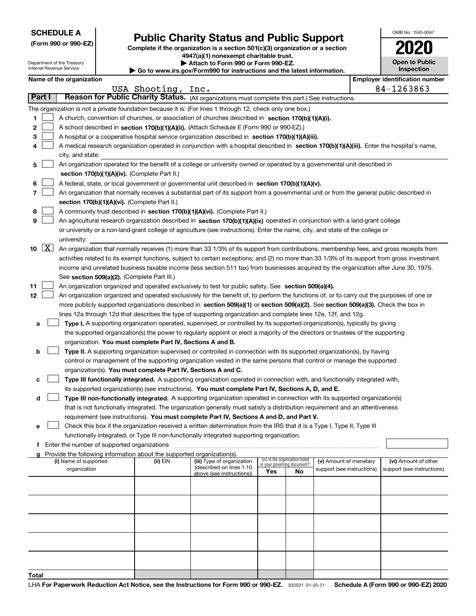|  | <b>SCHEDULE A</b> |
|--|-------------------|
|--|-------------------|

Department of the Treasury Internal Revenue Service

**(Form 990 or 990-EZ)**

# **Public Charity Status and Public Support**

**Complete if the organization is a section 501(c)(3) organization or a section 4947(a)(1) nonexempt charitable trust. | Attach to Form 990 or Form 990-EZ.**   $\blacktriangleright$  Go to

| www.irs.gov/Form990 for instructions and the latest information. |  |  |
|------------------------------------------------------------------|--|--|
|                                                                  |  |  |

| OMB No. 1545-0047 |
|-------------------|
| 2020              |
| Open to Public    |

**Inspection**

|              |                    | Name of the organization                                                                                                                     |               |                            |                                    |                                 |                            |  | <b>Employer identification number</b> |  |
|--------------|--------------------|----------------------------------------------------------------------------------------------------------------------------------------------|---------------|----------------------------|------------------------------------|---------------------------------|----------------------------|--|---------------------------------------|--|
|              |                    |                                                                                                                                              | USA Shooting, | Inc.                       |                                    |                                 |                            |  | 84-1263863                            |  |
| Part I       |                    | Reason for Public Charity Status. (All organizations must complete this part.) See instructions.                                             |               |                            |                                    |                                 |                            |  |                                       |  |
|              |                    | The organization is not a private foundation because it is: (For lines 1 through 12, check only one box.)                                    |               |                            |                                    |                                 |                            |  |                                       |  |
| 1            |                    | A church, convention of churches, or association of churches described in section 170(b)(1)(A)(i).                                           |               |                            |                                    |                                 |                            |  |                                       |  |
| 2            |                    | A school described in section 170(b)(1)(A)(ii). (Attach Schedule E (Form 990 or 990-EZ).)                                                    |               |                            |                                    |                                 |                            |  |                                       |  |
| 3            |                    | A hospital or a cooperative hospital service organization described in section $170(b)(1)(A)(iii)$ .                                         |               |                            |                                    |                                 |                            |  |                                       |  |
|              |                    | A medical research organization operated in conjunction with a hospital described in section 170(b)(1)(A)(iii). Enter the hospital's name,   |               |                            |                                    |                                 |                            |  |                                       |  |
|              |                    | city, and state:                                                                                                                             |               |                            |                                    |                                 |                            |  |                                       |  |
| 5            |                    | An organization operated for the benefit of a college or university owned or operated by a governmental unit described in                    |               |                            |                                    |                                 |                            |  |                                       |  |
|              |                    | section 170(b)(1)(A)(iv). (Complete Part II.)                                                                                                |               |                            |                                    |                                 |                            |  |                                       |  |
|              |                    | A federal, state, or local government or governmental unit described in section 170(b)(1)(A)(v).                                             |               |                            |                                    |                                 |                            |  |                                       |  |
| 6            |                    |                                                                                                                                              |               |                            |                                    |                                 |                            |  |                                       |  |
| 7            |                    | An organization that normally receives a substantial part of its support from a governmental unit or from the general public described in    |               |                            |                                    |                                 |                            |  |                                       |  |
|              |                    | section 170(b)(1)(A)(vi). (Complete Part II.)<br>A community trust described in section 170(b)(1)(A)(vi). (Complete Part II.)                |               |                            |                                    |                                 |                            |  |                                       |  |
| 8            |                    |                                                                                                                                              |               |                            |                                    |                                 |                            |  |                                       |  |
| 9            |                    | An agricultural research organization described in section 170(b)(1)(A)(ix) operated in conjunction with a land-grant college                |               |                            |                                    |                                 |                            |  |                                       |  |
|              |                    | or university or a non-land-grant college of agriculture (see instructions). Enter the name, city, and state of the college or               |               |                            |                                    |                                 |                            |  |                                       |  |
|              |                    | university:                                                                                                                                  |               |                            |                                    |                                 |                            |  |                                       |  |
| 10           | $\boxed{\text{X}}$ | An organization that normally receives (1) more than 33 1/3% of its support from contributions, membership fees, and gross receipts from     |               |                            |                                    |                                 |                            |  |                                       |  |
|              |                    | activities related to its exempt functions, subject to certain exceptions; and (2) no more than 33 1/3% of its support from gross investment |               |                            |                                    |                                 |                            |  |                                       |  |
|              |                    | income and unrelated business taxable income (less section 511 tax) from businesses acquired by the organization after June 30, 1975.        |               |                            |                                    |                                 |                            |  |                                       |  |
|              |                    | See section 509(a)(2). (Complete Part III.)                                                                                                  |               |                            |                                    |                                 |                            |  |                                       |  |
| 11           |                    | An organization organized and operated exclusively to test for public safety. See section 509(a)(4).                                         |               |                            |                                    |                                 |                            |  |                                       |  |
| 12           |                    | An organization organized and operated exclusively for the benefit of, to perform the functions of, or to carry out the purposes of one or   |               |                            |                                    |                                 |                            |  |                                       |  |
|              |                    | more publicly supported organizations described in section 509(a)(1) or section 509(a)(2). See section 509(a)(3). Check the box in           |               |                            |                                    |                                 |                            |  |                                       |  |
|              |                    | lines 12a through 12d that describes the type of supporting organization and complete lines 12e, 12f, and 12g.                               |               |                            |                                    |                                 |                            |  |                                       |  |
| а            |                    | Type I. A supporting organization operated, supervised, or controlled by its supported organization(s), typically by giving                  |               |                            |                                    |                                 |                            |  |                                       |  |
|              |                    | the supported organization(s) the power to regularly appoint or elect a majority of the directors or trustees of the supporting              |               |                            |                                    |                                 |                            |  |                                       |  |
|              |                    | organization. You must complete Part IV, Sections A and B.                                                                                   |               |                            |                                    |                                 |                            |  |                                       |  |
| b            |                    | Type II. A supporting organization supervised or controlled in connection with its supported organization(s), by having                      |               |                            |                                    |                                 |                            |  |                                       |  |
|              |                    | control or management of the supporting organization vested in the same persons that control or manage the supported                         |               |                            |                                    |                                 |                            |  |                                       |  |
|              |                    | organization(s). You must complete Part IV, Sections A and C.                                                                                |               |                            |                                    |                                 |                            |  |                                       |  |
| c            |                    | Type III functionally integrated. A supporting organization operated in connection with, and functionally integrated with,                   |               |                            |                                    |                                 |                            |  |                                       |  |
|              |                    | its supported organization(s) (see instructions). You must complete Part IV, Sections A, D, and E.                                           |               |                            |                                    |                                 |                            |  |                                       |  |
| d            |                    | Type III non-functionally integrated. A supporting organization operated in connection with its supported organization(s)                    |               |                            |                                    |                                 |                            |  |                                       |  |
|              |                    | that is not functionally integrated. The organization generally must satisfy a distribution requirement and an attentiveness                 |               |                            |                                    |                                 |                            |  |                                       |  |
|              |                    | requirement (see instructions). You must complete Part IV, Sections A and D, and Part V.                                                     |               |                            |                                    |                                 |                            |  |                                       |  |
|              |                    | Check this box if the organization received a written determination from the IRS that it is a Type I, Type II, Type III                      |               |                            |                                    |                                 |                            |  |                                       |  |
|              |                    | functionally integrated, or Type III non-functionally integrated supporting organization.                                                    |               |                            |                                    |                                 |                            |  |                                       |  |
|              |                    |                                                                                                                                              |               |                            |                                    |                                 |                            |  |                                       |  |
|              |                    | f Enter the number of supported organizations                                                                                                |               |                            |                                    |                                 |                            |  |                                       |  |
|              |                    | g Provide the following information about the supported organization(s).<br>(i) Name of supported                                            | (ii) EIN      | (iii) Type of organization |                                    | (iv) Is the organization listed | (v) Amount of monetary     |  | (vi) Amount of other                  |  |
|              |                    | organization                                                                                                                                 |               | (described on lines 1-10   | in your governing document?<br>Yes |                                 | support (see instructions) |  | support (see instructions)            |  |
|              |                    |                                                                                                                                              |               | above (see instructions))  |                                    | No                              |                            |  |                                       |  |
|              |                    |                                                                                                                                              |               |                            |                                    |                                 |                            |  |                                       |  |
|              |                    |                                                                                                                                              |               |                            |                                    |                                 |                            |  |                                       |  |
|              |                    |                                                                                                                                              |               |                            |                                    |                                 |                            |  |                                       |  |
|              |                    |                                                                                                                                              |               |                            |                                    |                                 |                            |  |                                       |  |
|              |                    |                                                                                                                                              |               |                            |                                    |                                 |                            |  |                                       |  |
|              |                    |                                                                                                                                              |               |                            |                                    |                                 |                            |  |                                       |  |
|              |                    |                                                                                                                                              |               |                            |                                    |                                 |                            |  |                                       |  |
|              |                    |                                                                                                                                              |               |                            |                                    |                                 |                            |  |                                       |  |
|              |                    |                                                                                                                                              |               |                            |                                    |                                 |                            |  |                                       |  |
|              |                    |                                                                                                                                              |               |                            |                                    |                                 |                            |  |                                       |  |
| <b>Total</b> |                    |                                                                                                                                              |               |                            |                                    |                                 |                            |  |                                       |  |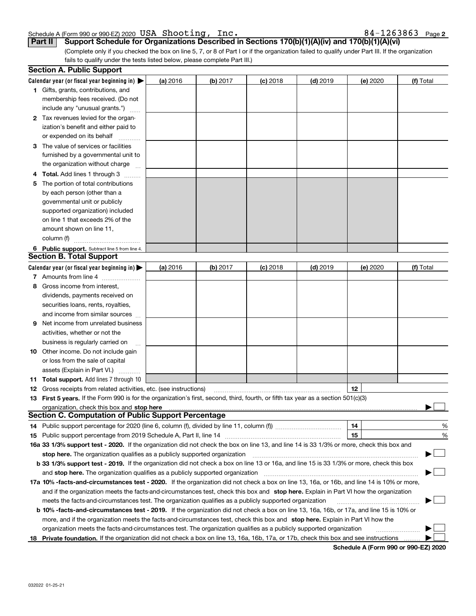| Schedule A (Form 990 or 990-EZ) 2020 USA Shooting, Inc. |  | $84 - 1263863$ Page 2 |
|---------------------------------------------------------|--|-----------------------|
|                                                         |  |                       |

(Complete only if you checked the box on line 5, 7, or 8 of Part I or if the organization failed to qualify under Part III. If the organization **Part II Support Schedule for Organizations Described in Sections 170(b)(1)(A)(iv) and 170(b)(1)(A)(vi)**

fails to qualify under the tests listed below, please complete Part III.)

|    | <b>Section A. Public Support</b>                                                                                                               |          |          |            |            |          |           |
|----|------------------------------------------------------------------------------------------------------------------------------------------------|----------|----------|------------|------------|----------|-----------|
|    | Calendar year (or fiscal year beginning in) $\blacktriangleright$                                                                              | (a) 2016 | (b) 2017 | $(c)$ 2018 | $(d)$ 2019 | (e) 2020 | (f) Total |
|    | <b>1</b> Gifts, grants, contributions, and                                                                                                     |          |          |            |            |          |           |
|    | membership fees received. (Do not                                                                                                              |          |          |            |            |          |           |
|    | include any "unusual grants.")                                                                                                                 |          |          |            |            |          |           |
|    | <b>2</b> Tax revenues levied for the organ-                                                                                                    |          |          |            |            |          |           |
|    | ization's benefit and either paid to                                                                                                           |          |          |            |            |          |           |
|    | or expended on its behalf                                                                                                                      |          |          |            |            |          |           |
|    | 3 The value of services or facilities                                                                                                          |          |          |            |            |          |           |
|    | furnished by a governmental unit to                                                                                                            |          |          |            |            |          |           |
|    | the organization without charge                                                                                                                |          |          |            |            |          |           |
|    | 4 Total. Add lines 1 through 3                                                                                                                 |          |          |            |            |          |           |
| 5. | The portion of total contributions                                                                                                             |          |          |            |            |          |           |
|    | by each person (other than a                                                                                                                   |          |          |            |            |          |           |
|    | governmental unit or publicly                                                                                                                  |          |          |            |            |          |           |
|    | supported organization) included                                                                                                               |          |          |            |            |          |           |
|    | on line 1 that exceeds 2% of the                                                                                                               |          |          |            |            |          |           |
|    | amount shown on line 11,                                                                                                                       |          |          |            |            |          |           |
|    | column (f)                                                                                                                                     |          |          |            |            |          |           |
|    | 6 Public support. Subtract line 5 from line 4.                                                                                                 |          |          |            |            |          |           |
|    | <b>Section B. Total Support</b>                                                                                                                |          |          |            |            |          |           |
|    | Calendar year (or fiscal year beginning in)                                                                                                    | (a) 2016 | (b) 2017 | $(c)$ 2018 | $(d)$ 2019 | (e) 2020 | (f) Total |
|    | 7 Amounts from line 4                                                                                                                          |          |          |            |            |          |           |
|    | 8 Gross income from interest,                                                                                                                  |          |          |            |            |          |           |
|    | dividends, payments received on                                                                                                                |          |          |            |            |          |           |
|    | securities loans, rents, royalties,                                                                                                            |          |          |            |            |          |           |
|    | and income from similar sources                                                                                                                |          |          |            |            |          |           |
| 9. | Net income from unrelated business                                                                                                             |          |          |            |            |          |           |
|    | activities, whether or not the                                                                                                                 |          |          |            |            |          |           |
|    | business is regularly carried on                                                                                                               |          |          |            |            |          |           |
|    | <b>10</b> Other income. Do not include gain                                                                                                    |          |          |            |            |          |           |
|    | or loss from the sale of capital                                                                                                               |          |          |            |            |          |           |
|    | assets (Explain in Part VI.)                                                                                                                   |          |          |            |            |          |           |
|    | <b>11 Total support.</b> Add lines 7 through 10                                                                                                |          |          |            |            |          |           |
|    | <b>12</b> Gross receipts from related activities, etc. (see instructions)                                                                      |          |          |            |            | 12       |           |
|    | 13 First 5 years. If the Form 990 is for the organization's first, second, third, fourth, or fifth tax year as a section 501(c)(3)             |          |          |            |            |          |           |
|    | organization, check this box and <b>stop here</b> www.communication.communication.communication.communication.communic                         |          |          |            |            |          |           |
|    | <b>Section C. Computation of Public Support Percentage</b>                                                                                     |          |          |            |            |          |           |
|    |                                                                                                                                                |          |          |            |            | 14       | %         |
|    |                                                                                                                                                |          |          |            |            | 15       | $\%$      |
|    | 16a 33 1/3% support test - 2020. If the organization did not check the box on line 13, and line 14 is 33 1/3% or more, check this box and      |          |          |            |            |          |           |
|    | stop here. The organization qualifies as a publicly supported organization                                                                     |          |          |            |            |          |           |
|    | b 33 1/3% support test - 2019. If the organization did not check a box on line 13 or 16a, and line 15 is 33 1/3% or more, check this box       |          |          |            |            |          |           |
|    | and stop here. The organization qualifies as a publicly supported organization                                                                 |          |          |            |            |          |           |
|    | 17a 10% -facts-and-circumstances test - 2020. If the organization did not check a box on line 13, 16a, or 16b, and line 14 is 10% or more,     |          |          |            |            |          |           |
|    | and if the organization meets the facts-and-circumstances test, check this box and stop here. Explain in Part VI how the organization          |          |          |            |            |          |           |
|    | meets the facts-and-circumstances test. The organization qualifies as a publicly supported organization                                        |          |          |            |            |          |           |
|    | <b>b 10% -facts-and-circumstances test - 2019.</b> If the organization did not check a box on line 13, 16a, 16b, or 17a, and line 15 is 10% or |          |          |            |            |          |           |
|    | more, and if the organization meets the facts-and-circumstances test, check this box and stop here. Explain in Part VI how the                 |          |          |            |            |          |           |
|    | organization meets the facts-and-circumstances test. The organization qualifies as a publicly supported organization                           |          |          |            |            |          |           |
|    | 18 Private foundation. If the organization did not check a box on line 13, 16a, 16b, 17a, or 17b, check this box and see instructions          |          |          |            |            |          |           |
|    |                                                                                                                                                |          |          |            |            |          |           |

**Schedule A (Form 990 or 990-EZ) 2020**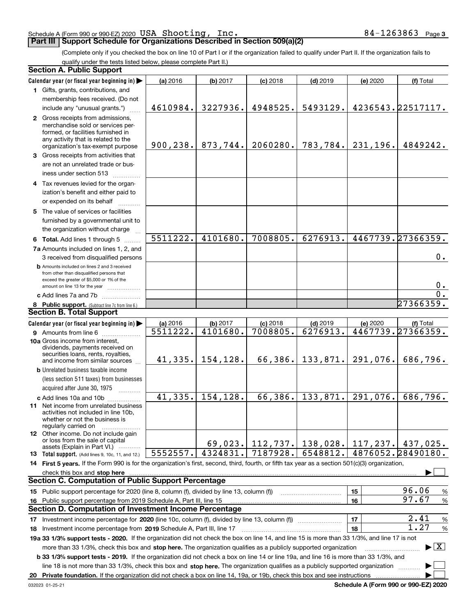### Schedule A (Form 990 or 990-EZ) 2020  $\verb|USA|$   $\verb|Shoothing|$  ,  $\verb|Inc.|$  . The set of  $\verb|84-1263863|$   $\verb|Page|$

## **Part III | Support Schedule for Organizations Described in Section 509(a)(2)**

**3**

(Complete only if you checked the box on line 10 of Part I or if the organization failed to qualify under Part II. If the organization fails to qualify under the tests listed below, please complete Part II.)

| <b>Section A. Public Support</b>                                                                                                                                                                                                                          |           |                     |            |                      |           |                                          |
|-----------------------------------------------------------------------------------------------------------------------------------------------------------------------------------------------------------------------------------------------------------|-----------|---------------------|------------|----------------------|-----------|------------------------------------------|
| Calendar year (or fiscal year beginning in)                                                                                                                                                                                                               | (a) 2016  | (b) 2017            | $(c)$ 2018 | $(d)$ 2019           | (e) 2020  | (f) Total                                |
| 1 Gifts, grants, contributions, and                                                                                                                                                                                                                       |           |                     |            |                      |           |                                          |
| membership fees received. (Do not                                                                                                                                                                                                                         |           |                     |            |                      |           |                                          |
| include any "unusual grants.")                                                                                                                                                                                                                            | 4610984.  | 3227936.            | 4948525.   | 5493129.             |           | 4236543.22517117.                        |
| 2 Gross receipts from admissions,<br>merchandise sold or services per-<br>formed, or facilities furnished in<br>any activity that is related to the                                                                                                       |           |                     |            |                      |           |                                          |
| organization's tax-exempt purpose                                                                                                                                                                                                                         | 900, 238. | 873,744.            | 2060280.   | 783, 784.            | 231,196.  | 4849242.                                 |
| 3 Gross receipts from activities that<br>are not an unrelated trade or bus-                                                                                                                                                                               |           |                     |            |                      |           |                                          |
| iness under section 513                                                                                                                                                                                                                                   |           |                     |            |                      |           |                                          |
| 4 Tax revenues levied for the organ-<br>ization's benefit and either paid to                                                                                                                                                                              |           |                     |            |                      |           |                                          |
| or expended on its behalf                                                                                                                                                                                                                                 |           |                     |            |                      |           |                                          |
| 5 The value of services or facilities<br>furnished by a governmental unit to<br>the organization without charge                                                                                                                                           |           |                     |            |                      |           |                                          |
| 6 Total. Add lines 1 through 5                                                                                                                                                                                                                            | 5511222.  | 4101680.            | 7008805.   | 6276913.             |           | 4467739.27366359.                        |
| 7a Amounts included on lines 1, 2, and<br>3 received from disqualified persons                                                                                                                                                                            |           |                     |            |                      |           | $0$ .                                    |
| <b>b</b> Amounts included on lines 2 and 3 received<br>from other than disqualified persons that<br>exceed the greater of \$5,000 or 1% of the<br>amount on line 13 for the year                                                                          |           |                     |            |                      |           | 0.                                       |
| c Add lines 7a and 7b                                                                                                                                                                                                                                     |           |                     |            |                      |           | $\overline{0}$ .                         |
| 8 Public support. (Subtract line 7c from line 6.)                                                                                                                                                                                                         |           |                     |            |                      |           | 27366359.                                |
| <b>Section B. Total Support</b>                                                                                                                                                                                                                           |           |                     |            |                      |           |                                          |
| Calendar year (or fiscal year beginning in)                                                                                                                                                                                                               | (a) 2016  | (b) 2017            | $(c)$ 2018 | $(d)$ 2019           | (e) 2020  | (f) Total                                |
| <b>9</b> Amounts from line 6                                                                                                                                                                                                                              | 5511222.  | 4101680.            | 7008805.   | 6276913.             |           | 4467739.27366359.                        |
| 10a Gross income from interest,<br>dividends, payments received on<br>securities loans, rents, royalties,<br>and income from similar sources                                                                                                              |           | $41,335.$ 154, 128. | 66, 386.   | 133,871.             | 291,076.  | 686,796.                                 |
| <b>b</b> Unrelated business taxable income                                                                                                                                                                                                                |           |                     |            |                      |           |                                          |
| (less section 511 taxes) from businesses                                                                                                                                                                                                                  |           |                     |            |                      |           |                                          |
| acquired after June 30, 1975<br>$\frac{1}{2}$                                                                                                                                                                                                             |           |                     |            |                      |           |                                          |
| c Add lines 10a and 10b                                                                                                                                                                                                                                   | 41,335.   | 154, 128.           | 66,386.    | 133,871.             | 291,076.  | 686,796.                                 |
| 11 Net income from unrelated business<br>activities not included in line 10b,<br>whether or not the business is<br>regularly carried on                                                                                                                   |           |                     |            |                      |           |                                          |
| 12 Other income. Do not include gain<br>or loss from the sale of capital<br>assets (Explain in Part VI.)                                                                                                                                                  |           | 69,023.             |            | $112, 737.$ 138,028. | 117, 237. | 437,025.                                 |
| <b>13</b> Total support. (Add lines 9, 10c, 11, and 12.)                                                                                                                                                                                                  | 5552557.  | 4324831.            | 7187928.   | 6548812.             |           | 4876052.28490180.                        |
| 14 First 5 years. If the Form 990 is for the organization's first, second, third, fourth, or fifth tax year as a section 501(c)(3) organization,                                                                                                          |           |                     |            |                      |           |                                          |
| check this box and stop here www.communication.com/www.communication.com/www.communication.com/www.com                                                                                                                                                    |           |                     |            |                      |           |                                          |
| <b>Section C. Computation of Public Support Percentage</b>                                                                                                                                                                                                |           |                     |            |                      |           |                                          |
| 15 Public support percentage for 2020 (line 8, column (f), divided by line 13, column (f))                                                                                                                                                                |           |                     |            |                      | 15        | 96.06<br>%                               |
| 16 Public support percentage from 2019 Schedule A, Part III, line 15                                                                                                                                                                                      |           |                     |            |                      | 16        | 97.67<br>%                               |
| <b>Section D. Computation of Investment Income Percentage</b>                                                                                                                                                                                             |           |                     |            |                      |           |                                          |
| 17 Investment income percentage for 2020 (line 10c, column (f), divided by line 13, column (f))                                                                                                                                                           |           |                     |            |                      | 17        | 2.41<br>%                                |
| 18 Investment income percentage from 2019 Schedule A, Part III, line 17                                                                                                                                                                                   |           |                     |            |                      | 18        | 1.27<br>%                                |
| 19a 33 1/3% support tests - 2020. If the organization did not check the box on line 14, and line 15 is more than 33 1/3%, and line 17 is not                                                                                                              |           |                     |            |                      |           |                                          |
| more than 33 1/3%, check this box and stop here. The organization qualifies as a publicly supported organization<br>b 33 1/3% support tests - 2019. If the organization did not check a box on line 14 or line 19a, and line 16 is more than 33 1/3%, and |           |                     |            |                      |           | $\blacktriangleright$ $\boxed{\text{X}}$ |
| line 18 is not more than 33 1/3%, check this box and stop here. The organization qualifies as a publicly supported organization                                                                                                                           |           |                     |            |                      |           |                                          |
| 20 Private foundation. If the organization did not check a box on line 14, 19a, or 19b, check this box and see instructions                                                                                                                               |           |                     |            |                      |           |                                          |

**Schedule A (Form 990 or 990-EZ) 2020**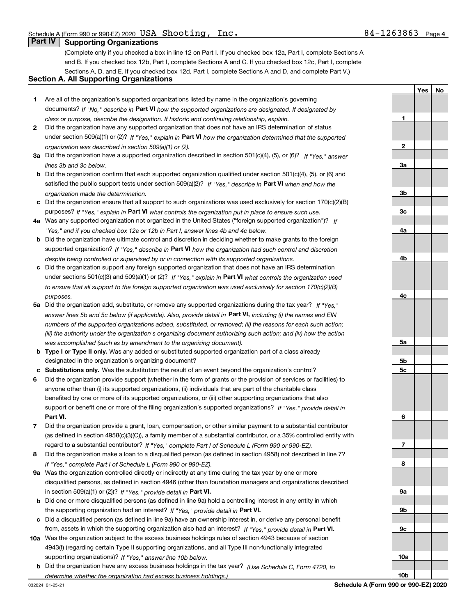**1**

**2**

**3a**

**3b**

**3c**

**4a**

**4b**

**4c**

**5a**

**5b5c**

**6**

**7**

**8**

**9a**

**9b**

**9c**

**10a**

**10b**

**YesNo**

# **Part IV Supporting Organizations**

(Complete only if you checked a box in line 12 on Part I. If you checked box 12a, Part I, complete Sections A and B. If you checked box 12b, Part I, complete Sections A and C. If you checked box 12c, Part I, complete Sections A, D, and E. If you checked box 12d, Part I, complete Sections A and D, and complete Part V.)

## **Section A. All Supporting Organizations**

- **1** Are all of the organization's supported organizations listed by name in the organization's governing documents? If "No," describe in **Part VI** how the supported organizations are designated. If designated by *class or purpose, describe the designation. If historic and continuing relationship, explain.*
- **2** Did the organization have any supported organization that does not have an IRS determination of status under section 509(a)(1) or (2)? If "Yes," explain in Part VI how the organization determined that the supported *organization was described in section 509(a)(1) or (2).*
- **3a** Did the organization have a supported organization described in section 501(c)(4), (5), or (6)? If "Yes," answer *lines 3b and 3c below.*
- **b** Did the organization confirm that each supported organization qualified under section 501(c)(4), (5), or (6) and satisfied the public support tests under section 509(a)(2)? If "Yes," describe in **Part VI** when and how the *organization made the determination.*
- **c**Did the organization ensure that all support to such organizations was used exclusively for section 170(c)(2)(B) purposes? If "Yes," explain in **Part VI** what controls the organization put in place to ensure such use.
- **4a***If* Was any supported organization not organized in the United States ("foreign supported organization")? *"Yes," and if you checked box 12a or 12b in Part I, answer lines 4b and 4c below.*
- **b** Did the organization have ultimate control and discretion in deciding whether to make grants to the foreign supported organization? If "Yes," describe in **Part VI** how the organization had such control and discretion *despite being controlled or supervised by or in connection with its supported organizations.*
- **c** Did the organization support any foreign supported organization that does not have an IRS determination under sections 501(c)(3) and 509(a)(1) or (2)? If "Yes," explain in **Part VI** what controls the organization used *to ensure that all support to the foreign supported organization was used exclusively for section 170(c)(2)(B) purposes.*
- **5a***If "Yes,"* Did the organization add, substitute, or remove any supported organizations during the tax year? answer lines 5b and 5c below (if applicable). Also, provide detail in **Part VI,** including (i) the names and EIN *numbers of the supported organizations added, substituted, or removed; (ii) the reasons for each such action; (iii) the authority under the organization's organizing document authorizing such action; and (iv) how the action was accomplished (such as by amendment to the organizing document).*
- **b** Type I or Type II only. Was any added or substituted supported organization part of a class already designated in the organization's organizing document?
- **cSubstitutions only.**  Was the substitution the result of an event beyond the organization's control?
- **6** Did the organization provide support (whether in the form of grants or the provision of services or facilities) to **Part VI.** *If "Yes," provide detail in* support or benefit one or more of the filing organization's supported organizations? anyone other than (i) its supported organizations, (ii) individuals that are part of the charitable class benefited by one or more of its supported organizations, or (iii) other supporting organizations that also
- **7**Did the organization provide a grant, loan, compensation, or other similar payment to a substantial contributor *If "Yes," complete Part I of Schedule L (Form 990 or 990-EZ).* regard to a substantial contributor? (as defined in section 4958(c)(3)(C)), a family member of a substantial contributor, or a 35% controlled entity with
- **8** Did the organization make a loan to a disqualified person (as defined in section 4958) not described in line 7? *If "Yes," complete Part I of Schedule L (Form 990 or 990-EZ).*
- **9a** Was the organization controlled directly or indirectly at any time during the tax year by one or more in section 509(a)(1) or (2))? If "Yes," *provide detail in* <code>Part VI.</code> disqualified persons, as defined in section 4946 (other than foundation managers and organizations described
- **b** Did one or more disqualified persons (as defined in line 9a) hold a controlling interest in any entity in which the supporting organization had an interest? If "Yes," provide detail in P**art VI**.
- **c**Did a disqualified person (as defined in line 9a) have an ownership interest in, or derive any personal benefit from, assets in which the supporting organization also had an interest? If "Yes," provide detail in P**art VI.**
- **10a** Was the organization subject to the excess business holdings rules of section 4943 because of section supporting organizations)? If "Yes," answer line 10b below. 4943(f) (regarding certain Type II supporting organizations, and all Type III non-functionally integrated
- **b** Did the organization have any excess business holdings in the tax year? (Use Schedule C, Form 4720, to *determine whether the organization had excess business holdings.)*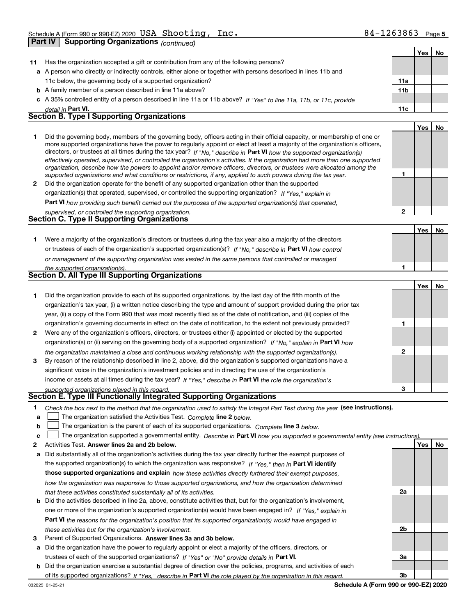|         | Supporting Organizations <sub>(continued)</sub><br>  Part IV                                          |                                                                                                                                                                                                                                                                                                                                                                                                                                                                                                                                                                                                                                                                                                                                                                          |                 |            |    |
|---------|-------------------------------------------------------------------------------------------------------|--------------------------------------------------------------------------------------------------------------------------------------------------------------------------------------------------------------------------------------------------------------------------------------------------------------------------------------------------------------------------------------------------------------------------------------------------------------------------------------------------------------------------------------------------------------------------------------------------------------------------------------------------------------------------------------------------------------------------------------------------------------------------|-----------------|------------|----|
|         |                                                                                                       |                                                                                                                                                                                                                                                                                                                                                                                                                                                                                                                                                                                                                                                                                                                                                                          |                 | Yes        | No |
| 11      |                                                                                                       | Has the organization accepted a gift or contribution from any of the following persons?                                                                                                                                                                                                                                                                                                                                                                                                                                                                                                                                                                                                                                                                                  |                 |            |    |
|         |                                                                                                       | a A person who directly or indirectly controls, either alone or together with persons described in lines 11b and                                                                                                                                                                                                                                                                                                                                                                                                                                                                                                                                                                                                                                                         |                 |            |    |
|         | 11c below, the governing body of a supported organization?                                            |                                                                                                                                                                                                                                                                                                                                                                                                                                                                                                                                                                                                                                                                                                                                                                          | 11a             |            |    |
|         | <b>b</b> A family member of a person described in line 11a above?                                     |                                                                                                                                                                                                                                                                                                                                                                                                                                                                                                                                                                                                                                                                                                                                                                          | 11 <sub>b</sub> |            |    |
|         |                                                                                                       | c A 35% controlled entity of a person described in line 11a or 11b above? If "Yes" to line 11a, 11b, or 11c, provide                                                                                                                                                                                                                                                                                                                                                                                                                                                                                                                                                                                                                                                     |                 |            |    |
|         | detail in Part VI.                                                                                    |                                                                                                                                                                                                                                                                                                                                                                                                                                                                                                                                                                                                                                                                                                                                                                          | 11c             |            |    |
|         | <b>Section B. Type I Supporting Organizations</b>                                                     |                                                                                                                                                                                                                                                                                                                                                                                                                                                                                                                                                                                                                                                                                                                                                                          |                 |            |    |
|         |                                                                                                       |                                                                                                                                                                                                                                                                                                                                                                                                                                                                                                                                                                                                                                                                                                                                                                          |                 | Yes        | No |
| 1       |                                                                                                       | Did the governing body, members of the governing body, officers acting in their official capacity, or membership of one or<br>more supported organizations have the power to regularly appoint or elect at least a majority of the organization's officers,<br>directors, or trustees at all times during the tax year? If "No," describe in Part VI how the supported organization(s)<br>effectively operated, supervised, or controlled the organization's activities. If the organization had more than one supported<br>organization, describe how the powers to appoint and/or remove officers, directors, or trustees were allocated among the<br>supported organizations and what conditions or restrictions, if any, applied to such powers during the tax year. | 1               |            |    |
| 2       |                                                                                                       | Did the organization operate for the benefit of any supported organization other than the supported                                                                                                                                                                                                                                                                                                                                                                                                                                                                                                                                                                                                                                                                      |                 |            |    |
|         |                                                                                                       | organization(s) that operated, supervised, or controlled the supporting organization? If "Yes," explain in                                                                                                                                                                                                                                                                                                                                                                                                                                                                                                                                                                                                                                                               |                 |            |    |
|         |                                                                                                       | Part VI how providing such benefit carried out the purposes of the supported organization(s) that operated,                                                                                                                                                                                                                                                                                                                                                                                                                                                                                                                                                                                                                                                              |                 |            |    |
|         | supervised, or controlled the supporting organization.<br>Section C. Type II Supporting Organizations |                                                                                                                                                                                                                                                                                                                                                                                                                                                                                                                                                                                                                                                                                                                                                                          | $\overline{2}$  |            |    |
|         |                                                                                                       |                                                                                                                                                                                                                                                                                                                                                                                                                                                                                                                                                                                                                                                                                                                                                                          |                 |            |    |
| 1.      |                                                                                                       | Were a majority of the organization's directors or trustees during the tax year also a majority of the directors<br>or trustees of each of the organization's supported organization(s)? If "No," describe in Part VI how control<br>or management of the supporting organization was vested in the same persons that controlled or managed                                                                                                                                                                                                                                                                                                                                                                                                                              |                 | Yes        | No |
|         | the supported organization(s).                                                                        |                                                                                                                                                                                                                                                                                                                                                                                                                                                                                                                                                                                                                                                                                                                                                                          | 1               |            |    |
|         | Section D. All Type III Supporting Organizations                                                      |                                                                                                                                                                                                                                                                                                                                                                                                                                                                                                                                                                                                                                                                                                                                                                          |                 |            |    |
|         |                                                                                                       |                                                                                                                                                                                                                                                                                                                                                                                                                                                                                                                                                                                                                                                                                                                                                                          |                 | Yes        | No |
| 1.      |                                                                                                       | Did the organization provide to each of its supported organizations, by the last day of the fifth month of the                                                                                                                                                                                                                                                                                                                                                                                                                                                                                                                                                                                                                                                           |                 |            |    |
|         |                                                                                                       | organization's tax year, (i) a written notice describing the type and amount of support provided during the prior tax                                                                                                                                                                                                                                                                                                                                                                                                                                                                                                                                                                                                                                                    |                 |            |    |
|         |                                                                                                       | year, (ii) a copy of the Form 990 that was most recently filed as of the date of notification, and (iii) copies of the                                                                                                                                                                                                                                                                                                                                                                                                                                                                                                                                                                                                                                                   |                 |            |    |
|         |                                                                                                       | organization's governing documents in effect on the date of notification, to the extent not previously provided?                                                                                                                                                                                                                                                                                                                                                                                                                                                                                                                                                                                                                                                         | 1               |            |    |
| 2       |                                                                                                       | Were any of the organization's officers, directors, or trustees either (i) appointed or elected by the supported                                                                                                                                                                                                                                                                                                                                                                                                                                                                                                                                                                                                                                                         |                 |            |    |
|         |                                                                                                       | organization(s) or (ii) serving on the governing body of a supported organization? If "No," explain in Part VI how                                                                                                                                                                                                                                                                                                                                                                                                                                                                                                                                                                                                                                                       | 2               |            |    |
| 3       |                                                                                                       | the organization maintained a close and continuous working relationship with the supported organization(s).<br>By reason of the relationship described in line 2, above, did the organization's supported organizations have a                                                                                                                                                                                                                                                                                                                                                                                                                                                                                                                                           |                 |            |    |
|         |                                                                                                       | significant voice in the organization's investment policies and in directing the use of the organization's                                                                                                                                                                                                                                                                                                                                                                                                                                                                                                                                                                                                                                                               |                 |            |    |
|         |                                                                                                       | income or assets at all times during the tax year? If "Yes," describe in Part VI the role the organization's                                                                                                                                                                                                                                                                                                                                                                                                                                                                                                                                                                                                                                                             |                 |            |    |
|         | supported organizations played in this regard.                                                        |                                                                                                                                                                                                                                                                                                                                                                                                                                                                                                                                                                                                                                                                                                                                                                          |                 |            |    |
|         |                                                                                                       | Section E. Type III Functionally Integrated Supporting Organizations                                                                                                                                                                                                                                                                                                                                                                                                                                                                                                                                                                                                                                                                                                     |                 |            |    |
| 1.<br>a |                                                                                                       | Check the box next to the method that the organization used to satisfy the Integral Part Test during the year (see instructions).<br>The organization satisfied the Activities Test. Complete line 2 below.                                                                                                                                                                                                                                                                                                                                                                                                                                                                                                                                                              |                 |            |    |
| b       |                                                                                                       | The organization is the parent of each of its supported organizations. Complete line 3 below.                                                                                                                                                                                                                                                                                                                                                                                                                                                                                                                                                                                                                                                                            |                 |            |    |
| c       |                                                                                                       | The organization supported a governmental entity. Describe in Part VI how you supported a governmental entity (see instructions)                                                                                                                                                                                                                                                                                                                                                                                                                                                                                                                                                                                                                                         |                 |            |    |
| 2       | Activities Test. Answer lines 2a and 2b below.                                                        |                                                                                                                                                                                                                                                                                                                                                                                                                                                                                                                                                                                                                                                                                                                                                                          |                 | <b>Yes</b> | No |
| а       |                                                                                                       | Did substantially all of the organization's activities during the tax year directly further the exempt purposes of                                                                                                                                                                                                                                                                                                                                                                                                                                                                                                                                                                                                                                                       |                 |            |    |
|         |                                                                                                       | the supported organization(s) to which the organization was responsive? If "Yes," then in Part VI identify                                                                                                                                                                                                                                                                                                                                                                                                                                                                                                                                                                                                                                                               |                 |            |    |
|         |                                                                                                       | those supported organizations and explain how these activities directly furthered their exempt purposes,                                                                                                                                                                                                                                                                                                                                                                                                                                                                                                                                                                                                                                                                 |                 |            |    |

**b** Did the activities described in line 2a, above, constitute activities that, but for the organization's involvement, **Part VI**  *the reasons for the organization's position that its supported organization(s) would have engaged in how the organization was responsive to those supported organizations, and how the organization determined that these activities constituted substantially all of its activities.* one or more of the organization's supported organization(s) would have been engaged in? If "Yes," e*xplain in* 

- *these activities but for the organization's involvement.*
- **3** Parent of Supported Organizations. Answer lines 3a and 3b below.

**a** Did the organization have the power to regularly appoint or elect a majority of the officers, directors, or trustees of each of the supported organizations? If "Yes" or "No" provide details in **Part VI.** 

**b** Did the organization exercise a substantial degree of direction over the policies, programs, and activities of each of its supported organizations? If "Yes," describe in Part VI the role played by the organization in this regard.

**2a**

**2b**

**3a**

**3b**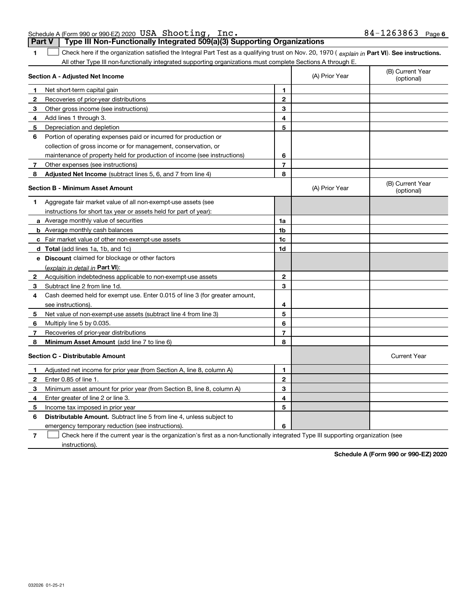| <b>Section C - Distributable Amount</b><br>Enter 0.85 of line 1.<br>Enter greater of line 2 or line 3.<br>Income tax imposed in prior year | Adjusted net income for prior year (from Section A, line 8, column A)<br>Minimum asset amount for prior year (from Section B, line 8, column A) | 1            |
|--------------------------------------------------------------------------------------------------------------------------------------------|-------------------------------------------------------------------------------------------------------------------------------------------------|--------------|
|                                                                                                                                            |                                                                                                                                                 |              |
|                                                                                                                                            |                                                                                                                                                 |              |
|                                                                                                                                            |                                                                                                                                                 | $\mathbf{2}$ |
|                                                                                                                                            |                                                                                                                                                 | 3            |
|                                                                                                                                            |                                                                                                                                                 | 4            |
|                                                                                                                                            |                                                                                                                                                 | 5            |
|                                                                                                                                            | <b>Distributable Amount.</b> Subtract line 5 from line 4, unless subject to                                                                     |              |
|                                                                                                                                            | emergency temporary reduction (see instructions).                                                                                               | 6            |
|                                                                                                                                            | Check here if the current year is the organization's first as a non-functionally integrated Type I                                              |              |
| instructions).                                                                                                                             |                                                                                                                                                 |              |

|  | Part V   Type III Non-Functionally Integrated 509(a)(3) Supporting Organizations                                                                                          |  |  |
|--|---------------------------------------------------------------------------------------------------------------------------------------------------------------------------|--|--|
|  | $\Box$ Check here if the organization satisfied the Integral Part Test as a qualifying trust on Nov. 20, 1970 ( $\,$ explain in <code>Part VI</code> ). See instructions. |  |  |
|  | All other Type III non-functionally integrated supporting organizations must complete Sections A through E.                                                               |  |  |
|  |                                                                                                                                                                           |  |  |

|              | All other Type in non-functionally integrated supporting organizations must complete Sections A through E |                |                |                                |
|--------------|-----------------------------------------------------------------------------------------------------------|----------------|----------------|--------------------------------|
|              | Section A - Adjusted Net Income                                                                           |                | (A) Prior Year | (B) Current Year<br>(optional) |
| $\mathbf{1}$ | Net short-term capital gain                                                                               | $\mathbf{1}$   |                |                                |
| $\mathbf{2}$ | Recoveries of prior-year distributions                                                                    | $\mathbf{2}$   |                |                                |
| 3            | Other gross income (see instructions)                                                                     | 3              |                |                                |
| 4            | Add lines 1 through 3.                                                                                    | 4              |                |                                |
| 5            | Depreciation and depletion                                                                                | 5              |                |                                |
| 6            | Portion of operating expenses paid or incurred for production or                                          |                |                |                                |
|              | collection of gross income or for management, conservation, or                                            |                |                |                                |
|              | maintenance of property held for production of income (see instructions)                                  | 6              |                |                                |
| $7^{\circ}$  | Other expenses (see instructions)                                                                         | $\overline{7}$ |                |                                |
| 8            | Adjusted Net Income (subtract lines 5, 6, and 7 from line 4)                                              | 8              |                |                                |
|              | <b>Section B - Minimum Asset Amount</b>                                                                   |                | (A) Prior Year | (B) Current Year<br>(optional) |
| 1            | Aggregate fair market value of all non-exempt-use assets (see                                             |                |                |                                |
|              | instructions for short tax year or assets held for part of year):                                         |                |                |                                |
|              | <b>a</b> Average monthly value of securities                                                              | 1a             |                |                                |
|              | <b>b</b> Average monthly cash balances                                                                    | 1b             |                |                                |
|              | <b>c</b> Fair market value of other non-exempt-use assets                                                 | 1c             |                |                                |
|              | <b>d</b> Total (add lines 1a, 1b, and 1c)                                                                 | 1d             |                |                                |
|              | e Discount claimed for blockage or other factors                                                          |                |                |                                |
|              | (explain in detail in Part VI):                                                                           |                |                |                                |
| $\mathbf{2}$ | Acquisition indebtedness applicable to non-exempt-use assets                                              | $\mathbf{2}$   |                |                                |
| 3            | Subtract line 2 from line 1d.                                                                             | 3              |                |                                |
| 4            | Cash deemed held for exempt use. Enter 0.015 of line 3 (for greater amount,                               |                |                |                                |
|              | see instructions).                                                                                        | 4              |                |                                |
| 5.           | Net value of non-exempt-use assets (subtract line 4 from line 3)                                          | 5              |                |                                |
| 6            | Multiply line 5 by 0.035.                                                                                 | 6              |                |                                |
| 7            | Recoveries of prior-year distributions                                                                    | $\overline{7}$ |                |                                |
| 8            | Minimum Asset Amount (add line 7 to line 6)                                                               | 8              |                |                                |
|              | <b>Section C - Distributable Amount</b>                                                                   |                |                | <b>Current Year</b>            |
| $\mathbf{1}$ | Adjusted net income for prior year (from Section A, line 8, column A)                                     | 1              |                |                                |
| $\mathbf{2}$ | Enter 0.85 of line 1.                                                                                     | $\overline{2}$ |                |                                |
| 3            | Minimum asset amount for prior year (from Section B, line 8, column A)                                    | 3              |                |                                |
| 4            | Enter greater of line 2 or line 3.                                                                        | 4              |                |                                |
| 5            | Income tax imposed in prior year                                                                          | 5              |                |                                |
| 6            | <b>Distributable Amount.</b> Subtract line 5 from line 4, unless subject to                               |                |                |                                |
|              | emergency temporary reduction (see instructions).                                                         | 6              |                |                                |

III supporting organization (see

**Schedule A (Form 990 or 990-EZ) 2020**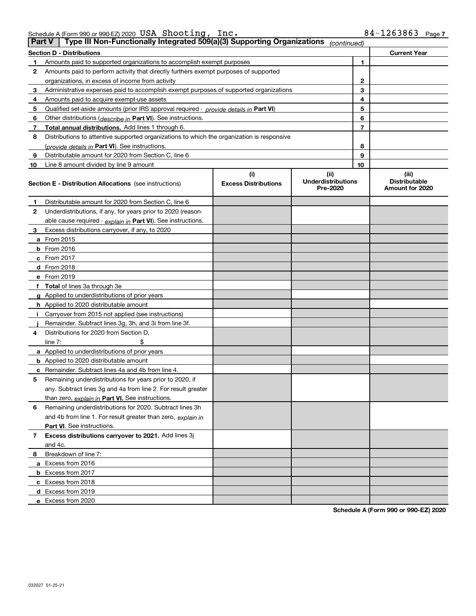| Schedule A (Form 990 or 990-EZ) 2020 $~\mathrm{USA}~\mathrm{ណ}$ $_\mathrm{3}$ |  | Inc. | 84-1263863 | Page |
|-------------------------------------------------------------------------------|--|------|------------|------|
|                                                                               |  |      |            |      |

| <b>Part V</b> | Type III Non-Functionally Integrated 509(a)(3) Supporting Organizations                    |                                    | (continued)                                   |    |                                                  |
|---------------|--------------------------------------------------------------------------------------------|------------------------------------|-----------------------------------------------|----|--------------------------------------------------|
|               | <b>Section D - Distributions</b>                                                           |                                    |                                               |    | <b>Current Year</b>                              |
| 1             | Amounts paid to supported organizations to accomplish exempt purposes                      |                                    |                                               | 1  |                                                  |
| 2             | Amounts paid to perform activity that directly furthers exempt purposes of supported       |                                    |                                               |    |                                                  |
|               | organizations, in excess of income from activity                                           |                                    | 2                                             |    |                                                  |
| 3             | Administrative expenses paid to accomplish exempt purposes of supported organizations      |                                    | 3                                             |    |                                                  |
| 4             | Amounts paid to acquire exempt-use assets                                                  |                                    |                                               | 4  |                                                  |
| 5             | Qualified set-aside amounts (prior IRS approval required - provide details in Part VI)     |                                    |                                               | 5  |                                                  |
| 6             | Other distributions ( <i>describe in</i> Part VI). See instructions.                       |                                    |                                               | 6  |                                                  |
| 7             | Total annual distributions. Add lines 1 through 6.                                         |                                    |                                               | 7  |                                                  |
| 8             | Distributions to attentive supported organizations to which the organization is responsive |                                    |                                               |    |                                                  |
|               | (provide details in Part VI). See instructions.                                            |                                    |                                               | 8  |                                                  |
| 9             | Distributable amount for 2020 from Section C, line 6                                       |                                    |                                               | 9  |                                                  |
| 10            | Line 8 amount divided by line 9 amount                                                     |                                    |                                               | 10 |                                                  |
|               | <b>Section E - Distribution Allocations</b> (see instructions)                             | (i)<br><b>Excess Distributions</b> | (ii)<br><b>Underdistributions</b><br>Pre-2020 |    | (iii)<br><b>Distributable</b><br>Amount for 2020 |
| 1             | Distributable amount for 2020 from Section C, line 6                                       |                                    |                                               |    |                                                  |
| 2             | Underdistributions, if any, for years prior to 2020 (reason-                               |                                    |                                               |    |                                                  |
|               | able cause required - explain in Part VI). See instructions.                               |                                    |                                               |    |                                                  |
| 3             | Excess distributions carryover, if any, to 2020                                            |                                    |                                               |    |                                                  |
|               | a From 2015                                                                                |                                    |                                               |    |                                                  |
|               | <b>b</b> From 2016                                                                         |                                    |                                               |    |                                                  |
|               | c From $2017$                                                                              |                                    |                                               |    |                                                  |
|               | d From 2018                                                                                |                                    |                                               |    |                                                  |
|               | e From 2019                                                                                |                                    |                                               |    |                                                  |
|               | f Total of lines 3a through 3e                                                             |                                    |                                               |    |                                                  |
|               | g Applied to underdistributions of prior years                                             |                                    |                                               |    |                                                  |
|               | <b>h</b> Applied to 2020 distributable amount                                              |                                    |                                               |    |                                                  |
|               | Carryover from 2015 not applied (see instructions)                                         |                                    |                                               |    |                                                  |
|               | Remainder. Subtract lines 3g, 3h, and 3i from line 3f.                                     |                                    |                                               |    |                                                  |
| 4             | Distributions for 2020 from Section D,                                                     |                                    |                                               |    |                                                  |
|               | line $7:$                                                                                  |                                    |                                               |    |                                                  |
|               | a Applied to underdistributions of prior years                                             |                                    |                                               |    |                                                  |
|               | <b>b</b> Applied to 2020 distributable amount                                              |                                    |                                               |    |                                                  |
|               | c Remainder. Subtract lines 4a and 4b from line 4.                                         |                                    |                                               |    |                                                  |
| 5.            | Remaining underdistributions for years prior to 2020, if                                   |                                    |                                               |    |                                                  |
|               | any. Subtract lines 3g and 4a from line 2. For result greater                              |                                    |                                               |    |                                                  |
|               | than zero, explain in Part VI. See instructions.                                           |                                    |                                               |    |                                                  |
| 6             | Remaining underdistributions for 2020. Subtract lines 3h                                   |                                    |                                               |    |                                                  |
|               | and 4b from line 1. For result greater than zero, explain in                               |                                    |                                               |    |                                                  |
|               | Part VI. See instructions.                                                                 |                                    |                                               |    |                                                  |
| 7             | Excess distributions carryover to 2021. Add lines 3j                                       |                                    |                                               |    |                                                  |
|               | and 4c.                                                                                    |                                    |                                               |    |                                                  |
| 8             | Breakdown of line 7:                                                                       |                                    |                                               |    |                                                  |
|               | a Excess from 2016                                                                         |                                    |                                               |    |                                                  |
|               | <b>b</b> Excess from 2017                                                                  |                                    |                                               |    |                                                  |
|               | c Excess from 2018                                                                         |                                    |                                               |    |                                                  |
|               | d Excess from 2019                                                                         |                                    |                                               |    |                                                  |
|               | e Excess from 2020                                                                         |                                    |                                               |    |                                                  |

**Schedule A (Form 990 or 990-EZ) 2020**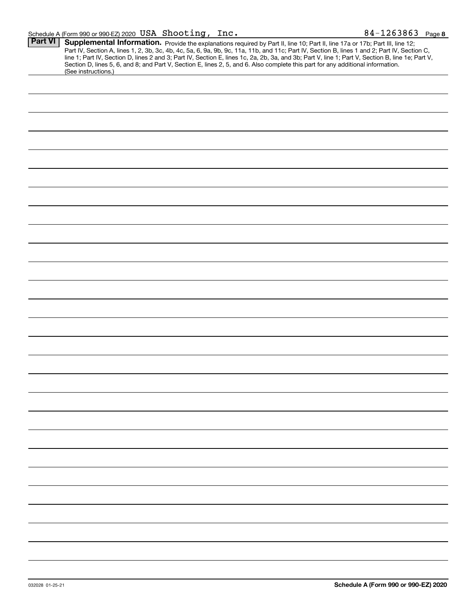| <b>Part VI</b> | Supplemental Information. Provide the explanations required by Part II, line 10; Part II, line 17a or 17b; Part III, line 12;                    |  |  |  |  |  |
|----------------|--------------------------------------------------------------------------------------------------------------------------------------------------|--|--|--|--|--|
|                | Part IV, Section A, lines 1, 2, 3b, 3c, 4b, 4c, 5a, 6, 9a, 9b, 9c, 11a, 11b, and 11c; Part IV, Section B, lines 1 and 2; Part IV, Section C,     |  |  |  |  |  |
|                | line 1; Part IV, Section D, lines 2 and 3; Part IV, Section E, lines 1c, 2a, 2b, 3a, and 3b; Part V, line 1; Part V, Section B, line 1e; Part V, |  |  |  |  |  |
|                | Section D, lines 5, 6, and 8; and Part V, Section E, lines 2, 5, and 6. Also complete this part for any additional information.                  |  |  |  |  |  |
|                |                                                                                                                                                  |  |  |  |  |  |
|                | (See instructions.)                                                                                                                              |  |  |  |  |  |
|                |                                                                                                                                                  |  |  |  |  |  |
|                |                                                                                                                                                  |  |  |  |  |  |
|                |                                                                                                                                                  |  |  |  |  |  |
|                |                                                                                                                                                  |  |  |  |  |  |
|                |                                                                                                                                                  |  |  |  |  |  |
|                |                                                                                                                                                  |  |  |  |  |  |
|                |                                                                                                                                                  |  |  |  |  |  |
|                |                                                                                                                                                  |  |  |  |  |  |
|                |                                                                                                                                                  |  |  |  |  |  |
|                |                                                                                                                                                  |  |  |  |  |  |
|                |                                                                                                                                                  |  |  |  |  |  |
|                |                                                                                                                                                  |  |  |  |  |  |
|                |                                                                                                                                                  |  |  |  |  |  |
|                |                                                                                                                                                  |  |  |  |  |  |
|                |                                                                                                                                                  |  |  |  |  |  |
|                |                                                                                                                                                  |  |  |  |  |  |
|                |                                                                                                                                                  |  |  |  |  |  |
|                |                                                                                                                                                  |  |  |  |  |  |
|                |                                                                                                                                                  |  |  |  |  |  |
|                |                                                                                                                                                  |  |  |  |  |  |
|                |                                                                                                                                                  |  |  |  |  |  |
|                |                                                                                                                                                  |  |  |  |  |  |
|                |                                                                                                                                                  |  |  |  |  |  |
|                |                                                                                                                                                  |  |  |  |  |  |
|                |                                                                                                                                                  |  |  |  |  |  |
|                |                                                                                                                                                  |  |  |  |  |  |
|                |                                                                                                                                                  |  |  |  |  |  |
|                |                                                                                                                                                  |  |  |  |  |  |
|                |                                                                                                                                                  |  |  |  |  |  |
|                |                                                                                                                                                  |  |  |  |  |  |
|                |                                                                                                                                                  |  |  |  |  |  |
|                |                                                                                                                                                  |  |  |  |  |  |
|                |                                                                                                                                                  |  |  |  |  |  |
|                |                                                                                                                                                  |  |  |  |  |  |
|                |                                                                                                                                                  |  |  |  |  |  |
|                |                                                                                                                                                  |  |  |  |  |  |
|                |                                                                                                                                                  |  |  |  |  |  |
|                |                                                                                                                                                  |  |  |  |  |  |
|                |                                                                                                                                                  |  |  |  |  |  |
|                |                                                                                                                                                  |  |  |  |  |  |
|                |                                                                                                                                                  |  |  |  |  |  |
|                |                                                                                                                                                  |  |  |  |  |  |
|                |                                                                                                                                                  |  |  |  |  |  |
|                |                                                                                                                                                  |  |  |  |  |  |
|                |                                                                                                                                                  |  |  |  |  |  |
|                |                                                                                                                                                  |  |  |  |  |  |
|                |                                                                                                                                                  |  |  |  |  |  |
|                |                                                                                                                                                  |  |  |  |  |  |
|                |                                                                                                                                                  |  |  |  |  |  |
|                |                                                                                                                                                  |  |  |  |  |  |
|                |                                                                                                                                                  |  |  |  |  |  |
|                |                                                                                                                                                  |  |  |  |  |  |
|                |                                                                                                                                                  |  |  |  |  |  |
|                |                                                                                                                                                  |  |  |  |  |  |
|                |                                                                                                                                                  |  |  |  |  |  |
|                |                                                                                                                                                  |  |  |  |  |  |
|                |                                                                                                                                                  |  |  |  |  |  |
|                |                                                                                                                                                  |  |  |  |  |  |
|                |                                                                                                                                                  |  |  |  |  |  |
|                |                                                                                                                                                  |  |  |  |  |  |
|                |                                                                                                                                                  |  |  |  |  |  |
|                |                                                                                                                                                  |  |  |  |  |  |
|                |                                                                                                                                                  |  |  |  |  |  |
|                |                                                                                                                                                  |  |  |  |  |  |
|                |                                                                                                                                                  |  |  |  |  |  |
|                |                                                                                                                                                  |  |  |  |  |  |
|                |                                                                                                                                                  |  |  |  |  |  |
|                |                                                                                                                                                  |  |  |  |  |  |
|                |                                                                                                                                                  |  |  |  |  |  |
|                |                                                                                                                                                  |  |  |  |  |  |
|                |                                                                                                                                                  |  |  |  |  |  |
|                |                                                                                                                                                  |  |  |  |  |  |
|                |                                                                                                                                                  |  |  |  |  |  |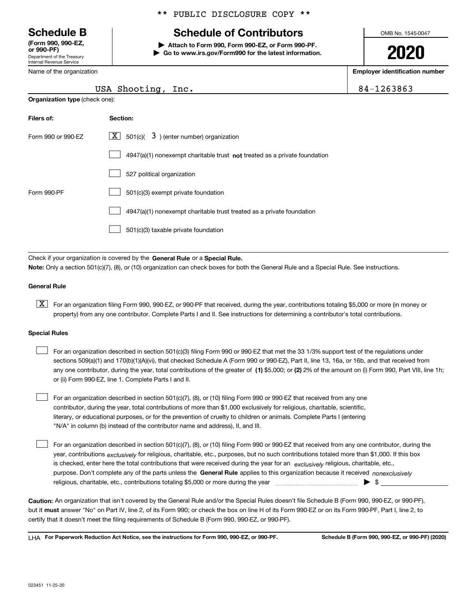Department of the Treasury Internal Revenue Service **(Form 990, 990-EZ, or 990-PF)**

Name of the organization

**Organization type** (check one):

\*\* PUBLIC DISCLOSURE COPY \*\*

# **Schedule B Schedule of Contributors**

**| Attach to Form 990, Form 990-EZ, or Form 990-PF. | Go to www.irs.gov/Form990 for the latest information.** OMB No. 1545-0047

**2020**

**Employer identification number**

84-1263863

| USA Shooting, Inc. |  |
|--------------------|--|

| Filers of:         | Section:                                                                    |
|--------------------|-----------------------------------------------------------------------------|
| Form 990 or 990-FZ | $X$ 501(c)( 3) (enter number) organization                                  |
|                    | $4947(a)(1)$ nonexempt charitable trust not treated as a private foundation |
|                    | 527 political organization                                                  |
| Form 990-PF        | 501(c)(3) exempt private foundation                                         |
|                    | 4947(a)(1) nonexempt charitable trust treated as a private foundation       |
|                    | 501(c)(3) taxable private foundation                                        |

Check if your organization is covered by the **General Rule** or a **Special Rule. Note:**  Only a section 501(c)(7), (8), or (10) organization can check boxes for both the General Rule and a Special Rule. See instructions.

### **General Rule**

 $\boxed{\textbf{X}}$  For an organization filing Form 990, 990-EZ, or 990-PF that received, during the year, contributions totaling \$5,000 or more (in money or property) from any one contributor. Complete Parts I and II. See instructions for determining a contributor's total contributions.

#### **Special Rules**

| For an organization described in section 501(c)(3) filing Form 990 or 990-EZ that met the 33 1/3% support test of the regulations under               |
|-------------------------------------------------------------------------------------------------------------------------------------------------------|
| sections 509(a)(1) and 170(b)(1)(A)(vi), that checked Schedule A (Form 990 or 990-EZ), Part II, line 13, 16a, or 16b, and that received from          |
| any one contributor, during the year, total contributions of the greater of (1) \$5,000; or (2) 2% of the amount on (i) Form 990, Part VIII, line 1h; |
| or (ii) Form 990-EZ, line 1. Complete Parts I and II.                                                                                                 |

For an organization described in section 501(c)(7), (8), or (10) filing Form 990 or 990-EZ that received from any one contributor, during the year, total contributions of more than \$1,000 exclusively for religious, charitable, scientific, literary, or educational purposes, or for the prevention of cruelty to children or animals. Complete Parts I (entering "N/A" in column (b) instead of the contributor name and address), II, and III.  $\mathcal{L}^{\text{max}}$ 

purpose. Don't complete any of the parts unless the **General Rule** applies to this organization because it received *nonexclusively* year, contributions <sub>exclusively</sub> for religious, charitable, etc., purposes, but no such contributions totaled more than \$1,000. If this box is checked, enter here the total contributions that were received during the year for an  $\;$ exclusively religious, charitable, etc., For an organization described in section 501(c)(7), (8), or (10) filing Form 990 or 990-EZ that received from any one contributor, during the religious, charitable, etc., contributions totaling \$5,000 or more during the year  $\Box$ — $\Box$   $\Box$  $\mathcal{L}^{\text{max}}$ 

**Caution:**  An organization that isn't covered by the General Rule and/or the Special Rules doesn't file Schedule B (Form 990, 990-EZ, or 990-PF),  **must** but it answer "No" on Part IV, line 2, of its Form 990; or check the box on line H of its Form 990-EZ or on its Form 990-PF, Part I, line 2, to certify that it doesn't meet the filing requirements of Schedule B (Form 990, 990-EZ, or 990-PF).

**For Paperwork Reduction Act Notice, see the instructions for Form 990, 990-EZ, or 990-PF. Schedule B (Form 990, 990-EZ, or 990-PF) (2020)** LHA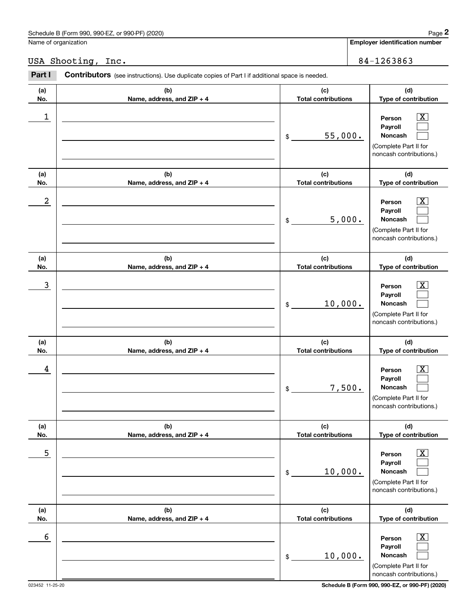|            | Schedule B (Form 990, 990-EZ, or 990-PF) (2020)                                                |                                   | Page 2                                                                                                    |
|------------|------------------------------------------------------------------------------------------------|-----------------------------------|-----------------------------------------------------------------------------------------------------------|
|            | Name of organization                                                                           |                                   | <b>Employer identification number</b>                                                                     |
|            | USA Shooting, Inc.                                                                             |                                   | 84-1263863                                                                                                |
| Part I     | Contributors (see instructions). Use duplicate copies of Part I if additional space is needed. |                                   |                                                                                                           |
| (a)<br>No. | (b)<br>Name, address, and ZIP + 4                                                              | (c)<br><b>Total contributions</b> | (d)<br>Type of contribution                                                                               |
| 1          |                                                                                                | 55,000.<br>\$                     | Person<br>Payroll<br><b>Noncash</b><br>(Complete Part II for<br>noncash contributions.)                   |
| (a)<br>No. | (b)<br>Name, address, and ZIP + 4                                                              | (c)<br><b>Total contributions</b> | (d)<br>Type of contribution                                                                               |
| 2          |                                                                                                | 5,000.<br>\$                      | x<br>Person<br>Payroll<br>Noncash<br>(Complete Part II for<br>noncash contributions.)                     |
| (a)<br>No. | (b)<br>Name, address, and ZIP + 4                                                              | (c)<br><b>Total contributions</b> | (d)<br>Type of contribution                                                                               |
| 3          |                                                                                                | 10,000.<br>\$                     | $\overline{\text{X}}$<br>Person<br>Payroll<br>Noncash<br>(Complete Part II for<br>noncash contributions.) |
| (a)<br>No. | (b)<br>Name, address, and ZIP + 4                                                              | (c)<br><b>Total contributions</b> | (d)<br>Type of contribution                                                                               |
| 4          |                                                                                                | 7,500.<br>\$                      | x<br>Person<br>Payroll<br>Noncash<br>(Complete Part II for<br>noncash contributions.)                     |

**(a) No.(b) Name, address, and ZIP + 4 (c) Total contributions (d) Type of contribution Person PayrollNoncash (a) No.(b) Name, address, and ZIP + 4 (c) Total contributions (d) Type of contribution PersonPayroll Noncash** \$(Complete Part II for noncash contributions.) \$(Complete Part II for noncash contributions.)  $\boxed{\text{X}}$  $\mathcal{L}^{\text{max}}$  $\mathcal{L}^{\text{max}}$  $\boxed{\text{X}}$  $\mathcal{L}^{\text{max}}$  $\mathcal{L}^{\text{max}}$  $\sim$  5 | Person X 10,000.  $\sim$  6 | Person X 10,000.

023452 11-25-20 **Schedule B (Form 990, 990-EZ, or 990-PF) (2020)**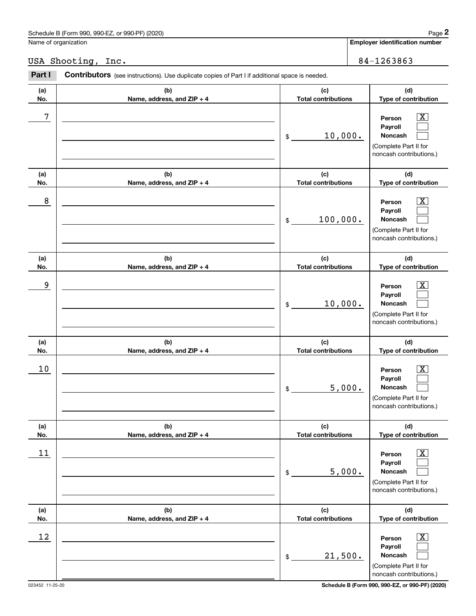|            | Schedule B (Form 990, 990-EZ, or 990-PF) (2020)                                                | Page 2                                                                                                                        |
|------------|------------------------------------------------------------------------------------------------|-------------------------------------------------------------------------------------------------------------------------------|
|            | Name of organization                                                                           | Employer identification number                                                                                                |
|            | USA Shooting, Inc.                                                                             | 84-1263863                                                                                                                    |
| Part I     | Contributors (see instructions). Use duplicate copies of Part I if additional space is needed. |                                                                                                                               |
| (a)<br>No. | (b)<br>Name, address, and ZIP + 4                                                              | (c)<br>(d)<br><b>Total contributions</b><br>Type of contribution                                                              |
| 7          |                                                                                                | $\overline{\mathbf{X}}$<br>Person<br>Payroll<br>10,000.<br>Noncash<br>\$<br>(Complete Part II for<br>noncash contributions.)  |
| (a)<br>No. | (b)<br>Name, address, and ZIP + 4                                                              | (c)<br>(d)<br><b>Total contributions</b><br>Type of contribution                                                              |
| 8          |                                                                                                | $\overline{\mathbf{X}}$<br>Person<br>Payroll<br>100,000.<br>Noncash<br>\$<br>(Complete Part II for<br>noncash contributions.) |
| (a)<br>No. | (b)<br>Name, address, and ZIP + 4                                                              | (c)<br>(d)<br><b>Total contributions</b><br>Type of contribution                                                              |
| 9          |                                                                                                | $\overline{\mathbf{X}}$<br>Person<br>Payroll<br>10,000.<br>Noncash<br>\$<br>(Complete Part II for<br>noncash contributions.)  |
| (a)<br>No. | (b)<br>Name, address, and ZIP + 4                                                              | (c)<br>(d)<br><b>Total contributions</b><br>Type of contribution                                                              |
| 10         |                                                                                                | $\mathbf{X}$<br>Person<br>Payroll<br>5,000.<br>Noncash<br>\$<br>(Complete Part II for<br>noncash contributions.)              |
| (a)<br>No. | (b)<br>Name, address, and ZIP + 4                                                              | (d)<br>(c)<br><b>Total contributions</b><br>Type of contribution                                                              |
| 11         |                                                                                                | $\boxed{\text{X}}$<br>Person<br>Payroll<br>5,000.<br>Noncash<br>\$<br>(Complete Part II for<br>noncash contributions.)        |
| (a)<br>No. | (b)<br>Name, address, and ZIP + 4                                                              | (d)<br>(c)<br><b>Total contributions</b><br>Type of contribution                                                              |
| 12         |                                                                                                | $\boxed{\text{X}}$<br>Person<br>Payroll<br>21,500.<br>Noncash<br>\$<br>(Complete Part II for<br>noncash contributions.)       |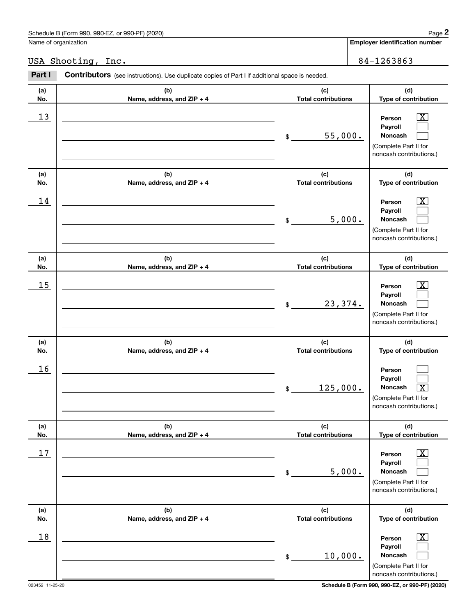|            | Schedule B (Form 990, 990-EZ, or 990-PF) (2020)                                                |                                   | Page 2                                                                                                           |
|------------|------------------------------------------------------------------------------------------------|-----------------------------------|------------------------------------------------------------------------------------------------------------------|
|            | Name of organization                                                                           |                                   | Employer identification number                                                                                   |
|            | USA Shooting, Inc.                                                                             |                                   | 84-1263863                                                                                                       |
| Part I     | Contributors (see instructions). Use duplicate copies of Part I if additional space is needed. |                                   |                                                                                                                  |
| (a)<br>No. | (b)<br>Name, address, and ZIP + 4                                                              | (c)<br><b>Total contributions</b> | (d)<br>Type of contribution                                                                                      |
| 13         |                                                                                                | 55,000.<br>\$                     | $\overline{\text{X}}$<br>Person<br>Payroll<br>Noncash<br>(Complete Part II for<br>noncash contributions.)        |
| (a)<br>No. | (b)<br>Name, address, and ZIP + 4                                                              | (c)<br><b>Total contributions</b> | (d)<br>Type of contribution                                                                                      |
| 14         |                                                                                                | 5,000.<br>\$                      | $\overline{\text{X}}$<br>Person<br>Payroll<br>Noncash<br>(Complete Part II for<br>noncash contributions.)        |
| (a)<br>No. | (b)<br>Name, address, and ZIP + 4                                                              | (c)<br><b>Total contributions</b> | (d)<br>Type of contribution                                                                                      |
| 15         |                                                                                                | 23,374.<br>\$                     | $\overline{\text{X}}$<br>Person<br>Payroll<br>Noncash<br>(Complete Part II for<br>noncash contributions.)        |
| (a)<br>No. | (b)<br>Name, address, and ZIP + 4                                                              | (c)<br><b>Total contributions</b> | (d)<br>Type of contribution                                                                                      |
| 16         |                                                                                                | 125,000.<br>\$                    | Person<br>Payroll<br><b>Noncash</b><br>$\overline{\text{X}}$<br>(Complete Part II for<br>noncash contributions.) |
| (a)<br>No. | (b)<br>Name, address, and ZIP + 4                                                              | (c)<br><b>Total contributions</b> | (d)<br>Type of contribution                                                                                      |
| 17         |                                                                                                | 5,000.<br>\$                      | $\boxed{\text{X}}$<br>Person<br>Payroll<br>Noncash<br>(Complete Part II for<br>noncash contributions.)           |
| (a)<br>No. | (b)<br>Name, address, and ZIP + 4                                                              | (c)<br><b>Total contributions</b> | (d)<br>Type of contribution                                                                                      |
| 18         |                                                                                                | 10,000.<br>\$                     | $\overline{\mathbf{X}}$<br>Person<br>Payroll<br>Noncash<br>(Complete Part II for<br>noncash contributions.)      |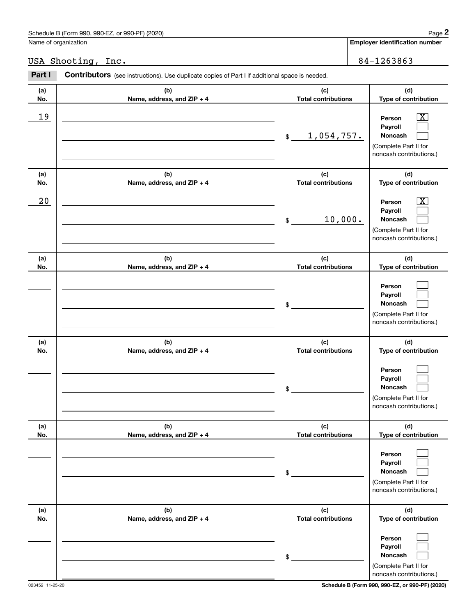Name of organization

## USA Shooting, Inc. 2012 2020 2020 2021 2022 2023 2024 2020 2020 2021 2022 2020 2021 2022 2020 2020 2020 2020 20

| (a)<br>No. | (b)<br>Name, address, and ZIP + 4 | (c)<br><b>Total contributions</b> | (d)<br>Type of contribution                                                           |
|------------|-----------------------------------|-----------------------------------|---------------------------------------------------------------------------------------|
| 19         |                                   | 1,054,757.<br>$\$$                | х<br>Person<br>Payroll<br>Noncash<br>(Complete Part II for<br>noncash contributions.) |
| (a)<br>No. | (b)<br>Name, address, and ZIP + 4 | (c)<br><b>Total contributions</b> | (d)<br>Type of contribution                                                           |
| 20         |                                   | 10,000.<br>\$                     | х<br>Person<br>Payroll<br>Noncash<br>(Complete Part II for<br>noncash contributions.) |
| (a)<br>No. | (b)<br>Name, address, and ZIP + 4 | (c)<br><b>Total contributions</b> | (d)<br>Type of contribution                                                           |
|            |                                   | \$                                | Person<br>Payroll<br>Noncash<br>(Complete Part II for<br>noncash contributions.)      |
| (a)<br>No. | (b)<br>Name, address, and ZIP + 4 | (c)<br><b>Total contributions</b> | (d)<br>Type of contribution                                                           |
|            |                                   | \$                                | Person<br>Payroll<br>Noncash<br>(Complete Part II for<br>noncash contributions.)      |
| (a)<br>No. | (b)<br>Name, address, and ZIP + 4 | (c)<br><b>Total contributions</b> | (d)<br>Type of contribution                                                           |
|            |                                   | \$                                | Person<br>Payroll<br>Noncash<br>(Complete Part II for<br>noncash contributions.)      |
| (a)<br>No. | (b)<br>Name, address, and ZIP + 4 | (c)<br><b>Total contributions</b> | (d)<br>Type of contribution                                                           |
|            |                                   | \$                                | Person<br>Payroll<br>Noncash<br>(Complete Part II for<br>noncash contributions.)      |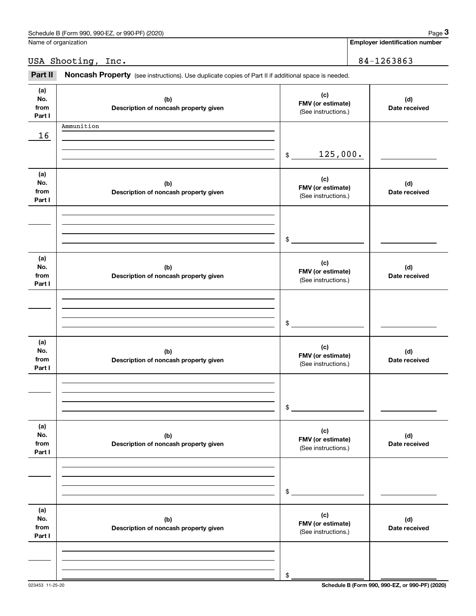| Schedule B (Form 990, 990-EZ,<br>or 990-PF) (2020) | Page |
|----------------------------------------------------|------|
|                                                    |      |

Name of organization

**Employer identification number**

USA Shooting, Inc. 2008 2010 2020 2020 2031 2040 2040 2051 2052 2053 2054 2056 2057 2058 2059 2050 2050 2050 20

Employer identification page 3<br>
Iame of organization<br> **3Part II Noncash Property** (see instructions). Use duplicate copies of Part II if additional space is needed.<br> **3Part II Noncash Property** (see instructions). Use

| (a)<br>No.<br>from<br>Part I | (b)<br>Description of noncash property given | (c)<br>FMV (or estimate)<br>(See instructions.) | (d)<br>Date received |
|------------------------------|----------------------------------------------|-------------------------------------------------|----------------------|
| 16                           | Ammunition                                   |                                                 |                      |
|                              |                                              | 125,000.<br>$\frac{1}{2}$                       |                      |
| (a)<br>No.<br>from<br>Part I | (b)<br>Description of noncash property given | (c)<br>FMV (or estimate)<br>(See instructions.) | (d)<br>Date received |
|                              |                                              | $\sim$                                          |                      |
| (a)<br>No.<br>from<br>Part I | (b)<br>Description of noncash property given | (c)<br>FMV (or estimate)<br>(See instructions.) | (d)<br>Date received |
|                              |                                              | $\sim$                                          |                      |
| (a)<br>No.<br>from<br>Part I | (b)<br>Description of noncash property given | (c)<br>FMV (or estimate)<br>(See instructions.) | (d)<br>Date received |
|                              |                                              | \$                                              |                      |
| (a)<br>No.<br>from<br>Part I | (b)<br>Description of noncash property given | (c)<br>FMV (or estimate)<br>(See instructions.) | (d)<br>Date received |
|                              |                                              | \$                                              |                      |
| (a)<br>No.<br>from<br>Part I | (b)<br>Description of noncash property given | (c)<br>FMV (or estimate)<br>(See instructions.) | (d)<br>Date received |
|                              |                                              | \$                                              |                      |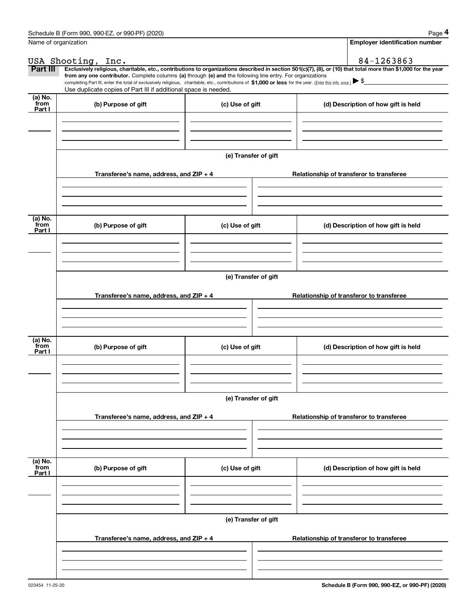|                           | Schedule B (Form 990, 990-EZ, or 990-PF) (2020)                                                                                                                                                                                                      |                      | Page 4                                                                                                                                                         |  |  |  |  |  |  |  |  |
|---------------------------|------------------------------------------------------------------------------------------------------------------------------------------------------------------------------------------------------------------------------------------------------|----------------------|----------------------------------------------------------------------------------------------------------------------------------------------------------------|--|--|--|--|--|--|--|--|
|                           | Name of organization                                                                                                                                                                                                                                 |                      | <b>Employer identification number</b>                                                                                                                          |  |  |  |  |  |  |  |  |
|                           | USA Shooting, Inc.                                                                                                                                                                                                                                   |                      | 84-1263863                                                                                                                                                     |  |  |  |  |  |  |  |  |
| Part III                  | from any one contributor. Complete columns (a) through (e) and the following line entry. For organizations                                                                                                                                           |                      | Exclusively religious, charitable, etc., contributions to organizations described in section 501(c)(7), (8), or (10) that total more than \$1,000 for the year |  |  |  |  |  |  |  |  |
|                           | completing Part III, enter the total of exclusively religious, charitable, etc., contributions of \$1,000 or less for the year. (Enter this info. once.) $\blacktriangleright$ \$<br>Use duplicate copies of Part III if additional space is needed. |                      |                                                                                                                                                                |  |  |  |  |  |  |  |  |
| (a) No.                   |                                                                                                                                                                                                                                                      |                      |                                                                                                                                                                |  |  |  |  |  |  |  |  |
| from<br>Part I            | (b) Purpose of gift                                                                                                                                                                                                                                  | (c) Use of gift      | (d) Description of how gift is held                                                                                                                            |  |  |  |  |  |  |  |  |
|                           |                                                                                                                                                                                                                                                      |                      |                                                                                                                                                                |  |  |  |  |  |  |  |  |
|                           |                                                                                                                                                                                                                                                      |                      |                                                                                                                                                                |  |  |  |  |  |  |  |  |
|                           |                                                                                                                                                                                                                                                      | (e) Transfer of gift |                                                                                                                                                                |  |  |  |  |  |  |  |  |
|                           | Transferee's name, address, and ZIP + 4                                                                                                                                                                                                              |                      | Relationship of transferor to transferee                                                                                                                       |  |  |  |  |  |  |  |  |
|                           |                                                                                                                                                                                                                                                      |                      |                                                                                                                                                                |  |  |  |  |  |  |  |  |
|                           |                                                                                                                                                                                                                                                      |                      |                                                                                                                                                                |  |  |  |  |  |  |  |  |
| (a) No.<br>from<br>Part I | (b) Purpose of gift                                                                                                                                                                                                                                  | (c) Use of gift      | (d) Description of how gift is held                                                                                                                            |  |  |  |  |  |  |  |  |
|                           |                                                                                                                                                                                                                                                      |                      |                                                                                                                                                                |  |  |  |  |  |  |  |  |
|                           |                                                                                                                                                                                                                                                      |                      |                                                                                                                                                                |  |  |  |  |  |  |  |  |
|                           |                                                                                                                                                                                                                                                      | (e) Transfer of gift |                                                                                                                                                                |  |  |  |  |  |  |  |  |
|                           |                                                                                                                                                                                                                                                      |                      |                                                                                                                                                                |  |  |  |  |  |  |  |  |
|                           | Transferee's name, address, and $ZIP + 4$                                                                                                                                                                                                            |                      | Relationship of transferor to transferee                                                                                                                       |  |  |  |  |  |  |  |  |
|                           |                                                                                                                                                                                                                                                      |                      |                                                                                                                                                                |  |  |  |  |  |  |  |  |
|                           |                                                                                                                                                                                                                                                      |                      |                                                                                                                                                                |  |  |  |  |  |  |  |  |
| (a) No.<br>from<br>Part I | (b) Purpose of gift                                                                                                                                                                                                                                  | (c) Use of gift      | (d) Description of how gift is held                                                                                                                            |  |  |  |  |  |  |  |  |
|                           |                                                                                                                                                                                                                                                      |                      |                                                                                                                                                                |  |  |  |  |  |  |  |  |
|                           |                                                                                                                                                                                                                                                      |                      |                                                                                                                                                                |  |  |  |  |  |  |  |  |
|                           |                                                                                                                                                                                                                                                      |                      |                                                                                                                                                                |  |  |  |  |  |  |  |  |
|                           |                                                                                                                                                                                                                                                      | (e) Transfer of gift |                                                                                                                                                                |  |  |  |  |  |  |  |  |
|                           | Transferee's name, address, and ZIP + 4                                                                                                                                                                                                              |                      | Relationship of transferor to transferee                                                                                                                       |  |  |  |  |  |  |  |  |
|                           |                                                                                                                                                                                                                                                      |                      |                                                                                                                                                                |  |  |  |  |  |  |  |  |
|                           |                                                                                                                                                                                                                                                      |                      |                                                                                                                                                                |  |  |  |  |  |  |  |  |
| (a) No.<br>from           | (b) Purpose of gift                                                                                                                                                                                                                                  | (c) Use of gift      | (d) Description of how gift is held                                                                                                                            |  |  |  |  |  |  |  |  |
| Part I                    |                                                                                                                                                                                                                                                      |                      |                                                                                                                                                                |  |  |  |  |  |  |  |  |
|                           |                                                                                                                                                                                                                                                      |                      |                                                                                                                                                                |  |  |  |  |  |  |  |  |
|                           |                                                                                                                                                                                                                                                      |                      |                                                                                                                                                                |  |  |  |  |  |  |  |  |
|                           | (e) Transfer of gift                                                                                                                                                                                                                                 |                      |                                                                                                                                                                |  |  |  |  |  |  |  |  |
|                           | Transferee's name, address, and ZIP + 4                                                                                                                                                                                                              |                      | Relationship of transferor to transferee                                                                                                                       |  |  |  |  |  |  |  |  |
|                           |                                                                                                                                                                                                                                                      |                      |                                                                                                                                                                |  |  |  |  |  |  |  |  |
|                           |                                                                                                                                                                                                                                                      |                      |                                                                                                                                                                |  |  |  |  |  |  |  |  |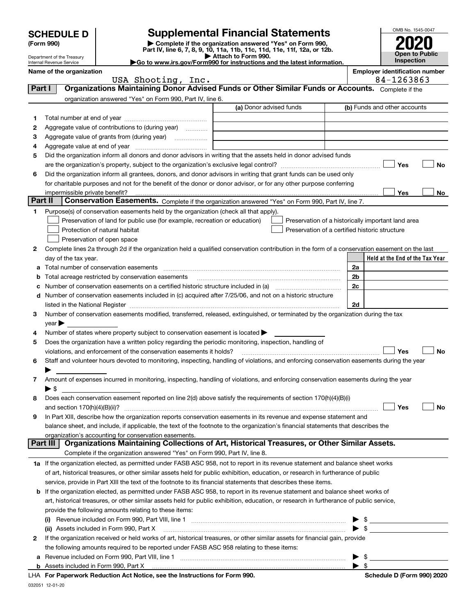|         |                                                                                                                                         |                                                                                                                                                                                                                                                                        |                         |                                                    |                          | OMB No. 1545-0047                     |  |  |
|---------|-----------------------------------------------------------------------------------------------------------------------------------------|------------------------------------------------------------------------------------------------------------------------------------------------------------------------------------------------------------------------------------------------------------------------|-------------------------|----------------------------------------------------|--------------------------|---------------------------------------|--|--|
|         | <b>Supplemental Financial Statements</b><br><b>SCHEDULE D</b><br>Complete if the organization answered "Yes" on Form 990,<br>(Form 990) |                                                                                                                                                                                                                                                                        |                         |                                                    |                          |                                       |  |  |
|         | Part IV, line 6, 7, 8, 9, 10, 11a, 11b, 11c, 11d, 11e, 11f, 12a, or 12b.<br>Attach to Form 990.<br>Department of the Treasury           |                                                                                                                                                                                                                                                                        |                         |                                                    |                          |                                       |  |  |
|         | Go to www.irs.gov/Form990 for instructions and the latest information.<br>Internal Revenue Service                                      |                                                                                                                                                                                                                                                                        |                         |                                                    |                          |                                       |  |  |
|         | Name of the organization                                                                                                                |                                                                                                                                                                                                                                                                        |                         |                                                    |                          | <b>Employer identification number</b> |  |  |
| Part I  |                                                                                                                                         | USA Shooting, Inc.<br>Organizations Maintaining Donor Advised Funds or Other Similar Funds or Accounts. Complete if the                                                                                                                                                |                         |                                                    |                          | 84-1263863                            |  |  |
|         |                                                                                                                                         | organization answered "Yes" on Form 990, Part IV, line 6.                                                                                                                                                                                                              |                         |                                                    |                          |                                       |  |  |
|         |                                                                                                                                         |                                                                                                                                                                                                                                                                        | (a) Donor advised funds |                                                    |                          | (b) Funds and other accounts          |  |  |
| 1       |                                                                                                                                         |                                                                                                                                                                                                                                                                        |                         |                                                    |                          |                                       |  |  |
| 2       |                                                                                                                                         | Aggregate value of contributions to (during year)                                                                                                                                                                                                                      |                         |                                                    |                          |                                       |  |  |
| з       |                                                                                                                                         |                                                                                                                                                                                                                                                                        |                         |                                                    |                          |                                       |  |  |
| 4       |                                                                                                                                         |                                                                                                                                                                                                                                                                        |                         |                                                    |                          |                                       |  |  |
| 5       |                                                                                                                                         | Did the organization inform all donors and donor advisors in writing that the assets held in donor advised funds                                                                                                                                                       |                         |                                                    |                          |                                       |  |  |
|         |                                                                                                                                         |                                                                                                                                                                                                                                                                        |                         |                                                    |                          | Yes<br><b>No</b>                      |  |  |
| 6       |                                                                                                                                         | Did the organization inform all grantees, donors, and donor advisors in writing that grant funds can be used only                                                                                                                                                      |                         |                                                    |                          |                                       |  |  |
|         |                                                                                                                                         | for charitable purposes and not for the benefit of the donor or donor advisor, or for any other purpose conferring                                                                                                                                                     |                         |                                                    |                          |                                       |  |  |
| Part II |                                                                                                                                         | Conservation Easements. Complete if the organization answered "Yes" on Form 990, Part IV, line 7.                                                                                                                                                                      |                         |                                                    |                          | Yes<br>No                             |  |  |
| 1       |                                                                                                                                         | Purpose(s) of conservation easements held by the organization (check all that apply).                                                                                                                                                                                  |                         |                                                    |                          |                                       |  |  |
|         |                                                                                                                                         | Preservation of land for public use (for example, recreation or education)                                                                                                                                                                                             |                         | Preservation of a historically important land area |                          |                                       |  |  |
|         |                                                                                                                                         | Protection of natural habitat                                                                                                                                                                                                                                          |                         | Preservation of a certified historic structure     |                          |                                       |  |  |
|         |                                                                                                                                         | Preservation of open space                                                                                                                                                                                                                                             |                         |                                                    |                          |                                       |  |  |
| 2       |                                                                                                                                         | Complete lines 2a through 2d if the organization held a qualified conservation contribution in the form of a conservation easement on the last                                                                                                                         |                         |                                                    |                          |                                       |  |  |
|         | day of the tax year.                                                                                                                    |                                                                                                                                                                                                                                                                        |                         |                                                    |                          | Held at the End of the Tax Year       |  |  |
| а       |                                                                                                                                         |                                                                                                                                                                                                                                                                        |                         |                                                    | 2a                       |                                       |  |  |
| b       |                                                                                                                                         | Total acreage restricted by conservation easements                                                                                                                                                                                                                     |                         |                                                    | 2 <sub>b</sub>           |                                       |  |  |
| с       |                                                                                                                                         |                                                                                                                                                                                                                                                                        |                         |                                                    | 2c                       |                                       |  |  |
| d       |                                                                                                                                         | Number of conservation easements included in (c) acquired after 7/25/06, and not on a historic structure                                                                                                                                                               |                         |                                                    |                          |                                       |  |  |
|         |                                                                                                                                         |                                                                                                                                                                                                                                                                        |                         |                                                    | 2d                       |                                       |  |  |
| 3       |                                                                                                                                         | Number of conservation easements modified, transferred, released, extinguished, or terminated by the organization during the tax                                                                                                                                       |                         |                                                    |                          |                                       |  |  |
|         | $year \blacktriangleright$                                                                                                              |                                                                                                                                                                                                                                                                        |                         |                                                    |                          |                                       |  |  |
| 4       |                                                                                                                                         | Number of states where property subject to conservation easement is located $\blacktriangleright$                                                                                                                                                                      |                         |                                                    |                          |                                       |  |  |
| 5       |                                                                                                                                         | Does the organization have a written policy regarding the periodic monitoring, inspection, handling of                                                                                                                                                                 |                         |                                                    |                          |                                       |  |  |
|         |                                                                                                                                         | violations, and enforcement of the conservation easements it holds?                                                                                                                                                                                                    |                         |                                                    |                          | <b>No</b><br>Yes                      |  |  |
| 6       |                                                                                                                                         | Staff and volunteer hours devoted to monitoring, inspecting, handling of violations, and enforcing conservation easements during the year                                                                                                                              |                         |                                                    |                          |                                       |  |  |
| 7       |                                                                                                                                         | Amount of expenses incurred in monitoring, inspecting, handling of violations, and enforcing conservation easements during the year                                                                                                                                    |                         |                                                    |                          |                                       |  |  |
|         | $\blacktriangleright$ \$                                                                                                                |                                                                                                                                                                                                                                                                        |                         |                                                    |                          |                                       |  |  |
| 8       |                                                                                                                                         | Does each conservation easement reported on line 2(d) above satisfy the requirements of section 170(h)(4)(B)(i)                                                                                                                                                        |                         |                                                    |                          |                                       |  |  |
|         |                                                                                                                                         |                                                                                                                                                                                                                                                                        |                         |                                                    |                          | Yes<br>No                             |  |  |
| 9       |                                                                                                                                         | In Part XIII, describe how the organization reports conservation easements in its revenue and expense statement and                                                                                                                                                    |                         |                                                    |                          |                                       |  |  |
|         |                                                                                                                                         | balance sheet, and include, if applicable, the text of the footnote to the organization's financial statements that describes the                                                                                                                                      |                         |                                                    |                          |                                       |  |  |
|         |                                                                                                                                         | organization's accounting for conservation easements.                                                                                                                                                                                                                  |                         |                                                    |                          |                                       |  |  |
|         | Part III                                                                                                                                | Organizations Maintaining Collections of Art, Historical Treasures, or Other Similar Assets.                                                                                                                                                                           |                         |                                                    |                          |                                       |  |  |
|         |                                                                                                                                         | Complete if the organization answered "Yes" on Form 990, Part IV, line 8.                                                                                                                                                                                              |                         |                                                    |                          |                                       |  |  |
|         |                                                                                                                                         | 1a If the organization elected, as permitted under FASB ASC 958, not to report in its revenue statement and balance sheet works                                                                                                                                        |                         |                                                    |                          |                                       |  |  |
|         |                                                                                                                                         | of art, historical treasures, or other similar assets held for public exhibition, education, or research in furtherance of public                                                                                                                                      |                         |                                                    |                          |                                       |  |  |
|         |                                                                                                                                         | service, provide in Part XIII the text of the footnote to its financial statements that describes these items.                                                                                                                                                         |                         |                                                    |                          |                                       |  |  |
| b       |                                                                                                                                         | If the organization elected, as permitted under FASB ASC 958, to report in its revenue statement and balance sheet works of<br>art, historical treasures, or other similar assets held for public exhibition, education, or research in furtherance of public service, |                         |                                                    |                          |                                       |  |  |
|         |                                                                                                                                         | provide the following amounts relating to these items:                                                                                                                                                                                                                 |                         |                                                    |                          |                                       |  |  |
|         |                                                                                                                                         |                                                                                                                                                                                                                                                                        |                         |                                                    |                          | $\mathfrak{S}$                        |  |  |
|         |                                                                                                                                         | (ii) Assets included in Form 990, Part X                                                                                                                                                                                                                               |                         |                                                    | $\blacktriangleright$ \$ |                                       |  |  |
| 2       |                                                                                                                                         | If the organization received or held works of art, historical treasures, or other similar assets for financial gain, provide                                                                                                                                           |                         |                                                    |                          |                                       |  |  |
|         |                                                                                                                                         | the following amounts required to be reported under FASB ASC 958 relating to these items:                                                                                                                                                                              |                         |                                                    |                          |                                       |  |  |
| а       |                                                                                                                                         |                                                                                                                                                                                                                                                                        |                         |                                                    | -\$                      |                                       |  |  |
|         |                                                                                                                                         |                                                                                                                                                                                                                                                                        |                         |                                                    | - \$                     |                                       |  |  |

**For Paperwork Reduction Act Notice, see the Instructions for Form 990. Schedule D (Form 990) 2020** LHA

032051 12-01-20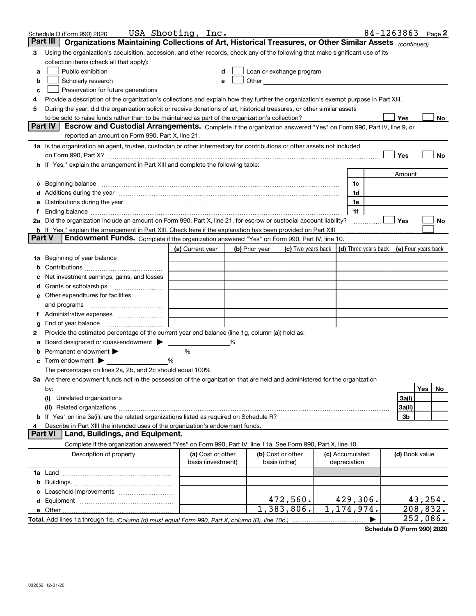| Part III<br>Organizations Maintaining Collections of Art, Historical Treasures, or Other Similar Assets (continued)<br>Using the organization's acquisition, accession, and other records, check any of the following that make significant use of its<br>3<br>collection items (check all that apply):<br>Public exhibition<br>Loan or exchange program<br>a<br>Other <u>Communication</u><br>Scholarly research<br>b<br>Preservation for future generations<br>с<br>Provide a description of the organization's collections and explain how they further the organization's exempt purpose in Part XIII.<br>4<br>During the year, did the organization solicit or receive donations of art, historical treasures, or other similar assets<br>5<br>to be sold to raise funds rather than to be maintained as part of the organization's collection?<br>Yes<br>No<br><b>Part IV</b><br>Escrow and Custodial Arrangements. Complete if the organization answered "Yes" on Form 990, Part IV, line 9, or<br>reported an amount on Form 990, Part X, line 21.<br>1a Is the organization an agent, trustee, custodian or other intermediary for contributions or other assets not included<br>Yes<br>No<br>on Form 990, Part X? [11] matter continuum matter contract the contract of the contract of the contract of the<br>b If "Yes," explain the arrangement in Part XIII and complete the following table:<br>Amount<br>1c<br>1d<br>d Additions during the year manufactured and an account of the state of a distribution of Additions during the year<br>e Distributions during the year manufactured and continuum and contact the year manufactured and contact the year manufactured and contact the year manufactured and contact the year manufactured and contact the year manufa<br>1e<br>1f<br>Ť.,<br>2a Did the organization include an amount on Form 990, Part X, line 21, for escrow or custodial account liability?<br>Yes<br>No<br><b>b</b> If "Yes," explain the arrangement in Part XIII. Check here if the explanation has been provided on Part XIII<br><b>Part V</b><br>Endowment Funds. Complete if the organization answered "Yes" on Form 990, Part IV, line 10.<br>$\vert$ (d) Three years back $\vert$ (e) Four years back<br>(a) Current year<br>(c) Two years back  <br>(b) Prior year<br>1a Beginning of year balance<br>Net investment earnings, gains, and losses<br>e Other expenditures for facilities<br>and programs<br>End of year balance<br>g<br>Provide the estimated percentage of the current year end balance (line 1g, column (a)) held as:<br>2<br>Board designated or quasi-endowment<br>%<br>Permanent endowment > <u>example</u><br>%<br>%<br>Term endowment $\blacktriangleright$<br>The percentages on lines 2a, 2b, and 2c should equal 100%.<br>3a Are there endowment funds not in the possession of the organization that are held and administered for the organization<br>Yes<br>No.<br>by:<br>3a(i)<br>(i)<br>3a(ii)<br>3b<br>Describe in Part XIII the intended uses of the organization's endowment funds.<br>Land, Buildings, and Equipment.<br><b>Part VI</b><br>Complete if the organization answered "Yes" on Form 990, Part IV, line 11a. See Form 990, Part X, line 10.<br>Description of property<br>(a) Cost or other<br>(b) Cost or other<br>(c) Accumulated<br>(d) Book value<br>basis (investment)<br>basis (other)<br>depreciation<br>472,560.<br>429,306.<br>43,254.<br>$\overline{1,383},806.$<br>1, 174, 974.<br>208,832.<br>252,086. | Schedule D (Form 990) 2020 | USA Shooting, Inc. |  |  |  |  |  | 84-1263863 Page 2 |  |  |
|-----------------------------------------------------------------------------------------------------------------------------------------------------------------------------------------------------------------------------------------------------------------------------------------------------------------------------------------------------------------------------------------------------------------------------------------------------------------------------------------------------------------------------------------------------------------------------------------------------------------------------------------------------------------------------------------------------------------------------------------------------------------------------------------------------------------------------------------------------------------------------------------------------------------------------------------------------------------------------------------------------------------------------------------------------------------------------------------------------------------------------------------------------------------------------------------------------------------------------------------------------------------------------------------------------------------------------------------------------------------------------------------------------------------------------------------------------------------------------------------------------------------------------------------------------------------------------------------------------------------------------------------------------------------------------------------------------------------------------------------------------------------------------------------------------------------------------------------------------------------------------------------------------------------------------------------------------------------------------------------------------------------------------------------------------------------------------------------------------------------------------------------------------------------------------------------------------------------------------------------------------------------------------------------------------------------------------------------------------------------------------------------------------------------------------------------------------------------------------------------------------------------------------------------------------------------------------------------------------------------------------------------------------------------------------------------------------------------------------------------------------------------------------------------------------------------------------------------------------------------------------------------------------------------------------------------------------------------------------------------------------------------------------------------------------------------------------------------------------------------------------------------------------------------------------------------------------------------------------------------------------------------------------------------------------------------------------------------------------------------------------------------------------------------------------------------------------------------------------------------------------------------|----------------------------|--------------------|--|--|--|--|--|-------------------|--|--|
|                                                                                                                                                                                                                                                                                                                                                                                                                                                                                                                                                                                                                                                                                                                                                                                                                                                                                                                                                                                                                                                                                                                                                                                                                                                                                                                                                                                                                                                                                                                                                                                                                                                                                                                                                                                                                                                                                                                                                                                                                                                                                                                                                                                                                                                                                                                                                                                                                                                                                                                                                                                                                                                                                                                                                                                                                                                                                                                                                                                                                                                                                                                                                                                                                                                                                                                                                                                                                                                                                                                 |                            |                    |  |  |  |  |  |                   |  |  |
|                                                                                                                                                                                                                                                                                                                                                                                                                                                                                                                                                                                                                                                                                                                                                                                                                                                                                                                                                                                                                                                                                                                                                                                                                                                                                                                                                                                                                                                                                                                                                                                                                                                                                                                                                                                                                                                                                                                                                                                                                                                                                                                                                                                                                                                                                                                                                                                                                                                                                                                                                                                                                                                                                                                                                                                                                                                                                                                                                                                                                                                                                                                                                                                                                                                                                                                                                                                                                                                                                                                 |                            |                    |  |  |  |  |  |                   |  |  |
|                                                                                                                                                                                                                                                                                                                                                                                                                                                                                                                                                                                                                                                                                                                                                                                                                                                                                                                                                                                                                                                                                                                                                                                                                                                                                                                                                                                                                                                                                                                                                                                                                                                                                                                                                                                                                                                                                                                                                                                                                                                                                                                                                                                                                                                                                                                                                                                                                                                                                                                                                                                                                                                                                                                                                                                                                                                                                                                                                                                                                                                                                                                                                                                                                                                                                                                                                                                                                                                                                                                 |                            |                    |  |  |  |  |  |                   |  |  |
|                                                                                                                                                                                                                                                                                                                                                                                                                                                                                                                                                                                                                                                                                                                                                                                                                                                                                                                                                                                                                                                                                                                                                                                                                                                                                                                                                                                                                                                                                                                                                                                                                                                                                                                                                                                                                                                                                                                                                                                                                                                                                                                                                                                                                                                                                                                                                                                                                                                                                                                                                                                                                                                                                                                                                                                                                                                                                                                                                                                                                                                                                                                                                                                                                                                                                                                                                                                                                                                                                                                 |                            |                    |  |  |  |  |  |                   |  |  |
|                                                                                                                                                                                                                                                                                                                                                                                                                                                                                                                                                                                                                                                                                                                                                                                                                                                                                                                                                                                                                                                                                                                                                                                                                                                                                                                                                                                                                                                                                                                                                                                                                                                                                                                                                                                                                                                                                                                                                                                                                                                                                                                                                                                                                                                                                                                                                                                                                                                                                                                                                                                                                                                                                                                                                                                                                                                                                                                                                                                                                                                                                                                                                                                                                                                                                                                                                                                                                                                                                                                 |                            |                    |  |  |  |  |  |                   |  |  |
|                                                                                                                                                                                                                                                                                                                                                                                                                                                                                                                                                                                                                                                                                                                                                                                                                                                                                                                                                                                                                                                                                                                                                                                                                                                                                                                                                                                                                                                                                                                                                                                                                                                                                                                                                                                                                                                                                                                                                                                                                                                                                                                                                                                                                                                                                                                                                                                                                                                                                                                                                                                                                                                                                                                                                                                                                                                                                                                                                                                                                                                                                                                                                                                                                                                                                                                                                                                                                                                                                                                 |                            |                    |  |  |  |  |  |                   |  |  |
|                                                                                                                                                                                                                                                                                                                                                                                                                                                                                                                                                                                                                                                                                                                                                                                                                                                                                                                                                                                                                                                                                                                                                                                                                                                                                                                                                                                                                                                                                                                                                                                                                                                                                                                                                                                                                                                                                                                                                                                                                                                                                                                                                                                                                                                                                                                                                                                                                                                                                                                                                                                                                                                                                                                                                                                                                                                                                                                                                                                                                                                                                                                                                                                                                                                                                                                                                                                                                                                                                                                 |                            |                    |  |  |  |  |  |                   |  |  |
|                                                                                                                                                                                                                                                                                                                                                                                                                                                                                                                                                                                                                                                                                                                                                                                                                                                                                                                                                                                                                                                                                                                                                                                                                                                                                                                                                                                                                                                                                                                                                                                                                                                                                                                                                                                                                                                                                                                                                                                                                                                                                                                                                                                                                                                                                                                                                                                                                                                                                                                                                                                                                                                                                                                                                                                                                                                                                                                                                                                                                                                                                                                                                                                                                                                                                                                                                                                                                                                                                                                 |                            |                    |  |  |  |  |  |                   |  |  |
|                                                                                                                                                                                                                                                                                                                                                                                                                                                                                                                                                                                                                                                                                                                                                                                                                                                                                                                                                                                                                                                                                                                                                                                                                                                                                                                                                                                                                                                                                                                                                                                                                                                                                                                                                                                                                                                                                                                                                                                                                                                                                                                                                                                                                                                                                                                                                                                                                                                                                                                                                                                                                                                                                                                                                                                                                                                                                                                                                                                                                                                                                                                                                                                                                                                                                                                                                                                                                                                                                                                 |                            |                    |  |  |  |  |  |                   |  |  |
|                                                                                                                                                                                                                                                                                                                                                                                                                                                                                                                                                                                                                                                                                                                                                                                                                                                                                                                                                                                                                                                                                                                                                                                                                                                                                                                                                                                                                                                                                                                                                                                                                                                                                                                                                                                                                                                                                                                                                                                                                                                                                                                                                                                                                                                                                                                                                                                                                                                                                                                                                                                                                                                                                                                                                                                                                                                                                                                                                                                                                                                                                                                                                                                                                                                                                                                                                                                                                                                                                                                 |                            |                    |  |  |  |  |  |                   |  |  |
|                                                                                                                                                                                                                                                                                                                                                                                                                                                                                                                                                                                                                                                                                                                                                                                                                                                                                                                                                                                                                                                                                                                                                                                                                                                                                                                                                                                                                                                                                                                                                                                                                                                                                                                                                                                                                                                                                                                                                                                                                                                                                                                                                                                                                                                                                                                                                                                                                                                                                                                                                                                                                                                                                                                                                                                                                                                                                                                                                                                                                                                                                                                                                                                                                                                                                                                                                                                                                                                                                                                 |                            |                    |  |  |  |  |  |                   |  |  |
|                                                                                                                                                                                                                                                                                                                                                                                                                                                                                                                                                                                                                                                                                                                                                                                                                                                                                                                                                                                                                                                                                                                                                                                                                                                                                                                                                                                                                                                                                                                                                                                                                                                                                                                                                                                                                                                                                                                                                                                                                                                                                                                                                                                                                                                                                                                                                                                                                                                                                                                                                                                                                                                                                                                                                                                                                                                                                                                                                                                                                                                                                                                                                                                                                                                                                                                                                                                                                                                                                                                 |                            |                    |  |  |  |  |  |                   |  |  |
|                                                                                                                                                                                                                                                                                                                                                                                                                                                                                                                                                                                                                                                                                                                                                                                                                                                                                                                                                                                                                                                                                                                                                                                                                                                                                                                                                                                                                                                                                                                                                                                                                                                                                                                                                                                                                                                                                                                                                                                                                                                                                                                                                                                                                                                                                                                                                                                                                                                                                                                                                                                                                                                                                                                                                                                                                                                                                                                                                                                                                                                                                                                                                                                                                                                                                                                                                                                                                                                                                                                 |                            |                    |  |  |  |  |  |                   |  |  |
|                                                                                                                                                                                                                                                                                                                                                                                                                                                                                                                                                                                                                                                                                                                                                                                                                                                                                                                                                                                                                                                                                                                                                                                                                                                                                                                                                                                                                                                                                                                                                                                                                                                                                                                                                                                                                                                                                                                                                                                                                                                                                                                                                                                                                                                                                                                                                                                                                                                                                                                                                                                                                                                                                                                                                                                                                                                                                                                                                                                                                                                                                                                                                                                                                                                                                                                                                                                                                                                                                                                 |                            |                    |  |  |  |  |  |                   |  |  |
|                                                                                                                                                                                                                                                                                                                                                                                                                                                                                                                                                                                                                                                                                                                                                                                                                                                                                                                                                                                                                                                                                                                                                                                                                                                                                                                                                                                                                                                                                                                                                                                                                                                                                                                                                                                                                                                                                                                                                                                                                                                                                                                                                                                                                                                                                                                                                                                                                                                                                                                                                                                                                                                                                                                                                                                                                                                                                                                                                                                                                                                                                                                                                                                                                                                                                                                                                                                                                                                                                                                 |                            |                    |  |  |  |  |  |                   |  |  |
|                                                                                                                                                                                                                                                                                                                                                                                                                                                                                                                                                                                                                                                                                                                                                                                                                                                                                                                                                                                                                                                                                                                                                                                                                                                                                                                                                                                                                                                                                                                                                                                                                                                                                                                                                                                                                                                                                                                                                                                                                                                                                                                                                                                                                                                                                                                                                                                                                                                                                                                                                                                                                                                                                                                                                                                                                                                                                                                                                                                                                                                                                                                                                                                                                                                                                                                                                                                                                                                                                                                 |                            |                    |  |  |  |  |  |                   |  |  |
|                                                                                                                                                                                                                                                                                                                                                                                                                                                                                                                                                                                                                                                                                                                                                                                                                                                                                                                                                                                                                                                                                                                                                                                                                                                                                                                                                                                                                                                                                                                                                                                                                                                                                                                                                                                                                                                                                                                                                                                                                                                                                                                                                                                                                                                                                                                                                                                                                                                                                                                                                                                                                                                                                                                                                                                                                                                                                                                                                                                                                                                                                                                                                                                                                                                                                                                                                                                                                                                                                                                 |                            |                    |  |  |  |  |  |                   |  |  |
|                                                                                                                                                                                                                                                                                                                                                                                                                                                                                                                                                                                                                                                                                                                                                                                                                                                                                                                                                                                                                                                                                                                                                                                                                                                                                                                                                                                                                                                                                                                                                                                                                                                                                                                                                                                                                                                                                                                                                                                                                                                                                                                                                                                                                                                                                                                                                                                                                                                                                                                                                                                                                                                                                                                                                                                                                                                                                                                                                                                                                                                                                                                                                                                                                                                                                                                                                                                                                                                                                                                 |                            |                    |  |  |  |  |  |                   |  |  |
|                                                                                                                                                                                                                                                                                                                                                                                                                                                                                                                                                                                                                                                                                                                                                                                                                                                                                                                                                                                                                                                                                                                                                                                                                                                                                                                                                                                                                                                                                                                                                                                                                                                                                                                                                                                                                                                                                                                                                                                                                                                                                                                                                                                                                                                                                                                                                                                                                                                                                                                                                                                                                                                                                                                                                                                                                                                                                                                                                                                                                                                                                                                                                                                                                                                                                                                                                                                                                                                                                                                 |                            |                    |  |  |  |  |  |                   |  |  |
|                                                                                                                                                                                                                                                                                                                                                                                                                                                                                                                                                                                                                                                                                                                                                                                                                                                                                                                                                                                                                                                                                                                                                                                                                                                                                                                                                                                                                                                                                                                                                                                                                                                                                                                                                                                                                                                                                                                                                                                                                                                                                                                                                                                                                                                                                                                                                                                                                                                                                                                                                                                                                                                                                                                                                                                                                                                                                                                                                                                                                                                                                                                                                                                                                                                                                                                                                                                                                                                                                                                 |                            |                    |  |  |  |  |  |                   |  |  |
|                                                                                                                                                                                                                                                                                                                                                                                                                                                                                                                                                                                                                                                                                                                                                                                                                                                                                                                                                                                                                                                                                                                                                                                                                                                                                                                                                                                                                                                                                                                                                                                                                                                                                                                                                                                                                                                                                                                                                                                                                                                                                                                                                                                                                                                                                                                                                                                                                                                                                                                                                                                                                                                                                                                                                                                                                                                                                                                                                                                                                                                                                                                                                                                                                                                                                                                                                                                                                                                                                                                 |                            |                    |  |  |  |  |  |                   |  |  |
|                                                                                                                                                                                                                                                                                                                                                                                                                                                                                                                                                                                                                                                                                                                                                                                                                                                                                                                                                                                                                                                                                                                                                                                                                                                                                                                                                                                                                                                                                                                                                                                                                                                                                                                                                                                                                                                                                                                                                                                                                                                                                                                                                                                                                                                                                                                                                                                                                                                                                                                                                                                                                                                                                                                                                                                                                                                                                                                                                                                                                                                                                                                                                                                                                                                                                                                                                                                                                                                                                                                 |                            |                    |  |  |  |  |  |                   |  |  |
|                                                                                                                                                                                                                                                                                                                                                                                                                                                                                                                                                                                                                                                                                                                                                                                                                                                                                                                                                                                                                                                                                                                                                                                                                                                                                                                                                                                                                                                                                                                                                                                                                                                                                                                                                                                                                                                                                                                                                                                                                                                                                                                                                                                                                                                                                                                                                                                                                                                                                                                                                                                                                                                                                                                                                                                                                                                                                                                                                                                                                                                                                                                                                                                                                                                                                                                                                                                                                                                                                                                 |                            |                    |  |  |  |  |  |                   |  |  |
|                                                                                                                                                                                                                                                                                                                                                                                                                                                                                                                                                                                                                                                                                                                                                                                                                                                                                                                                                                                                                                                                                                                                                                                                                                                                                                                                                                                                                                                                                                                                                                                                                                                                                                                                                                                                                                                                                                                                                                                                                                                                                                                                                                                                                                                                                                                                                                                                                                                                                                                                                                                                                                                                                                                                                                                                                                                                                                                                                                                                                                                                                                                                                                                                                                                                                                                                                                                                                                                                                                                 |                            |                    |  |  |  |  |  |                   |  |  |
|                                                                                                                                                                                                                                                                                                                                                                                                                                                                                                                                                                                                                                                                                                                                                                                                                                                                                                                                                                                                                                                                                                                                                                                                                                                                                                                                                                                                                                                                                                                                                                                                                                                                                                                                                                                                                                                                                                                                                                                                                                                                                                                                                                                                                                                                                                                                                                                                                                                                                                                                                                                                                                                                                                                                                                                                                                                                                                                                                                                                                                                                                                                                                                                                                                                                                                                                                                                                                                                                                                                 |                            |                    |  |  |  |  |  |                   |  |  |
|                                                                                                                                                                                                                                                                                                                                                                                                                                                                                                                                                                                                                                                                                                                                                                                                                                                                                                                                                                                                                                                                                                                                                                                                                                                                                                                                                                                                                                                                                                                                                                                                                                                                                                                                                                                                                                                                                                                                                                                                                                                                                                                                                                                                                                                                                                                                                                                                                                                                                                                                                                                                                                                                                                                                                                                                                                                                                                                                                                                                                                                                                                                                                                                                                                                                                                                                                                                                                                                                                                                 |                            |                    |  |  |  |  |  |                   |  |  |
|                                                                                                                                                                                                                                                                                                                                                                                                                                                                                                                                                                                                                                                                                                                                                                                                                                                                                                                                                                                                                                                                                                                                                                                                                                                                                                                                                                                                                                                                                                                                                                                                                                                                                                                                                                                                                                                                                                                                                                                                                                                                                                                                                                                                                                                                                                                                                                                                                                                                                                                                                                                                                                                                                                                                                                                                                                                                                                                                                                                                                                                                                                                                                                                                                                                                                                                                                                                                                                                                                                                 |                            |                    |  |  |  |  |  |                   |  |  |
|                                                                                                                                                                                                                                                                                                                                                                                                                                                                                                                                                                                                                                                                                                                                                                                                                                                                                                                                                                                                                                                                                                                                                                                                                                                                                                                                                                                                                                                                                                                                                                                                                                                                                                                                                                                                                                                                                                                                                                                                                                                                                                                                                                                                                                                                                                                                                                                                                                                                                                                                                                                                                                                                                                                                                                                                                                                                                                                                                                                                                                                                                                                                                                                                                                                                                                                                                                                                                                                                                                                 |                            |                    |  |  |  |  |  |                   |  |  |
|                                                                                                                                                                                                                                                                                                                                                                                                                                                                                                                                                                                                                                                                                                                                                                                                                                                                                                                                                                                                                                                                                                                                                                                                                                                                                                                                                                                                                                                                                                                                                                                                                                                                                                                                                                                                                                                                                                                                                                                                                                                                                                                                                                                                                                                                                                                                                                                                                                                                                                                                                                                                                                                                                                                                                                                                                                                                                                                                                                                                                                                                                                                                                                                                                                                                                                                                                                                                                                                                                                                 |                            |                    |  |  |  |  |  |                   |  |  |
|                                                                                                                                                                                                                                                                                                                                                                                                                                                                                                                                                                                                                                                                                                                                                                                                                                                                                                                                                                                                                                                                                                                                                                                                                                                                                                                                                                                                                                                                                                                                                                                                                                                                                                                                                                                                                                                                                                                                                                                                                                                                                                                                                                                                                                                                                                                                                                                                                                                                                                                                                                                                                                                                                                                                                                                                                                                                                                                                                                                                                                                                                                                                                                                                                                                                                                                                                                                                                                                                                                                 |                            |                    |  |  |  |  |  |                   |  |  |
|                                                                                                                                                                                                                                                                                                                                                                                                                                                                                                                                                                                                                                                                                                                                                                                                                                                                                                                                                                                                                                                                                                                                                                                                                                                                                                                                                                                                                                                                                                                                                                                                                                                                                                                                                                                                                                                                                                                                                                                                                                                                                                                                                                                                                                                                                                                                                                                                                                                                                                                                                                                                                                                                                                                                                                                                                                                                                                                                                                                                                                                                                                                                                                                                                                                                                                                                                                                                                                                                                                                 |                            |                    |  |  |  |  |  |                   |  |  |
|                                                                                                                                                                                                                                                                                                                                                                                                                                                                                                                                                                                                                                                                                                                                                                                                                                                                                                                                                                                                                                                                                                                                                                                                                                                                                                                                                                                                                                                                                                                                                                                                                                                                                                                                                                                                                                                                                                                                                                                                                                                                                                                                                                                                                                                                                                                                                                                                                                                                                                                                                                                                                                                                                                                                                                                                                                                                                                                                                                                                                                                                                                                                                                                                                                                                                                                                                                                                                                                                                                                 |                            |                    |  |  |  |  |  |                   |  |  |
|                                                                                                                                                                                                                                                                                                                                                                                                                                                                                                                                                                                                                                                                                                                                                                                                                                                                                                                                                                                                                                                                                                                                                                                                                                                                                                                                                                                                                                                                                                                                                                                                                                                                                                                                                                                                                                                                                                                                                                                                                                                                                                                                                                                                                                                                                                                                                                                                                                                                                                                                                                                                                                                                                                                                                                                                                                                                                                                                                                                                                                                                                                                                                                                                                                                                                                                                                                                                                                                                                                                 |                            |                    |  |  |  |  |  |                   |  |  |
|                                                                                                                                                                                                                                                                                                                                                                                                                                                                                                                                                                                                                                                                                                                                                                                                                                                                                                                                                                                                                                                                                                                                                                                                                                                                                                                                                                                                                                                                                                                                                                                                                                                                                                                                                                                                                                                                                                                                                                                                                                                                                                                                                                                                                                                                                                                                                                                                                                                                                                                                                                                                                                                                                                                                                                                                                                                                                                                                                                                                                                                                                                                                                                                                                                                                                                                                                                                                                                                                                                                 |                            |                    |  |  |  |  |  |                   |  |  |
|                                                                                                                                                                                                                                                                                                                                                                                                                                                                                                                                                                                                                                                                                                                                                                                                                                                                                                                                                                                                                                                                                                                                                                                                                                                                                                                                                                                                                                                                                                                                                                                                                                                                                                                                                                                                                                                                                                                                                                                                                                                                                                                                                                                                                                                                                                                                                                                                                                                                                                                                                                                                                                                                                                                                                                                                                                                                                                                                                                                                                                                                                                                                                                                                                                                                                                                                                                                                                                                                                                                 |                            |                    |  |  |  |  |  |                   |  |  |
|                                                                                                                                                                                                                                                                                                                                                                                                                                                                                                                                                                                                                                                                                                                                                                                                                                                                                                                                                                                                                                                                                                                                                                                                                                                                                                                                                                                                                                                                                                                                                                                                                                                                                                                                                                                                                                                                                                                                                                                                                                                                                                                                                                                                                                                                                                                                                                                                                                                                                                                                                                                                                                                                                                                                                                                                                                                                                                                                                                                                                                                                                                                                                                                                                                                                                                                                                                                                                                                                                                                 |                            |                    |  |  |  |  |  |                   |  |  |
|                                                                                                                                                                                                                                                                                                                                                                                                                                                                                                                                                                                                                                                                                                                                                                                                                                                                                                                                                                                                                                                                                                                                                                                                                                                                                                                                                                                                                                                                                                                                                                                                                                                                                                                                                                                                                                                                                                                                                                                                                                                                                                                                                                                                                                                                                                                                                                                                                                                                                                                                                                                                                                                                                                                                                                                                                                                                                                                                                                                                                                                                                                                                                                                                                                                                                                                                                                                                                                                                                                                 |                            |                    |  |  |  |  |  |                   |  |  |
|                                                                                                                                                                                                                                                                                                                                                                                                                                                                                                                                                                                                                                                                                                                                                                                                                                                                                                                                                                                                                                                                                                                                                                                                                                                                                                                                                                                                                                                                                                                                                                                                                                                                                                                                                                                                                                                                                                                                                                                                                                                                                                                                                                                                                                                                                                                                                                                                                                                                                                                                                                                                                                                                                                                                                                                                                                                                                                                                                                                                                                                                                                                                                                                                                                                                                                                                                                                                                                                                                                                 |                            |                    |  |  |  |  |  |                   |  |  |
|                                                                                                                                                                                                                                                                                                                                                                                                                                                                                                                                                                                                                                                                                                                                                                                                                                                                                                                                                                                                                                                                                                                                                                                                                                                                                                                                                                                                                                                                                                                                                                                                                                                                                                                                                                                                                                                                                                                                                                                                                                                                                                                                                                                                                                                                                                                                                                                                                                                                                                                                                                                                                                                                                                                                                                                                                                                                                                                                                                                                                                                                                                                                                                                                                                                                                                                                                                                                                                                                                                                 |                            |                    |  |  |  |  |  |                   |  |  |
|                                                                                                                                                                                                                                                                                                                                                                                                                                                                                                                                                                                                                                                                                                                                                                                                                                                                                                                                                                                                                                                                                                                                                                                                                                                                                                                                                                                                                                                                                                                                                                                                                                                                                                                                                                                                                                                                                                                                                                                                                                                                                                                                                                                                                                                                                                                                                                                                                                                                                                                                                                                                                                                                                                                                                                                                                                                                                                                                                                                                                                                                                                                                                                                                                                                                                                                                                                                                                                                                                                                 |                            |                    |  |  |  |  |  |                   |  |  |
|                                                                                                                                                                                                                                                                                                                                                                                                                                                                                                                                                                                                                                                                                                                                                                                                                                                                                                                                                                                                                                                                                                                                                                                                                                                                                                                                                                                                                                                                                                                                                                                                                                                                                                                                                                                                                                                                                                                                                                                                                                                                                                                                                                                                                                                                                                                                                                                                                                                                                                                                                                                                                                                                                                                                                                                                                                                                                                                                                                                                                                                                                                                                                                                                                                                                                                                                                                                                                                                                                                                 |                            |                    |  |  |  |  |  |                   |  |  |
|                                                                                                                                                                                                                                                                                                                                                                                                                                                                                                                                                                                                                                                                                                                                                                                                                                                                                                                                                                                                                                                                                                                                                                                                                                                                                                                                                                                                                                                                                                                                                                                                                                                                                                                                                                                                                                                                                                                                                                                                                                                                                                                                                                                                                                                                                                                                                                                                                                                                                                                                                                                                                                                                                                                                                                                                                                                                                                                                                                                                                                                                                                                                                                                                                                                                                                                                                                                                                                                                                                                 |                            |                    |  |  |  |  |  |                   |  |  |
|                                                                                                                                                                                                                                                                                                                                                                                                                                                                                                                                                                                                                                                                                                                                                                                                                                                                                                                                                                                                                                                                                                                                                                                                                                                                                                                                                                                                                                                                                                                                                                                                                                                                                                                                                                                                                                                                                                                                                                                                                                                                                                                                                                                                                                                                                                                                                                                                                                                                                                                                                                                                                                                                                                                                                                                                                                                                                                                                                                                                                                                                                                                                                                                                                                                                                                                                                                                                                                                                                                                 |                            |                    |  |  |  |  |  |                   |  |  |
|                                                                                                                                                                                                                                                                                                                                                                                                                                                                                                                                                                                                                                                                                                                                                                                                                                                                                                                                                                                                                                                                                                                                                                                                                                                                                                                                                                                                                                                                                                                                                                                                                                                                                                                                                                                                                                                                                                                                                                                                                                                                                                                                                                                                                                                                                                                                                                                                                                                                                                                                                                                                                                                                                                                                                                                                                                                                                                                                                                                                                                                                                                                                                                                                                                                                                                                                                                                                                                                                                                                 |                            |                    |  |  |  |  |  |                   |  |  |
|                                                                                                                                                                                                                                                                                                                                                                                                                                                                                                                                                                                                                                                                                                                                                                                                                                                                                                                                                                                                                                                                                                                                                                                                                                                                                                                                                                                                                                                                                                                                                                                                                                                                                                                                                                                                                                                                                                                                                                                                                                                                                                                                                                                                                                                                                                                                                                                                                                                                                                                                                                                                                                                                                                                                                                                                                                                                                                                                                                                                                                                                                                                                                                                                                                                                                                                                                                                                                                                                                                                 |                            |                    |  |  |  |  |  |                   |  |  |
|                                                                                                                                                                                                                                                                                                                                                                                                                                                                                                                                                                                                                                                                                                                                                                                                                                                                                                                                                                                                                                                                                                                                                                                                                                                                                                                                                                                                                                                                                                                                                                                                                                                                                                                                                                                                                                                                                                                                                                                                                                                                                                                                                                                                                                                                                                                                                                                                                                                                                                                                                                                                                                                                                                                                                                                                                                                                                                                                                                                                                                                                                                                                                                                                                                                                                                                                                                                                                                                                                                                 |                            |                    |  |  |  |  |  |                   |  |  |
|                                                                                                                                                                                                                                                                                                                                                                                                                                                                                                                                                                                                                                                                                                                                                                                                                                                                                                                                                                                                                                                                                                                                                                                                                                                                                                                                                                                                                                                                                                                                                                                                                                                                                                                                                                                                                                                                                                                                                                                                                                                                                                                                                                                                                                                                                                                                                                                                                                                                                                                                                                                                                                                                                                                                                                                                                                                                                                                                                                                                                                                                                                                                                                                                                                                                                                                                                                                                                                                                                                                 |                            |                    |  |  |  |  |  |                   |  |  |
|                                                                                                                                                                                                                                                                                                                                                                                                                                                                                                                                                                                                                                                                                                                                                                                                                                                                                                                                                                                                                                                                                                                                                                                                                                                                                                                                                                                                                                                                                                                                                                                                                                                                                                                                                                                                                                                                                                                                                                                                                                                                                                                                                                                                                                                                                                                                                                                                                                                                                                                                                                                                                                                                                                                                                                                                                                                                                                                                                                                                                                                                                                                                                                                                                                                                                                                                                                                                                                                                                                                 |                            |                    |  |  |  |  |  |                   |  |  |
|                                                                                                                                                                                                                                                                                                                                                                                                                                                                                                                                                                                                                                                                                                                                                                                                                                                                                                                                                                                                                                                                                                                                                                                                                                                                                                                                                                                                                                                                                                                                                                                                                                                                                                                                                                                                                                                                                                                                                                                                                                                                                                                                                                                                                                                                                                                                                                                                                                                                                                                                                                                                                                                                                                                                                                                                                                                                                                                                                                                                                                                                                                                                                                                                                                                                                                                                                                                                                                                                                                                 |                            |                    |  |  |  |  |  |                   |  |  |
|                                                                                                                                                                                                                                                                                                                                                                                                                                                                                                                                                                                                                                                                                                                                                                                                                                                                                                                                                                                                                                                                                                                                                                                                                                                                                                                                                                                                                                                                                                                                                                                                                                                                                                                                                                                                                                                                                                                                                                                                                                                                                                                                                                                                                                                                                                                                                                                                                                                                                                                                                                                                                                                                                                                                                                                                                                                                                                                                                                                                                                                                                                                                                                                                                                                                                                                                                                                                                                                                                                                 |                            |                    |  |  |  |  |  |                   |  |  |
|                                                                                                                                                                                                                                                                                                                                                                                                                                                                                                                                                                                                                                                                                                                                                                                                                                                                                                                                                                                                                                                                                                                                                                                                                                                                                                                                                                                                                                                                                                                                                                                                                                                                                                                                                                                                                                                                                                                                                                                                                                                                                                                                                                                                                                                                                                                                                                                                                                                                                                                                                                                                                                                                                                                                                                                                                                                                                                                                                                                                                                                                                                                                                                                                                                                                                                                                                                                                                                                                                                                 |                            |                    |  |  |  |  |  |                   |  |  |

**Schedule D (Form 990) 2020**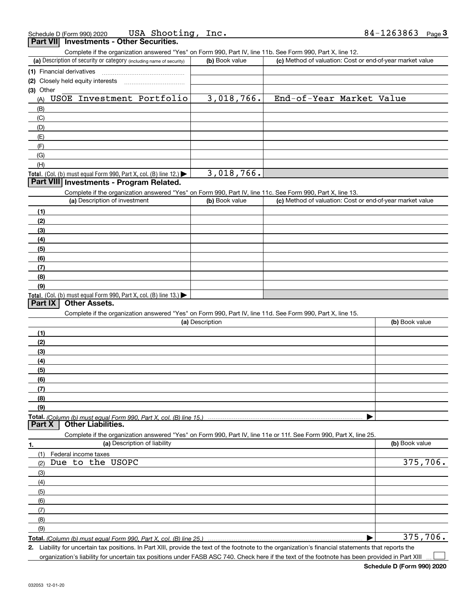|                  | USA Shooting, Inc.<br>Schedule D (Form 990) 2020                                                                  |                 |                                                           | 84-1263863<br>Page $3$ |
|------------------|-------------------------------------------------------------------------------------------------------------------|-----------------|-----------------------------------------------------------|------------------------|
| <b>Part VIII</b> | <b>Investments - Other Securities.</b>                                                                            |                 |                                                           |                        |
|                  | Complete if the organization answered "Yes" on Form 990, Part IV, line 11b. See Form 990, Part X, line 12.        |                 |                                                           |                        |
|                  | (a) Description of security or category (including name of security)                                              | (b) Book value  | (c) Method of valuation: Cost or end-of-year market value |                        |
|                  | (1) Financial derivatives                                                                                         |                 |                                                           |                        |
|                  | (2) Closely held equity interests                                                                                 |                 |                                                           |                        |
| (3) Other        |                                                                                                                   |                 |                                                           |                        |
| (A)              | USOE Investment Portfolio                                                                                         | 3,018,766.      | End-of-Year Market Value                                  |                        |
| (B)              |                                                                                                                   |                 |                                                           |                        |
| (C)              |                                                                                                                   |                 |                                                           |                        |
| (D)              |                                                                                                                   |                 |                                                           |                        |
| (E)              |                                                                                                                   |                 |                                                           |                        |
| (F)              |                                                                                                                   |                 |                                                           |                        |
| (G)              |                                                                                                                   |                 |                                                           |                        |
| (H)              |                                                                                                                   |                 |                                                           |                        |
|                  | Total. (Col. (b) must equal Form 990, Part X, col. (B) line 12.)                                                  | 3,018,766.      |                                                           |                        |
|                  | Part VIII Investments - Program Related.                                                                          |                 |                                                           |                        |
|                  | Complete if the organization answered "Yes" on Form 990, Part IV, line 11c. See Form 990, Part X, line 13.        |                 |                                                           |                        |
|                  | (a) Description of investment                                                                                     | (b) Book value  | (c) Method of valuation: Cost or end-of-year market value |                        |
| (1)              |                                                                                                                   |                 |                                                           |                        |
| (2)              |                                                                                                                   |                 |                                                           |                        |
| (3)              |                                                                                                                   |                 |                                                           |                        |
| (4)              |                                                                                                                   |                 |                                                           |                        |
| (5)              |                                                                                                                   |                 |                                                           |                        |
| (6)              |                                                                                                                   |                 |                                                           |                        |
| (7)              |                                                                                                                   |                 |                                                           |                        |
| (8)              |                                                                                                                   |                 |                                                           |                        |
| (9)              |                                                                                                                   |                 |                                                           |                        |
|                  | Total. (Col. (b) must equal Form 990, Part X, col. (B) line 13.) $\blacktriangleright$                            |                 |                                                           |                        |
| Part IX          | <b>Other Assets.</b>                                                                                              |                 |                                                           |                        |
|                  | Complete if the organization answered "Yes" on Form 990, Part IV, line 11d. See Form 990, Part X, line 15.        |                 |                                                           |                        |
|                  |                                                                                                                   | (a) Description |                                                           | (b) Book value         |
| (1)              |                                                                                                                   |                 |                                                           |                        |
| (2)              |                                                                                                                   |                 |                                                           |                        |
| (3)              |                                                                                                                   |                 |                                                           |                        |
| (4)              |                                                                                                                   |                 |                                                           |                        |
| (5)              |                                                                                                                   |                 |                                                           |                        |
| (6)              |                                                                                                                   |                 |                                                           |                        |
| (7)              |                                                                                                                   |                 |                                                           |                        |
| (8)              |                                                                                                                   |                 |                                                           |                        |
| (9)              |                                                                                                                   |                 |                                                           |                        |
|                  | Total. (Column (b) must equal Form 990, Part X, col. (B) line 15.)                                                |                 |                                                           |                        |
| Part X           | <b>Other Liabilities.</b>                                                                                         |                 |                                                           |                        |
|                  | Complete if the organization answered "Yes" on Form 990, Part IV, line 11e or 11f. See Form 990, Part X, line 25. |                 |                                                           |                        |
| 1.               | (a) Description of liability                                                                                      |                 |                                                           | (b) Book value         |
| (1)              | Federal income taxes                                                                                              |                 |                                                           |                        |
| (2)              | Due to the USOPC                                                                                                  |                 |                                                           | 375,706.               |
| (3)              |                                                                                                                   |                 |                                                           |                        |
| (4)              |                                                                                                                   |                 |                                                           |                        |
| (5)              |                                                                                                                   |                 |                                                           |                        |
| (6)              |                                                                                                                   |                 |                                                           |                        |
| (7)              |                                                                                                                   |                 |                                                           |                        |
| (8)              |                                                                                                                   |                 |                                                           |                        |
| (9)              |                                                                                                                   |                 |                                                           |                        |
|                  | Total. (Column (b) must equal Form 990. Part X, col. (B) line 25.)                                                |                 |                                                           | 375,706.               |
|                  |                                                                                                                   |                 |                                                           |                        |

**2.** Liability for uncertain tax positions. In Part XIII, provide the text of the footnote to the organization's financial statements that reports the organization's liability for uncertain tax positions under FASB ASC 740. Check here if the text of the footnote has been provided in Part XIII

 $\mathcal{L}^{\text{max}}$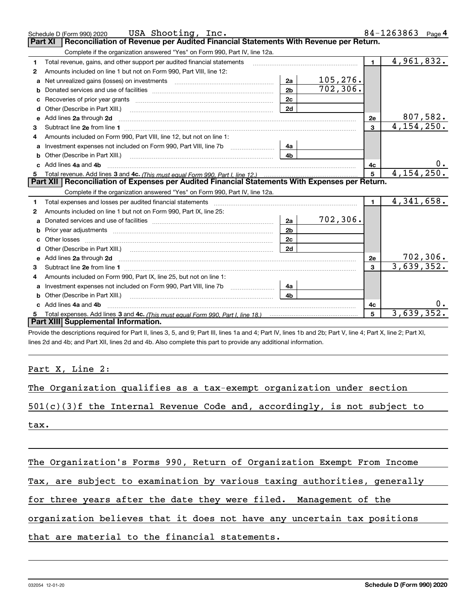|    | USA Shooting, Inc.<br>Schedule D (Form 990) 2020                                                                           |                |              |              | 84-1263863<br>Page 4    |
|----|----------------------------------------------------------------------------------------------------------------------------|----------------|--------------|--------------|-------------------------|
|    | Reconciliation of Revenue per Audited Financial Statements With Revenue per Return.<br>Part XI                             |                |              |              |                         |
|    | Complete if the organization answered "Yes" on Form 990, Part IV, line 12a.                                                |                |              |              |                         |
| 1  | Total revenue, gains, and other support per audited financial statements                                                   |                |              | $\mathbf{1}$ | $\overline{4,961,832.}$ |
| 2  | Amounts included on line 1 but not on Form 990, Part VIII, line 12:                                                        |                |              |              |                         |
| a  |                                                                                                                            | 2a             | 105,276.     |              |                         |
| b  |                                                                                                                            | 2 <sub>b</sub> | 702, 306.    |              |                         |
|    |                                                                                                                            | 2c             |              |              |                         |
| d  |                                                                                                                            | 2d             |              |              |                         |
| е  | Add lines 2a through 2d                                                                                                    |                |              | 2e           | 807,582.                |
| 3  |                                                                                                                            |                |              | 3            | 4, 154, 250.            |
| 4  | Amounts included on Form 990, Part VIII, line 12, but not on line 1:                                                       |                |              |              |                         |
|    | Investment expenses not included on Form 990, Part VIII, line 7b [1000000000000000000000000000000000                       | 4a l           |              |              |                         |
| b  | Other (Describe in Part XIII.) <b>Construction Contract Construction</b> Chemistry Chemistry Chemistry Chemistry Chemistry | 4 <sub>b</sub> |              |              |                         |
|    | c Add lines 4a and 4b                                                                                                      |                | 4с           | $0_{\cdot}$  |                         |
|    |                                                                                                                            | 5              | 4, 154, 250. |              |                         |
|    | Part XII   Reconciliation of Expenses per Audited Financial Statements With Expenses per Return.                           |                |              |              |                         |
|    | Complete if the organization answered "Yes" on Form 990, Part IV, line 12a.                                                |                |              |              |                         |
|    |                                                                                                                            |                |              |              |                         |
| 1  |                                                                                                                            |                |              | $\mathbf 1$  | 4,341,658.              |
| 2  | Amounts included on line 1 but not on Form 990, Part IX, line 25:                                                          |                |              |              |                         |
| a  |                                                                                                                            | 2a             | 702,306.     |              |                         |
| b  |                                                                                                                            | 2 <sub>b</sub> |              |              |                         |
| c. |                                                                                                                            | 2c             |              |              |                         |
| d  |                                                                                                                            | 2d             |              |              |                         |
|    |                                                                                                                            |                |              | 2e           | 702, 306.               |
| 3  |                                                                                                                            |                |              | $\mathbf{R}$ | 3,639,352.              |
| 4  | Amounts included on Form 990, Part IX, line 25, but not on line 1:                                                         |                |              |              |                         |
| a  | Investment expenses not included on Form 990, Part VIII, line 7b [1000000000000000000000000000000000                       | 4a             |              |              |                         |
| b  |                                                                                                                            | 4 <sub>b</sub> |              |              |                         |
|    | Add lines 4a and 4b                                                                                                        |                |              | 4с           | $0$ .                   |
|    | Part XIII Supplemental Information.                                                                                        |                |              | 5            | 3,639,352.              |

Provide the descriptions required for Part II, lines 3, 5, and 9; Part III, lines 1a and 4; Part IV, lines 1b and 2b; Part V, line 4; Part X, line 2; Part XI, lines 2d and 4b; and Part XII, lines 2d and 4b. Also complete this part to provide any additional information.

Part X, Line 2:

|  |  |  |  |  |  | The Organization qualifies as a tax-exempt organization under section |  |  |
|--|--|--|--|--|--|-----------------------------------------------------------------------|--|--|
|--|--|--|--|--|--|-----------------------------------------------------------------------|--|--|

501(c)(3)f the Internal Revenue Code and, accordingly, is not subject to

tax.

The Organization's Forms 990, Return of Organization Exempt From Income

Tax, are subject to examination by various taxing authorities, generally

for three years after the date they were filed. Management of the

organization believes that it does not have any uncertain tax positions

that are material to the financial statements.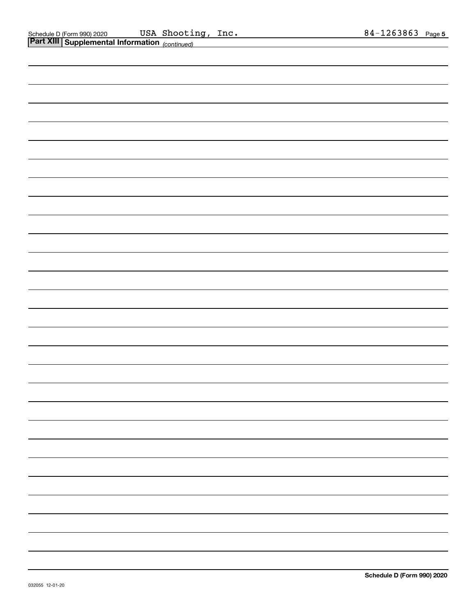| <b>Part XIII Supplemental Information</b> (continued) |  |  |  |  |  |
|-------------------------------------------------------|--|--|--|--|--|
|                                                       |  |  |  |  |  |
|                                                       |  |  |  |  |  |
|                                                       |  |  |  |  |  |
|                                                       |  |  |  |  |  |
|                                                       |  |  |  |  |  |
|                                                       |  |  |  |  |  |
|                                                       |  |  |  |  |  |
|                                                       |  |  |  |  |  |
|                                                       |  |  |  |  |  |
|                                                       |  |  |  |  |  |
|                                                       |  |  |  |  |  |
|                                                       |  |  |  |  |  |
|                                                       |  |  |  |  |  |
|                                                       |  |  |  |  |  |
|                                                       |  |  |  |  |  |
|                                                       |  |  |  |  |  |
|                                                       |  |  |  |  |  |
|                                                       |  |  |  |  |  |
|                                                       |  |  |  |  |  |
|                                                       |  |  |  |  |  |
|                                                       |  |  |  |  |  |
|                                                       |  |  |  |  |  |
|                                                       |  |  |  |  |  |
|                                                       |  |  |  |  |  |
|                                                       |  |  |  |  |  |
|                                                       |  |  |  |  |  |
|                                                       |  |  |  |  |  |
|                                                       |  |  |  |  |  |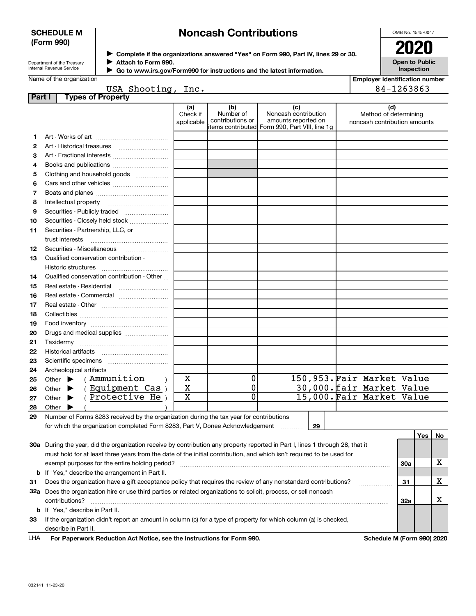## **SCHEDULE M (Form 990)**

# **Noncash Contributions**

OMB No. 1545-0047

| Department of the Treasury      |
|---------------------------------|
| <b>Internal Revenue Service</b> |

**Complete if the organizations answered "Yes" on Form 990, Part IV, lines 29 or 30.** <sup>J</sup>**2020 Attach to Form 990.** J

**Open to Public Inspection**

|  | Name of the organization |
|--|--------------------------|
|  |                          |

|  | Go to www.irs.gov/Form990 for instructions and the latest information. |  |
|--|------------------------------------------------------------------------|--|
|  |                                                                        |  |

| <b>Employer identification number</b> |
|---------------------------------------|
| 84-1263863                            |

|                 | USA Shooting, | _inc. |
|-----------------|---------------|-------|
| . f. Duais subs |               |       |

| Part I | <b>Types of Property</b>                                                                                                       |                               |                                      |                                                                                                       |                                                              |     |     |     |
|--------|--------------------------------------------------------------------------------------------------------------------------------|-------------------------------|--------------------------------------|-------------------------------------------------------------------------------------------------------|--------------------------------------------------------------|-----|-----|-----|
|        |                                                                                                                                | (a)<br>Check if<br>applicable | (b)<br>Number of<br>contributions or | (c)<br>Noncash contribution<br>amounts reported on<br>items contributed  Form 990, Part VIII, line 1g | (d)<br>Method of determining<br>noncash contribution amounts |     |     |     |
| 1      |                                                                                                                                |                               |                                      |                                                                                                       |                                                              |     |     |     |
| 2      |                                                                                                                                |                               |                                      |                                                                                                       |                                                              |     |     |     |
| З      | Art - Fractional interests                                                                                                     |                               |                                      |                                                                                                       |                                                              |     |     |     |
| 4      | Books and publications                                                                                                         |                               |                                      |                                                                                                       |                                                              |     |     |     |
| 5      | Clothing and household goods                                                                                                   |                               |                                      |                                                                                                       |                                                              |     |     |     |
| 6      |                                                                                                                                |                               |                                      |                                                                                                       |                                                              |     |     |     |
| 7      |                                                                                                                                |                               |                                      |                                                                                                       |                                                              |     |     |     |
| 8      |                                                                                                                                |                               |                                      |                                                                                                       |                                                              |     |     |     |
| 9      | Securities - Publicly traded                                                                                                   |                               |                                      |                                                                                                       |                                                              |     |     |     |
| 10     | Securities - Closely held stock                                                                                                |                               |                                      |                                                                                                       |                                                              |     |     |     |
| 11     | Securities - Partnership, LLC, or                                                                                              |                               |                                      |                                                                                                       |                                                              |     |     |     |
|        | trust interests                                                                                                                |                               |                                      |                                                                                                       |                                                              |     |     |     |
| 12     | Securities - Miscellaneous                                                                                                     |                               |                                      |                                                                                                       |                                                              |     |     |     |
| 13     | Qualified conservation contribution -                                                                                          |                               |                                      |                                                                                                       |                                                              |     |     |     |
|        | Historic structures                                                                                                            |                               |                                      |                                                                                                       |                                                              |     |     |     |
| 14     | Qualified conservation contribution - Other                                                                                    |                               |                                      |                                                                                                       |                                                              |     |     |     |
| 15     | Real estate - Residential                                                                                                      |                               |                                      |                                                                                                       |                                                              |     |     |     |
| 16     | Real estate - Commercial                                                                                                       |                               |                                      |                                                                                                       |                                                              |     |     |     |
| 17     |                                                                                                                                |                               |                                      |                                                                                                       |                                                              |     |     |     |
| 18     |                                                                                                                                |                               |                                      |                                                                                                       |                                                              |     |     |     |
| 19     |                                                                                                                                |                               |                                      |                                                                                                       |                                                              |     |     |     |
| 20     | Drugs and medical supplies                                                                                                     |                               |                                      |                                                                                                       |                                                              |     |     |     |
| 21     |                                                                                                                                |                               |                                      |                                                                                                       |                                                              |     |     |     |
| 22     |                                                                                                                                |                               |                                      |                                                                                                       |                                                              |     |     |     |
| 23     |                                                                                                                                |                               |                                      |                                                                                                       |                                                              |     |     |     |
| 24     | Archeological artifacts                                                                                                        |                               |                                      |                                                                                                       |                                                              |     |     |     |
| 25     | (Ammunition<br>Other $\blacktriangleright$                                                                                     | $\mathbf X$                   | 0                                    |                                                                                                       | 150,953.Fair Market Value                                    |     |     |     |
| 26     | (Equipment Cas)<br>Other $\blacktriangleright$                                                                                 | X                             | 0                                    |                                                                                                       | 30,000. fair Market Value                                    |     |     |     |
| 27     | (Protective He)<br>Other $\blacktriangleright$                                                                                 | X                             | 0                                    |                                                                                                       | 15,000. Fair Market Value                                    |     |     |     |
| 28     | Other                                                                                                                          |                               |                                      |                                                                                                       |                                                              |     |     |     |
| 29     | Number of Forms 8283 received by the organization during the tax year for contributions                                        |                               |                                      |                                                                                                       |                                                              |     |     |     |
|        | for which the organization completed Form 8283, Part V, Donee Acknowledgement                                                  |                               |                                      | 29                                                                                                    |                                                              |     |     |     |
|        |                                                                                                                                |                               |                                      |                                                                                                       |                                                              |     | Yes | No. |
|        | 30a During the year, did the organization receive by contribution any property reported in Part I, lines 1 through 28, that it |                               |                                      |                                                                                                       |                                                              |     |     |     |
|        | must hold for at least three years from the date of the initial contribution, and which isn't required to be used for          |                               |                                      |                                                                                                       |                                                              |     |     |     |
|        | exempt purposes for the entire holding period?                                                                                 |                               |                                      |                                                                                                       |                                                              | 30a |     | х   |
|        | <b>b</b> If "Yes," describe the arrangement in Part II.                                                                        |                               |                                      |                                                                                                       |                                                              |     |     |     |
| 31     | Does the organization have a gift acceptance policy that requires the review of any nonstandard contributions?                 |                               |                                      |                                                                                                       |                                                              | 31  |     | х   |
|        | 32a Does the organization hire or use third parties or related organizations to solicit, process, or sell noncash              |                               |                                      |                                                                                                       |                                                              |     |     |     |
|        | contributions?                                                                                                                 |                               |                                      |                                                                                                       |                                                              | 32a |     | х   |
|        | <b>b</b> If "Yes," describe in Part II.                                                                                        |                               |                                      |                                                                                                       |                                                              |     |     |     |
| 33     | If the organization didn't report an amount in column (c) for a type of property for which column (a) is checked,              |                               |                                      |                                                                                                       |                                                              |     |     |     |

For Paperwork Reduction Act Notice, see the Instructions for Form 990. **Schedule M (Form 990) 2020** LHA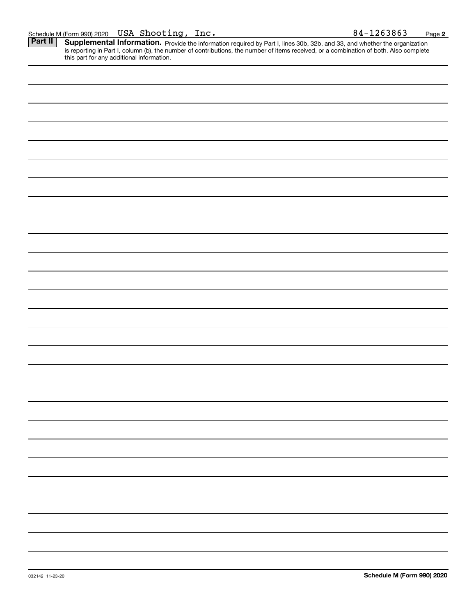Part II | Supplemental Information. Provide the information required by Part I, lines 30b, 32b, and 33, and whether the organization is reporting in Part I, column (b), the number of contributions, the number of items received, or a combination of both. Also complete this part for any additional information.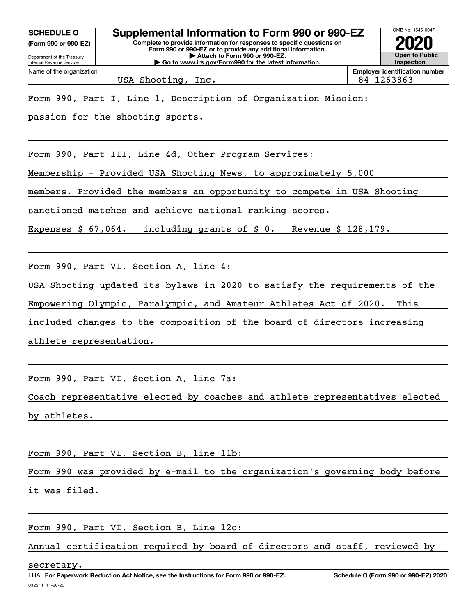**(Form 990 or 990-EZ)**

**Complete to provide information for responses to specific questions on Form 990 or 990-EZ or to provide any additional information. | Attach to Form 990 or 990-EZ. | Go to www.irs.gov/Form990 for the latest information. SCHEDULE O Supplemental Information to Form 990 or 990-EZ**



USA Shooting, Inc. 84-1263863

Form 990, Part I, Line 1, Description of Organization Mission:

passion for the shooting sports.

Form 990, Part III, Line 4d, Other Program Services:

Membership - Provided USA Shooting News, to approximately 5,000

members. Provided the members an opportunity to compete in USA Shooting

sanctioned matches and achieve national ranking scores.

Expenses \$ 67,064. including grants of \$ 0. Revenue \$ 128,179.

Form 990, Part VI, Section A, line 4:

USA Shooting updated its bylaws in 2020 to satisfy the requirements of the

Empowering Olympic, Paralympic, and Amateur Athletes Act of 2020. This

included changes to the composition of the board of directors increasing

athlete representation.

Form 990, Part VI, Section A, line 7a:

Coach representative elected by coaches and athlete representatives elected by athletes.

Form 990, Part VI, Section B, line 11b:

Form 990 was provided by e-mail to the organization's governing body before

it was filed.

Form 990, Part VI, Section B, Line 12c:

Annual certification required by board of directors and staff, reviewed by

secretary.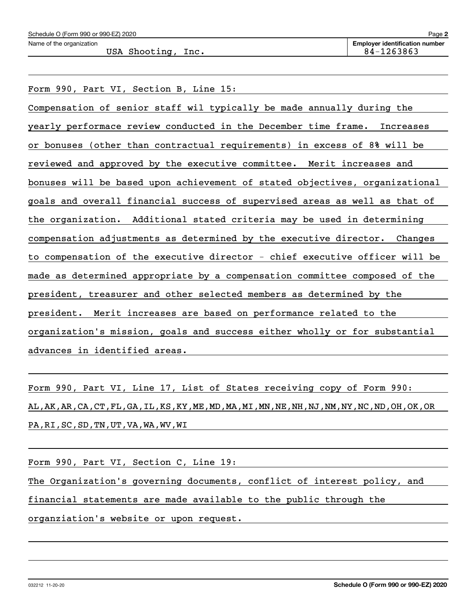USA Shooting, Inc. 2012 2020 12:20:3863

Form 990, Part VI, Section B, Line 15:

Compensation of senior staff wil typically be made annually during the yearly performace review conducted in the December time frame. Increases or bonuses (other than contractual requirements) in excess of 8% will be reviewed and approved by the executive committee. Merit increases and bonuses will be based upon achievement of stated objectives, organizational goals and overall financial success of supervised areas as well as that of the organization. Additional stated criteria may be used in determining compensation adjustments as determined by the executive director. Changes to compensation of the executive director - chief executive officer will be made as determined appropriate by a compensation committee composed of the president, treasurer and other selected members as determined by the president. Merit increases are based on performance related to the organization's mission, goals and success either wholly or for substantial advances in identified areas.

Form 990, Part VI, Line 17, List of States receiving copy of Form 990: AL,AK,AR,CA,CT,FL,GA,IL,KS,KY,ME,MD,MA,MI,MN,NE,NH,NJ,NM,NY,NC,ND,OH,OK,OR PA,RI,SC,SD,TN,UT,VA,WA,WV,WI

Form 990, Part VI, Section C, Line 19:

The Organization's governing documents, conflict of interest policy, and

financial statements are made available to the public through the

organziation's website or upon request.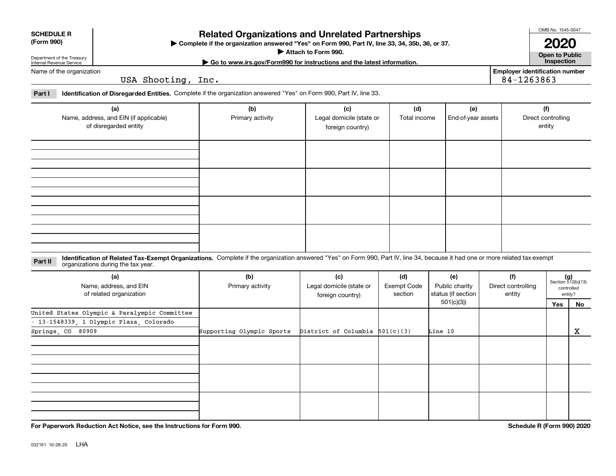| <b>SCHEDULE R</b> |
|-------------------|
|                   |

### **(Form 990)**

# **Related Organizations and Unrelated Partnerships**

**Complete if the organization answered "Yes" on Form 990, Part IV, line 33, 34, 35b, 36, or 37.** |

**Attach to Form 990.**  |

OMB No. 1545-0047

**Open to Public | Go to www.irs.gov/Form990 for instructions and the latest information. Inspection 2020**

**Employer identification number**

84-1263863

Department of the Treasury Internal Revenue Service Name of the organization

USA Shooting, Inc.

**Part I Identification of Disregarded Entities.**  Complete if the organization answered "Yes" on Form 990, Part IV, line 33.

| (a)<br>Name, address, and EIN (if applicable) | (b)<br>Primary activity | (c)<br>Legal domicile (state or | (d)<br>Total income | (e)<br>End-of-year assets | (f)<br>Direct controlling |
|-----------------------------------------------|-------------------------|---------------------------------|---------------------|---------------------------|---------------------------|
| of disregarded entity                         |                         | foreign country)                |                     |                           | entity                    |
|                                               |                         |                                 |                     |                           |                           |
|                                               |                         |                                 |                     |                           |                           |
|                                               |                         |                                 |                     |                           |                           |
|                                               |                         |                                 |                     |                           |                           |
|                                               |                         |                                 |                     |                           |                           |

**Identification of Related Tax-Exempt Organizations.** Complete if the organization answered "Yes" on Form 990, Part IV, line 34, because it had one or more related tax-exempt **Part II** organizations during the tax year.

| (a)<br>Name, address, and EIN<br>of related organization | (b)<br>Primary activity   | (c)<br>Legal domicile (state or<br>foreign country) | (d)<br>Exempt Code<br>section | (e)<br>Public charity<br>status (if section | (f)<br>Direct controlling<br>entity |     | $(g)$<br>Section 512(b)(13)<br>controlled<br>entity? |
|----------------------------------------------------------|---------------------------|-----------------------------------------------------|-------------------------------|---------------------------------------------|-------------------------------------|-----|------------------------------------------------------|
|                                                          |                           |                                                     |                               | 501(c)(3))                                  |                                     | Yes | No                                                   |
| United States Olympic & Paralympic Committee             |                           |                                                     |                               |                                             |                                     |     |                                                      |
| - 13-1548339, 1 Olympic Plaza, Colorado                  |                           |                                                     |                               |                                             |                                     |     |                                                      |
| Springs, CO 80909                                        | Supporting Olympic Sports | District of Columbia $501(c)(3)$                    |                               | Line 10                                     |                                     |     | х                                                    |
|                                                          |                           |                                                     |                               |                                             |                                     |     |                                                      |
|                                                          |                           |                                                     |                               |                                             |                                     |     |                                                      |
|                                                          |                           |                                                     |                               |                                             |                                     |     |                                                      |

**For Paperwork Reduction Act Notice, see the Instructions for Form 990. Schedule R (Form 990) 2020**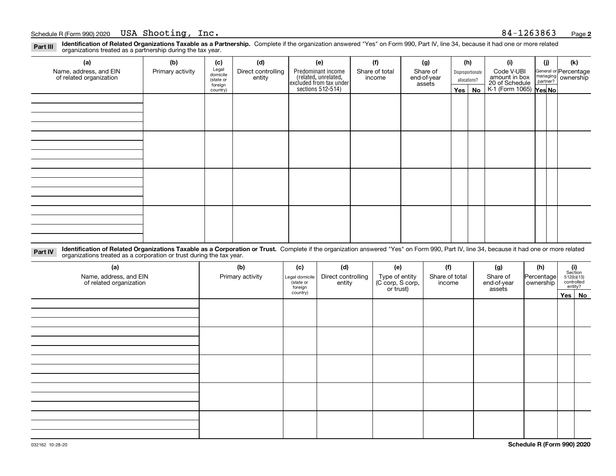**Identification of Related Organizations Taxable as a Partnership.** Complete if the organization answered "Yes" on Form 990, Part IV, line 34, because it had one or more related **Part III** organizations treated as a partnership during the tax year.

| (a)                                               | (b)              | (c)                  | (d)                          | (e)                                                                 | (f)                      | (g)                     |                  | (h) | (i)                                                       | (i) | (k)                   |  |        |  |              |  |  |                                |
|---------------------------------------------------|------------------|----------------------|------------------------------|---------------------------------------------------------------------|--------------------------|-------------------------|------------------|-----|-----------------------------------------------------------|-----|-----------------------|--|--------|--|--------------|--|--|--------------------------------|
| Name, address, and EIN<br>of related organization | Primary activity | Legal<br>domicile    | Direct controlling<br>entity | Predominant income                                                  | Share of total<br>income | Share of<br>end-of-year | Disproportionate |     | Code V-UBI                                                |     | General or Percentage |  |        |  |              |  |  |                                |
|                                                   |                  | (state or<br>foreign |                              |                                                                     |                          |                         |                  |     |                                                           |     |                       |  | assets |  | allocations? |  |  | managing<br>partner? ownership |
|                                                   |                  | country)             |                              | related, unrelated,<br>excluded from tax under<br>sections 512-514) |                          |                         | Yes $ $          | No  | amount in box<br>20 of Schedule<br>K-1 (Form 1065) Yes No |     |                       |  |        |  |              |  |  |                                |
|                                                   |                  |                      |                              |                                                                     |                          |                         |                  |     |                                                           |     |                       |  |        |  |              |  |  |                                |
|                                                   |                  |                      |                              |                                                                     |                          |                         |                  |     |                                                           |     |                       |  |        |  |              |  |  |                                |
|                                                   |                  |                      |                              |                                                                     |                          |                         |                  |     |                                                           |     |                       |  |        |  |              |  |  |                                |
|                                                   |                  |                      |                              |                                                                     |                          |                         |                  |     |                                                           |     |                       |  |        |  |              |  |  |                                |
|                                                   |                  |                      |                              |                                                                     |                          |                         |                  |     |                                                           |     |                       |  |        |  |              |  |  |                                |
|                                                   |                  |                      |                              |                                                                     |                          |                         |                  |     |                                                           |     |                       |  |        |  |              |  |  |                                |
|                                                   |                  |                      |                              |                                                                     |                          |                         |                  |     |                                                           |     |                       |  |        |  |              |  |  |                                |
|                                                   |                  |                      |                              |                                                                     |                          |                         |                  |     |                                                           |     |                       |  |        |  |              |  |  |                                |
|                                                   |                  |                      |                              |                                                                     |                          |                         |                  |     |                                                           |     |                       |  |        |  |              |  |  |                                |
|                                                   |                  |                      |                              |                                                                     |                          |                         |                  |     |                                                           |     |                       |  |        |  |              |  |  |                                |
|                                                   |                  |                      |                              |                                                                     |                          |                         |                  |     |                                                           |     |                       |  |        |  |              |  |  |                                |
|                                                   |                  |                      |                              |                                                                     |                          |                         |                  |     |                                                           |     |                       |  |        |  |              |  |  |                                |
|                                                   |                  |                      |                              |                                                                     |                          |                         |                  |     |                                                           |     |                       |  |        |  |              |  |  |                                |
|                                                   |                  |                      |                              |                                                                     |                          |                         |                  |     |                                                           |     |                       |  |        |  |              |  |  |                                |
|                                                   |                  |                      |                              |                                                                     |                          |                         |                  |     |                                                           |     |                       |  |        |  |              |  |  |                                |
|                                                   |                  |                      |                              |                                                                     |                          |                         |                  |     |                                                           |     |                       |  |        |  |              |  |  |                                |
|                                                   |                  |                      |                              |                                                                     |                          |                         |                  |     |                                                           |     |                       |  |        |  |              |  |  |                                |

**Identification of Related Organizations Taxable as a Corporation or Trust.** Complete if the organization answered "Yes" on Form 990, Part IV, line 34, because it had one or more related **Part IV** organizations treated as a corporation or trust during the tax year.

| (a)<br>Name, address, and EIN<br>of related organization | (b)<br>Primary activity | (c)<br>Legal domicile<br>(state or<br>foreign | (d)<br>Direct controlling<br>entity | (e)<br>Type of entity<br>(C corp, S corp,<br>or trust) | (f)<br>Share of total<br>income | (g)<br>Share of<br>end-of-year<br>assets | (h)<br>Percentage<br>ownership | $\begin{array}{c} \textbf{(i)}\\ \text{Section}\\ 512 \text{(b)} \text{(13)}\\ \text{controlled}\\ \text{entity?} \end{array}$ |
|----------------------------------------------------------|-------------------------|-----------------------------------------------|-------------------------------------|--------------------------------------------------------|---------------------------------|------------------------------------------|--------------------------------|--------------------------------------------------------------------------------------------------------------------------------|
|                                                          |                         | country)                                      |                                     |                                                        |                                 |                                          |                                | Yes No                                                                                                                         |
|                                                          |                         |                                               |                                     |                                                        |                                 |                                          |                                |                                                                                                                                |
|                                                          |                         |                                               |                                     |                                                        |                                 |                                          |                                |                                                                                                                                |
|                                                          |                         |                                               |                                     |                                                        |                                 |                                          |                                |                                                                                                                                |
|                                                          |                         |                                               |                                     |                                                        |                                 |                                          |                                |                                                                                                                                |
|                                                          |                         |                                               |                                     |                                                        |                                 |                                          |                                |                                                                                                                                |
|                                                          |                         |                                               |                                     |                                                        |                                 |                                          |                                |                                                                                                                                |
|                                                          |                         |                                               |                                     |                                                        |                                 |                                          |                                |                                                                                                                                |
|                                                          |                         |                                               |                                     |                                                        |                                 |                                          |                                |                                                                                                                                |
|                                                          |                         |                                               |                                     |                                                        |                                 |                                          |                                |                                                                                                                                |
|                                                          |                         |                                               |                                     |                                                        |                                 |                                          |                                |                                                                                                                                |
|                                                          |                         |                                               |                                     |                                                        |                                 |                                          |                                |                                                                                                                                |
|                                                          |                         |                                               |                                     |                                                        |                                 |                                          |                                |                                                                                                                                |
|                                                          |                         |                                               |                                     |                                                        |                                 |                                          |                                |                                                                                                                                |
|                                                          |                         |                                               |                                     |                                                        |                                 |                                          |                                |                                                                                                                                |
|                                                          |                         |                                               |                                     |                                                        |                                 |                                          |                                |                                                                                                                                |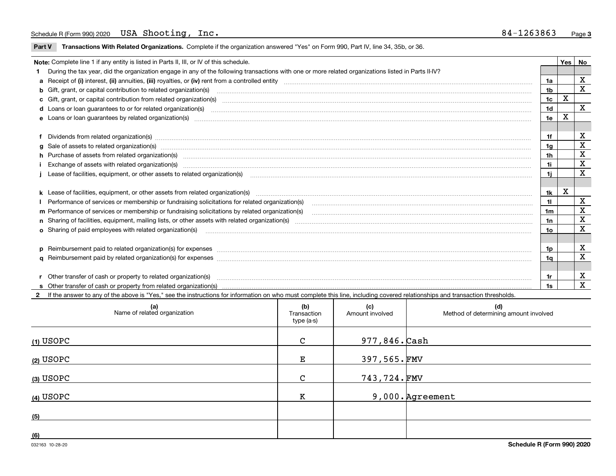**Part V** T**ransactions With Related Organizations.** Complete if the organization answered "Yes" on Form 990, Part IV, line 34, 35b, or 36.

| Note: Complete line 1 if any entity is listed in Parts II, III, or IV of this schedule.                                                                                                                                        |     | Yes | No           |
|--------------------------------------------------------------------------------------------------------------------------------------------------------------------------------------------------------------------------------|-----|-----|--------------|
| 1 During the tax year, did the organization engage in any of the following transactions with one or more related organizations listed in Parts II-IV?                                                                          |     |     |              |
|                                                                                                                                                                                                                                | 1a  |     | X            |
| b Gift, grant, or capital contribution to related organization(s) material contracts and contribution to related organization(s)                                                                                               | 1b  |     | $\mathbf x$  |
| c Gift, grant, or capital contribution from related organization(s) manufaction contribution from related organization(s) manufaction contribution from related organization(s) manufaction contribution from related organiza | 1c  | X   |              |
| <b>d</b> Loans or loan guarantees to or for related organization(s)                                                                                                                                                            | 1d  |     | $\mathbf{x}$ |
|                                                                                                                                                                                                                                | 1e  | X   |              |
|                                                                                                                                                                                                                                |     |     |              |
| f Dividends from related organization(s) manufactured contains and contained a state of the contact of the contact of the contact of the contact of the contact of the contact of the contact of the contact of the contact of | 1f  |     | X            |
|                                                                                                                                                                                                                                | 1g  |     | X            |
| h Purchase of assets from related organization(s) manufactured and content to content the content of assets from related organization(s)                                                                                       | 1h  |     | x            |
| Exchange of assets with related organization(s) www.communically.communically contract and a set set of the state organization(s) www.communically.com and a set of the state or set of the state of the state of the state of | 1i. |     | X            |
| Lease of facilities, equipment, or other assets to related organization(s) manufaction content to the content of the state of facilities, equipment, or other assets to related organization(s) manufaction content to the con | 1i. |     | X            |
|                                                                                                                                                                                                                                |     |     |              |
|                                                                                                                                                                                                                                | 1k  | х   |              |
| Performance of services or membership or fundraising solicitations for related organization(s)                                                                                                                                 | 11  |     | X            |
| m Performance of services or membership or fundraising solicitations by related organization(s)                                                                                                                                | 1m  |     | X            |
|                                                                                                                                                                                                                                | 1n  |     | X            |
| <b>o</b> Sharing of paid employees with related organization(s)                                                                                                                                                                | 10  |     | X            |
|                                                                                                                                                                                                                                |     |     |              |
|                                                                                                                                                                                                                                | 1p. |     | х            |
|                                                                                                                                                                                                                                | 1a  |     | х            |
|                                                                                                                                                                                                                                |     |     |              |
| r Other transfer of cash or property to related organization(s)                                                                                                                                                                | 1r  |     | х            |
|                                                                                                                                                                                                                                | 1s  |     | X            |

**2**If the answer to any of the above is "Yes," see the instructions for information on who must complete this line, including covered relationships and transaction thresholds.

| (a)<br>Name of related organization | (b)<br>Transaction<br>type (a-s) | (c)<br>Amount involved | (d)<br>Method of determining amount involved |
|-------------------------------------|----------------------------------|------------------------|----------------------------------------------|
| <u>(1) USOP</u> C                   | $\mathsf{C}$                     | 977,846. Cash          |                                              |
| (2) USOPC                           | $\mathbf{E}$                     | $397,565.\,$ FMV       |                                              |
| (3) USOPC                           | $\mathbf{C}$                     | 743,724.FMV            |                                              |
| <u>(4) USOPC</u>                    | K                                |                        | 9,000. Agreement                             |
| (5)                                 |                                  |                        |                                              |
| (6)                                 |                                  |                        |                                              |

 $\overline{\phantom{a}}$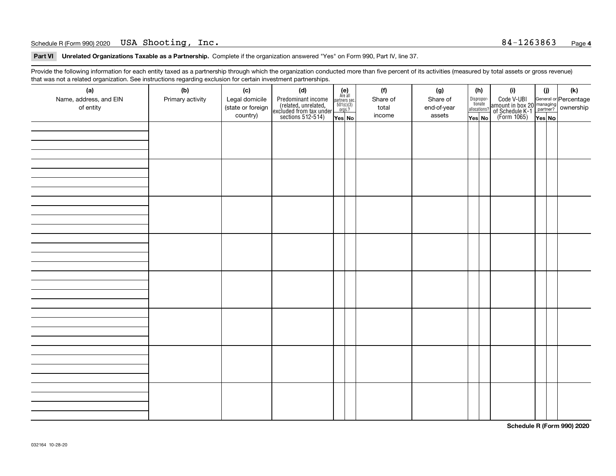#### Schedule R (Form 990) 2020 Page USA Shooting, Inc. 84-1263863

**Part VI Unrelated Organizations Taxable as a Partnership. Complete if the organization answered "Yes" on Form 990, Part IV, line 37.** 

Provide the following information for each entity taxed as a partnership through which the organization conducted more than five percent of its activities (measured by total assets or gross revenue) that was not a related organization. See instructions regarding exclusion for certain investment partnerships.

| (a)<br>Name, address, and EIN<br>of entity | (b)<br>Primary activity | (c)<br>Legal domicile<br>(state or foreign<br>country) | (d)<br>Predominant income<br>(related, unrelated,<br>excluded from tax under<br>sections 512-514) | $\begin{array}{c} \textbf{(e)}\\ \text{Are all} \\ \text{partners sec.}\\ 501(c)(3)\\ \text{orgs.?} \end{array}$<br>Yes No | (f)<br>Share of<br>total<br>income | (g)<br>Share of<br>end-of-year<br>assets | (h)<br>Dispropor-<br>tionate<br>allocations?<br>Yes No | (i)<br>Code V-UBI<br>  amount in box 20 managing<br>  of Schedule K-1 partner? ownership<br>  of Schedule K-1 partner? ownership<br>  Yes No | (i)<br>Yes No | (k) |
|--------------------------------------------|-------------------------|--------------------------------------------------------|---------------------------------------------------------------------------------------------------|----------------------------------------------------------------------------------------------------------------------------|------------------------------------|------------------------------------------|--------------------------------------------------------|----------------------------------------------------------------------------------------------------------------------------------------------|---------------|-----|
|                                            |                         |                                                        |                                                                                                   |                                                                                                                            |                                    |                                          |                                                        |                                                                                                                                              |               |     |
|                                            |                         |                                                        |                                                                                                   |                                                                                                                            |                                    |                                          |                                                        |                                                                                                                                              |               |     |
|                                            |                         |                                                        |                                                                                                   |                                                                                                                            |                                    |                                          |                                                        |                                                                                                                                              |               |     |
|                                            |                         |                                                        |                                                                                                   |                                                                                                                            |                                    |                                          |                                                        |                                                                                                                                              |               |     |
|                                            |                         |                                                        |                                                                                                   |                                                                                                                            |                                    |                                          |                                                        |                                                                                                                                              |               |     |
|                                            |                         |                                                        |                                                                                                   |                                                                                                                            |                                    |                                          |                                                        |                                                                                                                                              |               |     |
|                                            |                         |                                                        |                                                                                                   |                                                                                                                            |                                    |                                          |                                                        |                                                                                                                                              |               |     |
|                                            |                         |                                                        |                                                                                                   |                                                                                                                            |                                    |                                          |                                                        |                                                                                                                                              |               |     |

**Schedule R (Form 990) 2020**